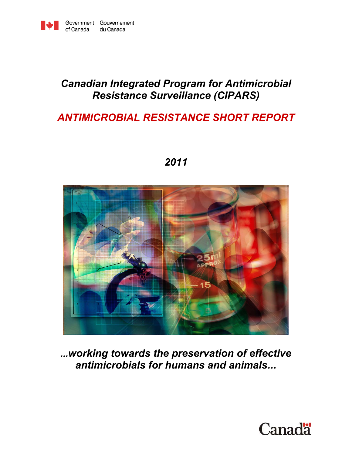

# *Canadian Integrated Program for Antimicrobial Resistance Surveillance (CIPARS)*

# *ANTIMICROBIAL RESISTANCE SHORT REPORT*



*2011* 

*...working towards the preservation of effective antimicrobials for humans and animals…*

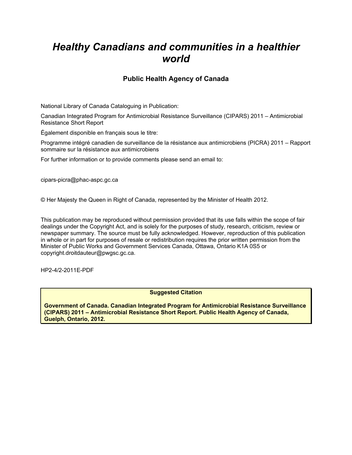# *Healthy Canadians and communities in a healthier world*

## **Public Health Agency of Canada**

National Library of Canada Cataloguing in Publication:

Canadian Integrated Program for Antimicrobial Resistance Surveillance (CIPARS) 2011 – Antimicrobial Resistance Short Report

Également disponible en français sous le titre:

Programme intégré canadien de surveillance de la résistance aux antimicrobiens (PICRA) 2011 – Rapport sommaire sur la résistance aux antimicrobiens

For further information or to provide comments please send an email to:

cipars-picra@phac-aspc.gc.ca

© Her Majesty the Queen in Right of Canada, represented by the Minister of Health 2012.

This publication may be reproduced without permission provided that its use falls within the scope of fair dealings under the Copyright Act, and is solely for the purposes of study, research, criticism, review or newspaper summary. The source must be fully acknowledged. However, reproduction of this publication in whole or in part for purposes of resale or redistribution requires the prior written permission from the Minister of Public Works and Government Services Canada, Ottawa, Ontario K1A 0S5 or copyright.droitdauteur@pwgsc.gc.ca.

HP2-4/2-2011E-PDF

**Suggested Citation** 

**Government of Canada. Canadian Integrated Program for Antimicrobial Resistance Surveillance (CIPARS) 2011 – Antimicrobial Resistance Short Report. Public Health Agency of Canada, Guelph, Ontario, 2012.**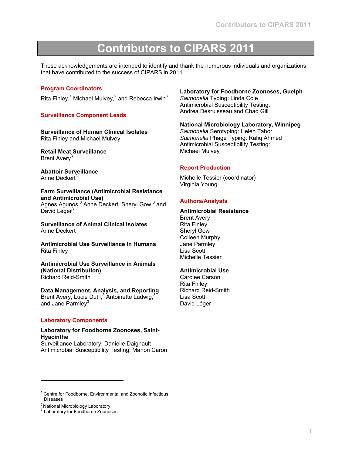# **Contributors to CIPARS 2011**

These acknowledgements are intended to identify and thank the numerous individuals and organizations that have contributed to the success of CIPARS in 2011.

## **Program Coordinators**

Rita Finley,<sup>1</sup> Michael Mulvey,<sup>2</sup> and Rebecca Irwin<sup>3</sup>

### **Surveillance Component Leads**

**Surveillance of Human Clinical Isolates**  Rita Finley and Michael Mulvey

**Retail Meat Surveillance**  Brent Avery<sup>3</sup>

**Abattoir Surveillance**  Anne Deckert<sup>3</sup>

#### **Farm Surveillance (Antimicrobial Resistance and Antimicrobial Use)**

Agnes Agunos,<sup>3</sup> Anne Deckert, Sheryl Gow,<sup>3</sup> and David Léger $3$ 

**Surveillance of Animal Clinical Isolates** Anne Deckert

**Antimicrobial Use Surveillance in Humans** Rita Finley

**Antimicrobial Use Surveillance in Animals (National Distribution)** Richard Reid-Smith

**Data Management, Analysis, and Reporting** Brent Avery, Lucie Dutil,<sup>3</sup> Antoinette Ludwig,<sup>3</sup> and Jane Parmley<sup>3</sup>

#### **Laboratory Components**

**Laboratory for Foodborne Zoonoses, Saint-Hyacinthe**  Surveillance Laboratory: Danielle Daignault Antimicrobial Susceptibility Testing: Manon Caron

## **Laboratory for Foodborne Zoonoses, Guelph**

*Salmonella* Typing: Linda Cole Antimicrobial Susceptibility Testing: Andrea Desruisseau and Chad Gill

## **National Microbiology Laboratory, Winnipeg**

*Salmonella* Serotyping: Helen Tabor *Salmonella* Phage Typing: Rafiq Ahmed Antimicrobial Susceptibility Testing: Michael Mulvey

## **Report Production**

Michelle Tessier (coordinator) Virginia Young

## **Authors/Analysts**

#### **Antimicrobial Resistance**

Brent Avery Rita Finley Sheryl Gow Colleen Murphy Jane Parmley Lisa Scott Michelle Tessier

#### **Antimicrobial Use**

Carolee Carson Rita Finley Richard Reid-Smith Lisa Scott David Léger

l

<sup>&</sup>lt;sup>1</sup> Centre for Foodborne, Environmental and Zoonotic Infectious Diseases

<sup>&</sup>lt;sup>2</sup> National Microbiology Laboratory

<sup>&</sup>lt;sup>3</sup> Laboratory for Foodborne Zoonoses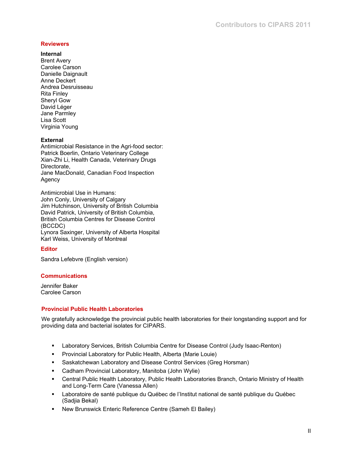## **Reviewers**

## **Internal**

Brent Avery Carolee Carson Danielle Daignault Anne Deckert Andrea Desruisseau Rita Finley Sheryl Gow David Léger Jane Parmley Lisa Scott Virginia Young

## **External**

Antimicrobial Resistance in the Agri-food sector: Patrick Boerlin, Ontario Veterinary College Xian-Zhi Li, Health Canada, Veterinary Drugs Directorate, Jane MacDonald, Canadian Food Inspection Agency

Antimicrobial Use in Humans: John Conly, University of Calgary Jim Hutchinson, University of British Columbia David Patrick, University of British Columbia, British Columbia Centres for Disease Control (BCCDC) Lynora Saxinger, University of Alberta Hospital Karl Weiss, University of Montreal

## **Editor**

Sandra Lefebvre (English version)

#### **Communications**

Jennifer Baker Carolee Carson

## **Provincial Public Health Laboratories**

We gratefully acknowledge the provincial public health laboratories for their longstanding support and for providing data and bacterial isolates for CIPARS.

- Laboratory Services, British Columbia Centre for Disease Control (Judy Isaac-Renton)
- **Provincial Laboratory for Public Health, Alberta (Marie Louie)**
- **Saskatchewan Laboratory and Disease Control Services (Greg Horsman)**
- Cadham Provincial Laboratory, Manitoba (John Wylie)
- Central Public Health Laboratory, Public Health Laboratories Branch, Ontario Ministry of Health and Long-Term Care (Vanessa Allen)
- Laboratoire de santé publique du Québec de l'Institut national de santé publique du Québec (Sadjia Bekal)
- New Brunswick Enteric Reference Centre (Sameh El Bailey)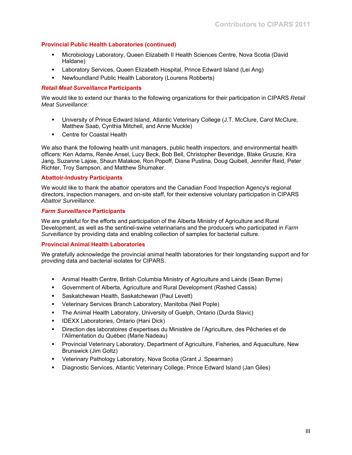## **Provincial Public Health Laboratories (continued)**

- Microbiology Laboratory, Queen Elizabeth II Health Sciences Centre, Nova Scotia (David Haldane)
- Laboratory Services, Queen Elizabeth Hospital, Prince Edward Island (Lei Ang)
- Newfoundland Public Health Laboratory (Lourens Robberts)

## *Retail Meat Surveillance* **Participants**

We would like to extend our thanks to the following organizations for their participation in CIPARS *Retail Meat Surveillance*:

- University of Prince Edward Island, Atlantic Veterinary College (J.T. McClure, Carol McClure, Matthew Saab, Cynthia Mitchell, and Anne Muckle)
- **EXEC** Coastal Health

We also thank the following health unit managers, public health inspectors, and environmental health officers: Ken Adams, Renée Ansel, Lucy Beck, Bob Bell, Christopher Beveridge, Blake Gruszie, Kira Jang, Suzanne Lajoie, Shaun Malakoe, Ron Popoff, Diane Pustina, Doug Quibell, Jennifer Reid, Peter Richter, Troy Sampson, and Matthew Shumaker.

## **Abattoir-Industry Participants**

We would like to thank the abattoir operators and the Canadian Food Inspection Agency's regional directors, inspection managers, and on-site staff, for their extensive voluntary participation in CIPARS *Abattoir Surveillance*.

## *Farm Surveillance* **Participants**

We are grateful for the efforts and participation of the Alberta Ministry of Agriculture and Rural Development, as well as the sentinel-swine veterinarians and the producers who participated in *Farm Surveillance* by providing data and enabling collection of samples for bacterial culture.

## **Provincial Animal Health Laboratories**

We gratefully acknowledge the provincial animal health laboratories for their longstanding support and for providing data and bacterial isolates for CIPARS.

- Animal Health Centre, British Columbia Ministry of Agriculture and Lands (Sean Byrne)
- Government of Alberta, Agriculture and Rural Development (Rashed Cassis)
- **Saskatchewan Health, Saskatchewan (Paul Levett)**
- Veterinary Services Branch Laboratory, Manitoba (Neil Pople)
- The Animal Health Laboratory, University of Guelph, Ontario (Durda Slavic)
- **IDEXX Laboratories, Ontario (Hani Dick)**
- Direction des laboratoires d'expertises du Ministère de l'Agriculture, des Pêcheries et de l'Alimentation du Québec (Marie Nadeau)
- Provincial Veterinary Laboratory, Department of Agriculture, Fisheries, and Aquaculture, New Brunswick (Jim Goltz)
- Veterinary Pathology Laboratory, Nova Scotia (Grant J. Spearman)
- Diagnostic Services, Atlantic Veterinary College, Prince Edward Island (Jan Giles)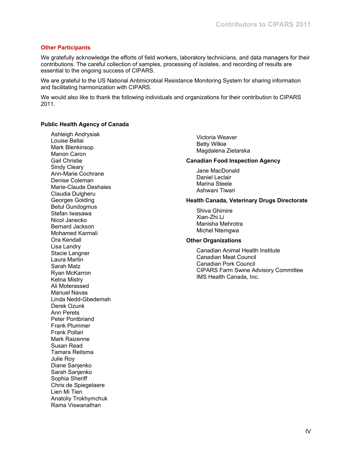## **Other Participants**

We gratefully acknowledge the efforts of field workers, laboratory technicians, and data managers for their contributions. The careful collection of samples, processing of isolates, and recording of results are essential to the ongoing success of CIPARS.

We are grateful to the US National Antimicrobial Resistance Monitoring System for sharing information and facilitating harmonization with CIPARS.

We would also like to thank the following individuals and organizations for their contribution to CIPARS 2011.

#### **Public Health Agency of Canada**

Ashleigh Andrysiak Louise Bellai Mark Blenkinsop Manon Caron Gail Christie Sindy Cleary Ann-Marie Cochrane Denise Coleman Marie-Claude Deshaies Claudia Dulgheru Georges Golding Betul Gundogmus Stefan Iwasawa Nicol Janecko Bernard Jackson Mohamed Karmali Ora Kendall Lisa Landry Stacie Langner Laura Martin Sarah Matz Ryan McKarron Ketna Mistry Ali Moterassed Manuel Navas Linda Nedd-Gbedemah Derek Ozunk Ann Perets Peter Pontbriand Frank Plummer Frank Pollari Mark Raizenne Susan Read Tamara Reitsma Julie Roy Diane Sanjenko Sarah Sanjenko Sophia Sheriff Chris de Spiegelaere Lien Mi Tien Anatoliy Trokhymchuk Rama Viswanathan

Victoria Weaver Betty Wilkie Magdalena Zietarska

#### **Canadian Food Inspection Agency**

Jane MacDonald Daniel Leclair Marina Steele Ashwani Tiwari

#### **Health Canada, Veterinary Drugs Directorate**

Shiva Ghimire Xian-Zhi Li Manisha Mehrotra Michel Ntemgwa

#### **Other Organizations**

Canadian Animal Health Institute Canadian Meat Council Canadian Pork Council CIPARS Farm Swine Advisory Committee IMS Health Canada, Inc.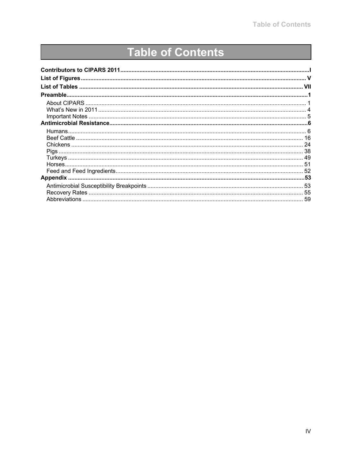# **Table of Contents**

| <b>Pigs</b>     |    |
|-----------------|----|
|                 |    |
|                 |    |
|                 |    |
| <b>Appendix</b> |    |
|                 |    |
|                 | 55 |
|                 | 59 |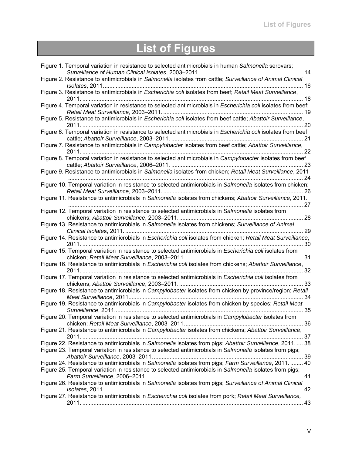# **List of Figures**

| Figure 1. Temporal variation in resistance to selected antimicrobials in human Salmonella serovars;                                                                                                                |
|--------------------------------------------------------------------------------------------------------------------------------------------------------------------------------------------------------------------|
| Figure 2. Resistance to antimicrobials in Salmonella isolates from cattle; Surveillance of Animal Clinical                                                                                                         |
| Figure 3. Resistance to antimicrobials in Escherichia coli isolates from beef; Retail Meat Surveillance,                                                                                                           |
| Figure 4. Temporal variation in resistance to selected antimicrobials in Escherichia coli isolates from beef;                                                                                                      |
| Figure 5. Resistance to antimicrobials in Escherichia coli isolates from beef cattle; Abattoir Surveillance,<br>.20                                                                                                |
| Figure 6. Temporal variation in resistance to selected antimicrobials in Escherichia coli isolates from beef                                                                                                       |
| Figure 7. Resistance to antimicrobials in Campylobacter isolates from beef cattle; Abattoir Surveillance,                                                                                                          |
| Figure 8. Temporal variation in resistance to selected antimicrobials in Campylobacter isolates from beef                                                                                                          |
| Figure 9. Resistance to antimicrobials in Salmonella isolates from chicken; Retail Meat Surveillance, 2011                                                                                                         |
| Figure 10. Temporal variation in resistance to selected antimicrobials in Salmonella isolates from chicken;                                                                                                        |
| Figure 11. Resistance to antimicrobials in Salmonella isolates from chickens; Abattoir Surveillance, 2011.                                                                                                         |
| Figure 12. Temporal variation in resistance to selected antimicrobials in Salmonella isolates from                                                                                                                 |
| Figure 13. Resistance to antimicrobials in Salmonella isolates from chickens; Surveillance of Animal                                                                                                               |
| Figure 14. Resistance to antimicrobials in Escherichia coli isolates from chicken; Retail Meat Surveillance,                                                                                                       |
| Figure 15. Temporal variation in resistance to selected antimicrobials in Escherichia coli isolates from                                                                                                           |
| Figure 16. Resistance to antimicrobials in Escherichia coli isolates from chickens; Abattoir Surveillance,                                                                                                         |
| Figure 17. Temporal variation in resistance to selected antimicrobials in Escherichia coli isolates from                                                                                                           |
| Figure 18. Resistance to antimicrobials in Campylobacter isolates from chicken by province/region; Retail<br>34                                                                                                    |
| Figure 19. Resistance to antimicrobials in Campylobacter isolates from chicken by species; Retail Meat                                                                                                             |
| Figure 20. Temporal variation in resistance to selected antimicrobials in Campylobacter isolates from                                                                                                              |
| Figure 21. Resistance to antimicrobials in Campylobacter isolates from chickens; Abattoir Surveillance,                                                                                                            |
| Figure 22. Resistance to antimicrobials in Salmonella isolates from pigs; Abattoir Surveillance, 2011 38                                                                                                           |
| Figure 23. Temporal variation in resistance to selected antimicrobials in Salmonella isolates from pigs;                                                                                                           |
| Figure 24. Resistance to antimicrobials in Salmonella isolates from pigs; Farm Surveillance, 2011.  40<br>Figure 25. Temporal variation in resistance to selected antimicrobials in Salmonella isolates from pigs; |
| Figure 26. Resistance to antimicrobials in Salmonella isolates from pigs; Surveillance of Animal Clinical                                                                                                          |
| Figure 27. Resistance to antimicrobials in Escherichia coli isolates from pork; Retail Meat Surveillance,                                                                                                          |
|                                                                                                                                                                                                                    |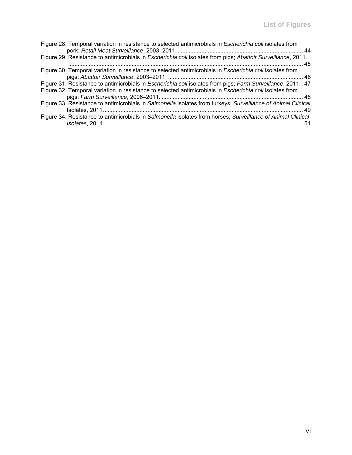| Figure 28. Temporal variation in resistance to selected antimicrobials in Escherichia coli isolates from                                                                                                               |
|------------------------------------------------------------------------------------------------------------------------------------------------------------------------------------------------------------------------|
| Figure 29. Resistance to antimicrobials in Escherichia coli isolates from pigs; Abattoir Surveillance, 2011.                                                                                                           |
| Figure 30. Temporal variation in resistance to selected antimicrobials in Escherichia coli isolates from                                                                                                               |
| Figure 31. Resistance to antimicrobials in Escherichia coli isolates from pigs; Farm Surveillance, 2011 47<br>Figure 32. Temporal variation in resistance to selected antimicrobials in Escherichia coli isolates from |
| Figure 33. Resistance to antimicrobials in Salmonella isolates from turkeys; Surveillance of Animal Clinical                                                                                                           |
| Figure 34. Resistance to antimicrobials in Salmonella isolates from horses; Surveillance of Animal Clinical<br>-51                                                                                                     |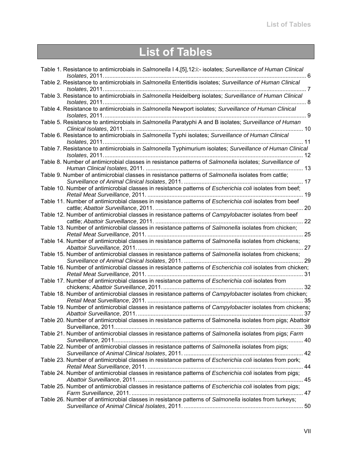# **List of Tables**

| Table 1. Resistance to antimicrobials in Salmonella I 4, [5], 12:i:- isolates; Surveillance of Human Clinical                                   |
|-------------------------------------------------------------------------------------------------------------------------------------------------|
| Table 2. Resistance to antimicrobials in Salmonella Enteritidis isolates; Surveillance of Human Clinical                                        |
| Table 3. Resistance to antimicrobials in Salmonella Heidelberg isolates; Surveillance of Human Clinical                                         |
| Table 4. Resistance to antimicrobials in Salmonella Newport isolates; Surveillance of Human Clinical                                            |
| Table 5. Resistance to antimicrobials in Salmonella Paratyphi A and B isolates; Surveillance of Human                                           |
| Table 6. Resistance to antimicrobials in Salmonella Typhi isolates; Surveillance of Human Clinical                                              |
| Table 7. Resistance to antimicrobials in Salmonella Typhimurium isolates; Surveillance of Human Clinical<br>12                                  |
| Table 8. Number of antimicrobial classes in resistance patterns of Salmonella isolates; Surveillance of                                         |
| Table 9. Number of antimicrobial classes in resistance patterns of Salmonella isolates from cattle;                                             |
| Table 10. Number of antimicrobial classes in resistance patterns of Escherichia coli isolates from beef;                                        |
| Table 11. Number of antimicrobial classes in resistance patterns of Escherichia coli isolates from beef                                         |
| Table 12. Number of antimicrobial classes in resistance patterns of Campylobacter isolates from beef                                            |
| Table 13. Number of antimicrobial classes in resistance patterns of Salmonella isolates from chicken;                                           |
| Table 14. Number of antimicrobial classes in resistance patterns of Salmonella isolates from chickens;                                          |
| Table 15. Number of antimicrobial classes in resistance patterns of Salmonella isolates from chickens;                                          |
| Table 16. Number of antimicrobial classes in resistance patterns of Escherichia coli isolates from chicken;                                     |
| Table 17. Number of antimicrobial classes in resistance patterns of Escherichia coli isolates from                                              |
| Table 18. Number of antimicrobial classes in resistance patterns of Campylobacter isolates from chicken;                                        |
| Table 19. Number of antimicrobial classes in resistance patterns of Campylobacter isolates from chickens;<br>Abattoir Surveillance, 2011.<br>37 |
| Table 20. Number of antimicrobial classes in resistance patterns of Salmonella isolates from pigs; Abattoir                                     |
| Table 21. Number of antimicrobial classes in resistance patterns of Salmonella isolates from pigs; Farm                                         |
| Table 22. Number of antimicrobial classes in resistance patterns of Salmonella isolates from pigs;                                              |
| Table 23. Number of antimicrobial classes in resistance patterns of Escherichia coli isolates from pork;                                        |
| Table 24. Number of antimicrobial classes in resistance patterns of Escherichia coli isolates from pigs;                                        |
| Table 25. Number of antimicrobial classes in resistance patterns of Escherichia coli isolates from pigs;                                        |
| Table 26. Number of antimicrobial classes in resistance patterns of Salmonella isolates from turkeys;                                           |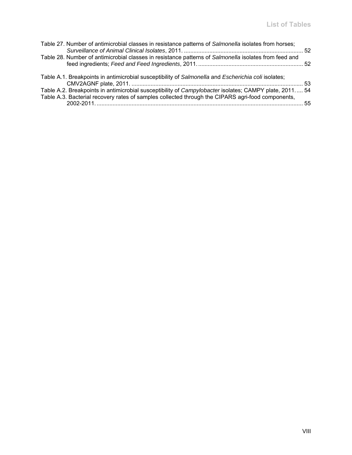| Table 27. Number of antimicrobial classes in resistance patterns of Salmonella isolates from horses;   |  |
|--------------------------------------------------------------------------------------------------------|--|
| Table 28. Number of antimicrobial classes in resistance patterns of Salmonella isolates from feed and  |  |
| Table A.1. Breakpoints in antimicrobial susceptibility of Salmonella and Escherichia coli isolates;    |  |
| Table A.2. Breakpoints in antimicrobial susceptibility of Campylobacter isolates; CAMPY plate, 2011 54 |  |
| Table A.3. Bacterial recovery rates of samples collected through the CIPARS agri-food components,      |  |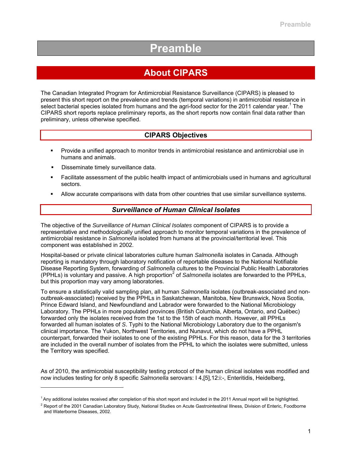# **Preamble**

# **About CIPARS**

The Canadian Integrated Program for Antimicrobial Resistance Surveillance (CIPARS) is pleased to present this short report on the prevalence and trends (temporal variations) in antimicrobial resistance in select bacterial species isolated from humans and the agri-food sector for the 2011 calendar year.<sup>1</sup> The CIPARS short reports replace preliminary reports, as the short reports now contain final data rather than preliminary, unless otherwise specified.

## **CIPARS Objectives**

- Provide a unified approach to monitor trends in antimicrobial resistance and antimicrobial use in humans and animals.
- Disseminate timely surveillance data.

l

- Facilitate assessment of the public health impact of antimicrobials used in humans and agricultural sectors.
- Allow accurate comparisons with data from other countries that use similar surveillance systems.

## *Surveillance of Human Clinical Isolates*

The objective of the *Surveillance of Human Clinical Isolates* component of CIPARS is to provide a representative and methodologically unified approach to monitor temporal variations in the prevalence of antimicrobial resistance in *Salmonella* isolated from humans at the provincial/territorial level. This component was established in 2002.

Hospital-based or private clinical laboratories culture human *Salmonella* isolates in Canada. Although reporting is mandatory through laboratory notification of reportable diseases to the National Notifiable Disease Reporting System, forwarding of *Salmonella* cultures to the Provincial Public Health Laboratories (PPHLs) is voluntary and passive. A high proportion<sup>2</sup> of *Salmonella* isolates are forwarded to the PPHLs, but this proportion may vary among laboratories.

To ensure a statistically valid sampling plan, all human *Salmonella* isolates (outbreak-associated and nonoutbreak-associated) received by the PPHLs in Saskatchewan, Manitoba, New Brunswick, Nova Scotia, Prince Edward Island, and Newfoundland and Labrador were forwarded to the National Microbiology Laboratory. The PPHLs in more populated provinces (British Columbia, Alberta, Ontario, and Québec) forwarded only the isolates received from the 1st to the 15th of each month. However, all PPHLs forwarded all human isolates of *S*. Typhi to the National Microbiology Laboratory due to the organism's clinical importance. The Yukon, Northwest Territories, and Nunavut, which do not have a PPHL counterpart, forwarded their isolates to one of the existing PPHLs. For this reason, data for the 3 territories are included in the overall number of isolates from the PPHL to which the isolates were submitted, unless the Territory was specified.

As of 2010, the antimicrobial susceptibility testing protocol of the human clinical isolates was modified and now includes testing for only 8 specific *Salmonella* serovars: I 4,[5],12:i:-, Enteritidis, Heidelberg,

 $1$ Any additional isolates received after completion of this short report and included in the 2011 Annual report will be highlighted.

<sup>&</sup>lt;sup>2</sup> Report of the 2001 Canadian Laboratory Study, National Studies on Acute Gastrointestinal Illness, Division of Enteric, Foodborne and Waterborne Diseases, 2002.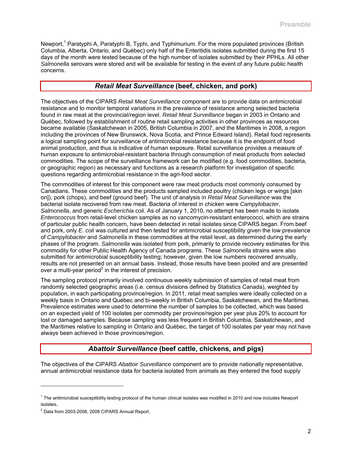Newport,<sup>1</sup> Paratyphi A, Paratyphi B, Typhi, and Typhimurium. For the more populated provinces (British Columbia, Alberta, Ontario, and Québec) only half of the Enteritidis isolates submitted during the first 15 days of the month were tested because of the high number of isolates submitted by their PPHLs. All other *Salmonella* serovars were stored and will be available for testing in the event of any future public health concerns.

## *Retail Meat Surveillance* **(beef, chicken, and pork)**

The objectives of the CIPARS *Retail Meat Surveillance* component are to provide data on antimicrobial resistance and to monitor temporal variations in the prevalence of resistance among selected bacteria found in raw meat at the provincial/region level. *Retail Meat Surveillance* began in 2003 in Ontario and Québec, followed by establishment of routine retail sampling activities in other provinces as resources became available (Saskatchewan in 2005, British Columbia in 2007, and the Maritimes in 2008, a region including the provinces of New Brunswick, Nova Scotia, and Prince Edward Island). Retail food represents a logical sampling point for surveillance of antimicrobial resistance because it is the endpoint of food animal production, and thus is indicative of human exposure. Retail surveillance provides a measure of human exposure to antimicrobial-resistant bacteria through consumption of meat products from selected commodities. The scope of the surveillance framework can be modified (e.g. food commodities, bacteria, or geographic region) as necessary and functions as a research platform for investigation of specific questions regarding antimicrobial resistance in the agri-food sector.

The commodities of interest for this component were raw meat products most commonly consumed by Canadians. These commodities and the products sampled included poultry (chicken legs or wings [skin on]), pork (chops), and beef (ground beef). The unit of analysis in *Retail Meat Surveillance* was the bacterial isolate recovered from raw meat. Bacteria of interest in chicken were *Campylobacter*, *Salmonella*, and generic *Escherichia coli*. As of January 1, 2010, no attempt has been made to isolate *Enterococcus* from retail-level chicken samples as no vancomycin-resistant enterococci, which are strains of particular public health concern, have been detected in retail isolates since CIPARS began. From beef and pork, only *E. coli* was cultured and then tested for antimicrobial susceptibility given the low prevalence of *Campylobacter* and *Salmonella* in these commodities at the retail level, as determined during the early phases of the program. *Salmonella* was isolated from pork, primarily to provide recovery estimates for this commodity for other Public Health Agency of Canada programs. These *Salmonella* strains were also submitted for antimicrobial susceptibility testing; however, given the low numbers recovered annually, results are not presented on an annual basis. Instead, those results have been pooled and are presented over a multi-year period<sup>2</sup> in the interest of precision.

The sampling protocol primarily involved continuous weekly submission of samples of retail meat from randomly selected geographic areas (i.e. census divisions defined by Statistics Canada), weighted by population, in each participating province/region. In 2011, retail meat samples were ideally collected on a weekly basis in Ontario and Québec and bi-weekly in British Columbia, Saskatchewan, and the Maritimes. Prevalence estimates were used to determine the number of samples to be collected, which was based on an expected yield of 100 isolates per commodity per province/region per year plus 20% to account for lost or damaged samples. Because sampling was less frequent in British Columbia, Saskatchewan, and the Maritimes relative to sampling in Ontario and Québec, the target of 100 isolates per year may not have always been achieved in those provinces/region.

## *Abattoir Surveillance* **(beef cattle, chickens, and pigs)**

The objectives of the CIPARS *Abattoir Surveillance* component are to provide nationally representative, annual antimicrobial resistance data for bacteria isolated from animals as they entered the food supply

l

<sup>&</sup>lt;sup>1</sup> The antimicrobial susceptibility testing protocol of the human clinical isolates was modified in 2010 and now includes Newport isolates. 2

 $2$  Data from 2003-2008, 2008 CIPARS Annual Report.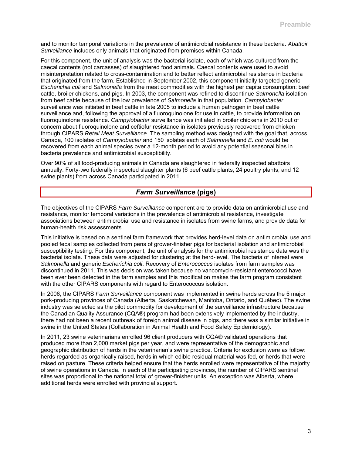and to monitor temporal variations in the prevalence of antimicrobial resistance in these bacteria. *Abattoir Surveillance* includes only animals that originated from premises within Canada.

For this component, the unit of analysis was the bacterial isolate, each of which was cultured from the caecal contents (not carcasses) of slaughtered food animals. Caecal contents were used to avoid misinterpretation related to cross-contamination and to better reflect antimicrobial resistance in bacteria that originated from the farm. Established in September 2002, this component initially targeted generic *Escherichia coli* and *Salmonella* from the meat commodities with the highest per capita consumption: beef cattle, broiler chickens, and pigs. In 2003, the component was refined to discontinue *Salmonella* isolation from beef cattle because of the low prevalence of *Salmonella* in that population. *Campylobacter* surveillance was initiated in beef cattle in late 2005 to include a human pathogen in beef cattle surveillance and, following the approval of a fluoroquinolone for use in cattle, to provide information on fluoroquinolone resistance. *Campylobacter* surveillance was initiated in broiler chickens in 2010 out of concern about fluoroquinolone and ceftiofur resistance in isolates previously recovered from chicken through CIPARS *Retail Meat Surveillance*. The sampling method was designed with the goal that, across Canada, 100 isolates of *Campylobacter* and 150 isolates each of *Salmonella* and *E. coli* would be recovered from each animal species over a 12-month period to avoid any potential seasonal bias in bacteria prevalence and antimicrobial susceptibility.

Over 90% of all food-producing animals in Canada are slaughtered in federally inspected abattoirs annually. Forty-two federally inspected slaughter plants (6 beef cattle plants, 24 poultry plants, and 12 swine plants) from across Canada participated in 2011.

## *Farm Surveillance* **(pigs)**

The objectives of the CIPARS *Farm Surveillance* component are to provide data on antimicrobial use and resistance, monitor temporal variations in the prevalence of antimicrobial resistance, investigate associations between antimicrobial use and resistance in isolates from swine farms, and provide data for human-health risk assessments.

This initiative is based on a sentinel farm framework that provides herd-level data on antimicrobial use and pooled fecal samples collected from pens of grower-finisher pigs for bacterial isolation and antimicrobial susceptibility testing. For this component, the unit of analysis for the antimicrobial resistance data was the bacterial isolate. These data were adjusted for clustering at the herd-level. The bacteria of interest were *Salmonella* and generic *Escherichia coli*. Recovery of *Enterococcus* isolates from farm samples was discontinued in 2011. This was decision was taken because no vancomycin-resistant enterococci have been ever been detected in the farm samples and this modification makes the farm program consistent with the other CIPARS components with regard to Enterococcus isolation.

In 2006, the CIPARS *Farm Surveillance* component was implemented in swine herds across the 5 major pork-producing provinces of Canada (Alberta, Saskatchewan, Manitoba, Ontario, and Québec). The swine industry was selected as the pilot commodity for development of the surveillance infrastructure because the Canadian Quality Assurance (CQA®) program had been extensively implemented by the industry, there had not been a recent outbreak of foreign animal disease in pigs, and there was a similar initiative in swine in the United States (Collaboration in Animal Health and Food Safety Epidemiology).

In 2011, 23 swine veterinarians enrolled 96 client producers with CQA® validated operations that produced more than 2,000 market pigs per year, and were representative of the demographic and geographic distribution of herds in the veterinarian's swine practice. Criteria for exclusion were as follow: herds regarded as organically raised, herds in which edible residual material was fed, or herds that were raised on pasture. These criteria helped ensure that the herds enrolled were representative of the majority of swine operations in Canada. In each of the participating provinces, the number of CIPARS sentinel sites was proportional to the national total of grower-finisher units. An exception was Alberta, where additional herds were enrolled with provincial support.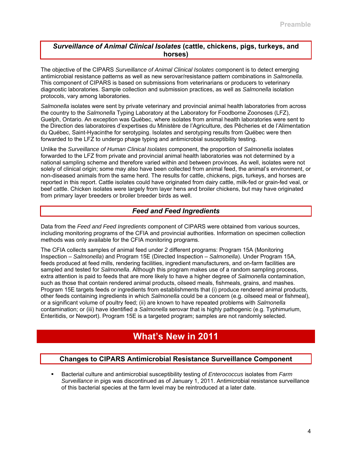## *Surveillance of Animal Clinical Isolates* **(cattle, chickens, pigs, turkeys, and horses)**

The objective of the CIPARS *Surveillance of Animal Clinical Isolates* component is to detect emerging antimicrobial resistance patterns as well as new serovar/resistance pattern combinations in *Salmonella*. This component of CIPARS is based on submissions from veterinarians or producers to veterinary diagnostic laboratories. Sample collection and submission practices, as well as *Salmonella* isolation protocols, vary among laboratories.

*Salmonella* isolates were sent by private veterinary and provincial animal health laboratories from across the country to the *Salmonella* Typing Laboratory at the Laboratory for Foodborne Zoonoses (LFZ), Guelph, Ontario. An exception was Québec, where isolates from animal health laboratories were sent to the Direction des laboratoires d'expertises du Ministère de l'Agriculture, des Pêcheries et de l'Alimentation du Québec, Saint-Hyacinthe for serotyping. Isolates and serotyping results from Québec were then forwarded to the LFZ to undergo phage typing and antimicrobial susceptibility testing.

Unlike the *Surveillance of Human Clinical Isolates* component, the proportion of *Salmonella* isolates forwarded to the LFZ from private and provincial animal health laboratories was not determined by a national sampling scheme and therefore varied within and between provinces. As well, isolates were not solely of clinical origin; some may also have been collected from animal feed, the animal's environment, or non-diseased animals from the same herd. The results for cattle, chickens, pigs, turkeys, and horses are reported in this report. Cattle isolates could have originated from dairy cattle, milk-fed or grain-fed veal, or beef cattle. Chicken isolates were largely from layer hens and broiler chickens, but may have originated from primary layer breeders or broiler breeder birds as well.

## *Feed and Feed Ingredients*

Data from the *Feed and Feed Ingredients* component of CIPARS were obtained from various sources, including monitoring programs of the CFIA and provincial authorities. Information on specimen collection methods was only available for the CFIA monitoring programs.

The CFIA collects samples of animal feed under 2 different programs: Program 15A (Monitoring Inspection – *Salmonella*) and Program 15E (Directed Inspection – *Salmonella*). Under Program 15A, feeds produced at feed mills, rendering facilities, ingredient manufacturers, and on-farm facilities are sampled and tested for *Salmonella*. Although this program makes use of a random sampling process, extra attention is paid to feeds that are more likely to have a higher degree of *Salmonella* contamination, such as those that contain rendered animal products, oilseed meals, fishmeals, grains, and mashes. Program 15E targets feeds or ingredients from establishments that (i) produce rendered animal products, other feeds containing ingredients in which *Salmonella* could be a concern (e.g. oilseed meal or fishmeal), or a significant volume of poultry feed; (ii) are known to have repeated problems with *Salmonella* contamination; or (iii) have identified a *Salmonella* serovar that is highly pathogenic (e.g. Typhimurium, Enteritidis, or Newport). Program 15E is a targeted program; samples are not randomly selected.

## **What's New in 2011**

## **Changes to CIPARS Antimicrobial Resistance Surveillance Component**

 Bacterial culture and antimicrobial susceptibility testing of *Enterococcus* isolates from *Farm Surveillance* in pigs was discontinued as of January 1, 2011. Antimicrobial resistance surveillance of this bacterial species at the farm level may be reintroduced at a later date.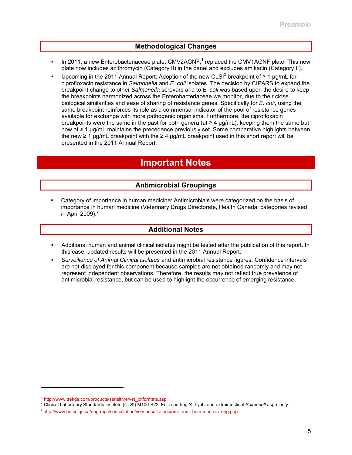## **Methodological Changes**

- In 2011, a new Enterobacteriaceae plate, CMV2AGNF,<sup>1</sup> replaced the CMV1AGNF plate. This new plate now includes azithromycin (Category II) in the panel and excludes amikacin (Category II).
- Upcoming in the 2011 Annual Report: Adoption of the new CLSI<sup>2</sup> breakpoint of  $\geq 1$  µg/mL for ciprofloxacin resistance in *Salmonella* and *E. coli* isolates. The decision by CIPARS to expand the breakpoint change to other *Salmonella* serovars and to *E. coli* was based upon the desire to keep the breakpoints harmonized across the Enterobacteriaceae we monitor, due to their close biological similarities and ease of sharing of resistance genes. Specifically for *E. coli*, using the same breakpoint reinforces its role as a commensal indicator of the pool of resistance genes available for exchange with more pathogenic organisms. Furthermore, the ciprofloxacin breakpoints were the same in the past for both genera (at  $\geq 4 \mu g/mL$ ); keeping them the same but now at ≥ 1 µg/mL maintains the precedence previously set. Some comparative highlights between the new  $\geq 1$  µg/mL breakpoint with the  $\geq 4$  µg/mL breakpoint used in this short report will be presented in the 2011 Annual Report.

# **Important Notes**

## **Antimicrobial Groupings**

 Category of importance in human medicine: Antimicrobials were categorized on the basis of importance in human medicine (Veterinary Drugs Directorate, Health Canada; categories revised in April 2009). $3$ 

## **Additional Notes**

- Additional human and animal clinical isolates might be tested after the publication of this report. In this case, updated results will be presented in the 2011 Annual Report.
- *Surveillance of Animal Clinical Isolates* and antimicrobial resistance figures: Confidence intervals are not displayed for this component because samples are not obtained randomly and may not represent independent observations. Therefore, the results may not reflect true prevalence of antimicrobial resistance, but can be used to highlight the occurrence of emerging resistance.

l

<sup>&</sup>lt;sup>1</sup> http://www.trekds.com/products/sensititre/vet\_pltformats.asp<br><sup>2</sup> Clinical Laboratory Standards Institute (CLSI) M100-S22. For reporting S. Typhi and extraintestinal *Salmonella* spp. only.<br><sup>3</sup> http://www.hc-sc.gc.ca/dh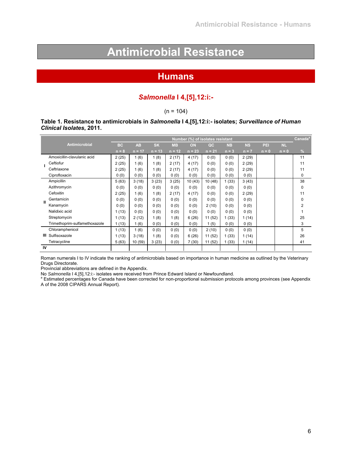# **Antimicrobial Resistance**

# **Humans**

## *Salmonella* **I 4,[5],12:i:-**

## $(n = 104)$

### **Table 1. Resistance to antimicrobials in** *Salmonella* **I 4,[5],12:i:- isolates;** *Surveillance of Human Clinical Isolates***, 2011.**

|              |                               |           |           |           |           |           | Number (%) of isolates resistant |           |           |         |           | Canadaª        |
|--------------|-------------------------------|-----------|-----------|-----------|-----------|-----------|----------------------------------|-----------|-----------|---------|-----------|----------------|
|              | Antimicrobial                 | <b>BC</b> | <b>AB</b> | <b>SK</b> | <b>MB</b> | <b>ON</b> | QC                               | <b>NB</b> | <b>NS</b> | PEI     | <b>NL</b> |                |
|              |                               | $n = 8$   | $n = 17$  | $n = 13$  | $n = 12$  | $n = 23$  | $n = 21$                         | $n = 3$   | $n = 7$   | $n = 0$ | $n = 0$   | $\frac{9}{6}$  |
|              | Amoxicillin-clavulanic acid   | 2(25)     | 1(6)      | 1(8)      | 2(17)     | 4(17)     | 0(0)                             | 0(0)      | 2(29)     |         |           | 11             |
|              | Ceftiofur                     | 2(25)     | 1(6)      | 1(8)      | 2(17)     | 4 (17)    | 0(0)                             | 0(0)      | 2(29)     |         |           | 11             |
|              | Ceftriaxone                   | 2(25)     | 1(6)      | 1(8)      | 2(17)     | 4 (17)    | 0(0)                             | 0(0)      | 2(29)     |         |           | 11             |
|              | Ciprofloxacin                 | 0(0)      | 0(0)      | 0(0)      | 0(0)      | 0(0)      | 0(0)                             | 0(0)      | 0(0)      |         |           | 0              |
|              | Ampicillin                    | 5(63)     | 3(18)     | 3(23)     | 3(25)     | 10(43)    | 10 (48)                          | 1(33)     | 3(43)     |         |           | 38             |
|              | Azithromycin                  | 0(0)      | 0(0)      | 0(0)      | 0(0)      | 0(0)      | 0(0)                             | 0(0)      | 0(0)      |         |           | 0              |
|              | Cefoxitin                     | 2(25)     | 1(6)      | 1(8)      | 2(17)     | 4 (17)    | 0(0)                             | 0(0)      | 2(29)     |         |           | 11             |
| $\mathbf{H}$ | Gentamicin                    | 0(0)      | 0(0)      | 0(0)      | 0(0)      | 0(0)      | 0(0)                             | 0(0)      | 0(0)      |         |           | 0              |
|              | Kanamycin                     | 0(0)      | 0(0)      | 0(0)      | 0(0)      | 0(0)      | 2(10)                            | 0(0)      | 0(0)      |         |           | $\overline{2}$ |
|              | Nalidixic acid                | 1(13)     | 0(0)      | 0(0)      | 0(0)      | 0(0)      | 0(0)                             | 0(0)      | 0(0)      |         |           |                |
|              | Streptomycin                  | 1(13)     | 2(12)     | 1(8)      | 1(8)      | 6(26)     | 11(52)                           | 1(33)     | 1(14)     |         |           | 25             |
|              | Trimethoprim-sulfamethoxazole | 1(13)     | (6)       | 0(0)      | 0(0)      | 0(0)      | 1(5)                             | 0(0)      | 0(0)      |         |           | 3              |
|              | Chloramphenicol               | 1(13)     | 1(6)      | 0(0)      | 0(0)      | 0(0)      | 2(10)                            | 0(0)      | 0(0)      |         |           | 5              |
|              | <b>III</b> Sulfisoxazole      | 1(13)     | 3(18)     | 1(8)      | 0(0)      | 6(26)     | 11(52)                           | 1(33)     | 1(14)     |         |           | 26             |
|              | Tetracycline                  | 5(63)     | 10(59)    | 3(23)     | 0(0)      | 7(30)     | 11(52)                           | 1(33)     | 1(14)     |         |           | 41             |
| IV           |                               |           |           |           |           |           |                                  |           |           |         |           |                |

Roman numerals I to IV indicate the ranking of antimicrobials based on importance in human medicine as outlined by the Veterinary Drugs Directorate.

Provincial abbreviations are defined in the Appendix.

No *Salmonella* I 4,[5],12:i:- isolates were received from Prince Edward Island or Newfoundland.<br>ª Estimated percentages for Canada have been corrected for non-proportional submission protocols among provinces (see Append A of the 2008 CIPARS Annual Report).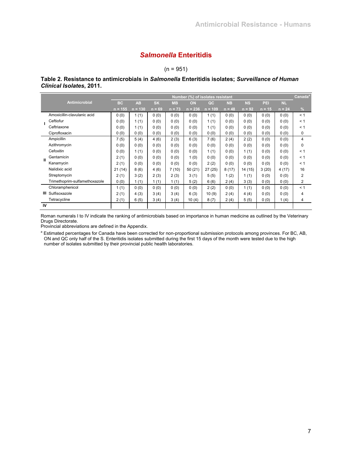## *Salmonella* **Enteritidis**

 $(n = 951)$ 

#### **Table 2. Resistance to antimicrobials in** *Salmonella* **Enteritidis isolates;** *Surveillance of Human Clinical Isolates***, 2011.**

|              |                               |           |           |           |           | Number (%) of isolates resistant |           |           |           |          |           | Canada <sup>a</sup> |
|--------------|-------------------------------|-----------|-----------|-----------|-----------|----------------------------------|-----------|-----------|-----------|----------|-----------|---------------------|
|              | Antimicrobial                 | <b>BC</b> | <b>AB</b> | <b>SK</b> | <b>MB</b> | ON                               | OC        | <b>NB</b> | <b>NS</b> | PEI      | <b>NL</b> |                     |
|              |                               | $n = 155$ | $n = 130$ | $n = 69$  | $n = 73$  | $n = 236$                        | $n = 109$ | $n = 48$  | $n = 92$  | $n = 15$ | $n = 24$  | %                   |
|              | Amoxicillin-clavulanic acid   | 0(0)      | 1(1)      | 0(0)      | 0(0)      | 0(0)                             | 1(1)      | 0(0)      | 0(0)      | 0(0)     | 0(0)      | < 1                 |
|              | Ceftiofur                     | 0(0)      | 1(1)      | 0(0)      | 0(0)      | 0(0)                             | 1(1)      | 0(0)      | 0(0)      | 0(0)     | 0(0)      | < 1                 |
|              | Ceftriaxone                   | 0(0)      | 1(1)      | 0(0)      | 0(0)      | 0(0)                             | 1(1)      | 0(0)      | 0(0)      | 0(0)     | 0(0)      | < 1                 |
|              | Ciprofloxacin                 | 0(0)      | 0(0)      | 0(0)      | 0(0)      | 0(0)                             | 0(0)      | 0(0)      | 0(0)      | 0(0)     | 0(0)      | 0                   |
|              | Ampicillin                    | 7(5)      | 5(4)      | 4(6)      | 2(3)      | 6(3)                             | 7(6)      | 2(4)      | 2(2)      | 0(0)     | 0(0)      | 4                   |
|              | Azithromycin                  | 0(0)      | 0(0)      | 0(0)      | 0(0)      | 0(0)                             | 0(0)      | 0(0)      | 0(0)      | 0(0)     | 0(0)      | 0                   |
|              | Cefoxitin                     | 0(0)      | 1(1)      | 0(0)      | 0(0)      | 0(0)                             | 1(1)      | 0(0)      | 1(1)      | 0(0)     | 0(0)      | < 1                 |
| $\mathbf{H}$ | Gentamicin                    | 2(1)      | 0(0)      | 0(0)      | 0(0)      | 1(0)                             | 0(0)      | 0(0)      | 0(0)      | 0(0)     | 0(0)      | < 1                 |
|              | Kanamycin                     | 2(1)      | 0(0)      | 0(0)      | 0(0)      | 0(0)                             | 2(2)      | 0(0)      | 0(0)      | 0(0)     | 0(0)      | < 1                 |
|              | Nalidixic acid                | 21(14)    | 8(6)      | 4(6)      | 7(10)     | 50(21)                           | 27(25)    | 8(17)     | 14 (15)   | 3(20)    | 4(17)     | 16                  |
|              | Streptomycin                  | 2(1)      | 3(2)      | 2(3)      | 2(3)      | 3(1)                             | 5(5)      | 1(2)      | 1(1)      | 0(0)     | 0(0)      | 2                   |
|              | Trimethoprim-sulfamethoxazole | 0(0)      | 1(1)      | 1(1)      | 1(1)      | 5(2)                             | 6(6)      | 2(4)      | 3(3)      | 0(0)     | 0(0)      | 2                   |
|              | Chloramphenicol               | 1(1)      | 0(0)      | 0(0)      | 0(0)      | 0(0)                             | 2(2)      | 0(0)      | 1(1)      | 0(0)     | 0(0)      | < 1                 |
| Ш            | Sulfisoxazole                 | 2(1)      | 4(3)      | 3(4)      | 3(4)      | 6(3)                             | 10(9)     | 2(4)      | 4(4)      | 0(0)     | 0(0)      | 4                   |
|              | Tetracycline                  | 2(1)      | 6(5)      | 3(4)      | 3(4)      | 10(4)                            | 8(7)      | 2(4)      | 5(5)      | 0(0)     | 1(4)      | 4                   |
| <b>IV</b>    |                               |           |           |           |           |                                  |           |           |           |          |           |                     |

Roman numerals I to IV indicate the ranking of antimicrobials based on importance in human medicine as outlined by the Veterinary Drugs Directorate.

Provincial abbreviations are defined in the Appendix.

<sup>a</sup> Estimated percentages for Canada have been corrected for non-proportional submission protocols among provinces. For BC, AB, ON and QC only half of the S. Enteritidis isolates submitted during the first 15 days of the month were tested due to the high number of isolates submitted by their provincial public health laboratories.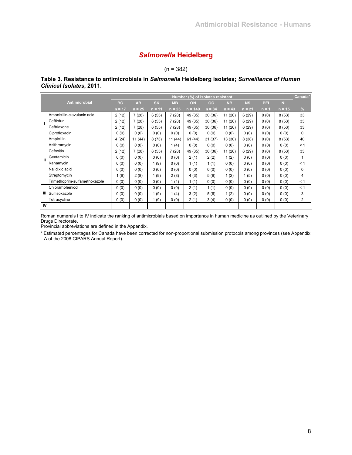## *Salmonella* **Heidelberg**

 $(n = 382)$ 

#### **Table 3. Resistance to antimicrobials in** *Salmonella* **Heidelberg isolates;** *Surveillance of Human Clinical Isolates***, 2011.**

|              |                               |           |           |           |           | Number (%) of isolates resistant |          |           |           |         |           | Canada <sup>a</sup> |
|--------------|-------------------------------|-----------|-----------|-----------|-----------|----------------------------------|----------|-----------|-----------|---------|-----------|---------------------|
|              | Antimicrobial                 | <b>BC</b> | <b>AB</b> | <b>SK</b> | <b>MB</b> | ON                               | QC       | <b>NB</b> | <b>NS</b> | PEI     | <b>NL</b> |                     |
|              |                               | $n = 17$  | $n = 25$  | $n = 11$  | $n = 25$  | $n = 140$                        | $n = 84$ | $n = 43$  | $n = 21$  | $n = 1$ | $n = 15$  | $\frac{9}{6}$       |
|              | Amoxicillin-clavulanic acid   | 2(12)     | 7(28)     | 6(55)     | 7(28)     | 49 (35)                          | 30 (36)  | 11(26)    | 6(29)     | 0(0)    | 8(53)     | 33                  |
|              | Ceftiofur                     | 2(12)     | 7(28)     | 6(55)     | 7(28)     | 49 (35)                          | 30(36)   | 11 (26)   | 6(29)     | 0(0)    | 8(53)     | 33                  |
|              | Ceftriaxone                   | 2(12)     | 7(28)     | 6(55)     | 7(28)     | 49 (35)                          | 30(36)   | 11 (26)   | 6(29)     | 0(0)    | 8(53)     | 33                  |
|              | Ciprofloxacin                 | 0(0)      | 0(0)      | 0(0)      | 0(0)      | 0(0)                             | 0(0)     | 0(0)      | 0(0)      | 0(0)    | 0(0)      | 0                   |
|              | Ampicillin                    | 4(24)     | 11(44)    | 8(73)     | 11(44)    | 61 (44)                          | 31 (37)  | 13 (30)   | 8(38)     | 0(0)    | 8(53)     | 40                  |
|              | Azithromycin                  | 0(0)      | 0(0)      | 0(0)      | 1(4)      | 0(0)                             | 0(0)     | 0(0)      | 0(0)      | 0(0)    | 0(0)      | < 1                 |
|              | Cefoxitin                     | 2(12)     | 7(28)     | 6(55)     | 7(28)     | 49 (35)                          | 30(36)   | 11(26)    | 6(29)     | 0(0)    | 8(53)     | 33                  |
| $\mathbf{H}$ | Gentamicin                    | 0(0)      | 0(0)      | 0(0)      | 0(0)      | 2(1)                             | 2(2)     | 1(2)      | 0(0)      | 0(0)    | 0(0)      |                     |
|              | Kanamycin                     | 0(0)      | 0(0)      | 1(9)      | 0(0)      | 1(1)                             | 1(1)     | 0(0)      | 0(0)      | 0(0)    | 0(0)      | < 1                 |
|              | Nalidixic acid                | 0(0)      | 0(0)      | 0(0)      | 0(0)      | 0(0)                             | 0(0)     | 0(0)      | 0(0)      | 0(0)    | 0(0)      | 0                   |
|              | Streptomycin                  | 1(6)      | 2(8)      | 1(9)      | 2(8)      | 4(3)                             | 5(6)     | 1(2)      | 1(5)      | 0(0)    | 0(0)      | 4                   |
|              | Trimethoprim-sulfamethoxazole | 0(0)      | 0(0)      | 0(0)      | (4)       | 1(1)                             | 0(0)     | 0(0)      | 0(0)      | 0(0)    | 0(0)      | < 1                 |
|              | Chloramphenicol               | 0(0)      | 0(0)      | 0(0)      | 0(0)      | 2(1)                             | 1(1)     | 0(0)      | 0(0)      | 0(0)    | 0(0)      | < 1                 |
| Ш            | Sulfisoxazole                 | 0(0)      | 0(0)      | 1(9)      | 1(4)      | 3(2)                             | 5(6)     | 1(2)      | 0(0)      | 0(0)    | 0(0)      | 3                   |
|              | Tetracycline                  | 0(0)      | 0(0)      | 1(9)      | 0(0)      | 2(1)                             | 3(4)     | 0(0)      | 0(0)      | 0(0)    | 0(0)      | 2                   |
| IV           |                               |           |           |           |           |                                  |          |           |           |         |           |                     |

Roman numerals I to IV indicate the ranking of antimicrobials based on importance in human medicine as outlined by the Veterinary Drugs Directorate.

Provincial abbreviations are defined in the Appendix.

<sup>a</sup> Estimated percentages for Canada have been corrected for non-proportional submission protocols among provinces (see Appendix A of the 2008 CIPARS Annual Report).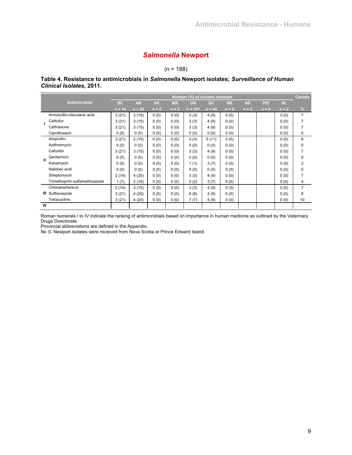## *Salmonella* **Newport**

## $(n = 188)$

#### **Table 4. Resistance to antimicrobials in** *Salmonella* **Newport isolates;** *Surveillance of Human Clinical Isolates***, 2011.**

|              |                               |           |           |           |           | Number (%) of isolates resistant |          |           |           |         |           | Canada         |
|--------------|-------------------------------|-----------|-----------|-----------|-----------|----------------------------------|----------|-----------|-----------|---------|-----------|----------------|
|              | <b>Antimicrobial</b>          | <b>BC</b> | <b>AB</b> | <b>SK</b> | <b>MB</b> | ON                               | QC       | <b>NB</b> | <b>NS</b> | PEI     | <b>NL</b> |                |
|              |                               | $n = 14$  | $n = 20$  | $n = 2$   | $n = 3$   | $n = 101$                        | $n = 44$ | $n = 2$   | $n = 0$   | $n = 0$ | $n = 2$   | $\frac{9}{6}$  |
|              | Amoxicillin-clavulanic acid   | 3(21)     | 3(15)     | 0(0)      | 0(0)      | 3(3)                             | 4(9)     | 0(0)      |           |         | 0(0)      | 7              |
|              | Ceftiofur                     | 3(21)     | 3(15)     | 0(0)      | 0(0)      | 3(3)                             | 4(9)     | 0(0)      |           |         | 0(0)      |                |
|              | Ceftriaxone                   | 3(21)     | 3(15)     | 0(0)      | 0(0)      | 3(3)                             | 4(9)     | 0(0)      |           |         | 0(0)      |                |
|              | Ciprofloxacin                 | 0(0)      | 0(0)      | 0(0)      | 0(0)      | 0(0)                             | 0(0)     | 0(0)      |           |         | 0(0)      | 0              |
|              | Ampicillin                    | 3(21)     | 3(15)     | 0(0)      | 0(0)      | 3(3)                             | 5(11)    | 0(0)      |           |         | 0(0)      | 8              |
|              | Azithromycin                  | 0(0)      | 0(0)      | 0(0)      | 0(0)      | 0(0)                             | 0(0)     | 0(0)      |           |         | 0(0)      | 0              |
|              | Cefoxitin                     | 3(21)     | 3(15)     | 0(0)      | 0(0)      | 3(3)                             | 4(9)     | 0(0)      |           |         | 0(0)      |                |
| $\mathbf{H}$ | Gentamicin                    | 0(0)      | 0(0)      | 0(0)      | 0(0)      | 0(0)                             | 0(0)     | 0(0)      |           |         | 0(0)      | 0              |
|              | Kanamycin                     | 0(0)      | 0(0)      | 0(0)      | 0(0)      | 1(1)                             | 3(7)     | 0(0)      |           |         | 0(0)      | 2              |
|              | Nalidixic acid                | 0(0)      | 0(0)      | 0(0)      | 0(0)      | 0(0)                             | 0(0)     | 0(0)      |           |         | 0(0)      | 0              |
|              | Streptomycin                  | 2(14)     | 4(20)     | 0(0)      | 0(0)      | 3(3)                             | 4(9)     | 0(0)      |           |         | 0(0)      |                |
|              | Trimethoprim-sulfamethoxazole | 1(7)      | 2(10)     | 0(0)      | 0(0)      | 2(2)                             | 3(7)     | 0(0)      |           |         | 0(0)      | 4              |
|              | Chloramphenicol               | 2(14)     | 3(15)     | 0(0)      | 0(0)      | 3(3)                             | 4(9)     | 0(0)      |           |         | 0(0)      | $\overline{7}$ |
| Ш            | Sulfisoxazole                 | 3(21)     | 4(20)     | 0(0)      | 0(0)      | 6(6)                             | 4(9)     | 0(0)      |           |         | 0(0)      | 9              |
|              | Tetracycline                  | 3(21)     | 4(20)     | 0(0)      | 0(0)      | 7(7)                             | 4(9)     | 0(0)      |           |         | 0(0)      | 10             |
| IV           |                               |           |           |           |           |                                  |          |           |           |         |           |                |

Roman numerals I to IV indicate the ranking of antimicrobials based on importance in human medicine as outlined by the Veterinary Drugs Directorate.

Provincial abbreviations are defined in the Appendix.

No *S*. Newport isolates were received from Nova Scotia or Prince Edward Island.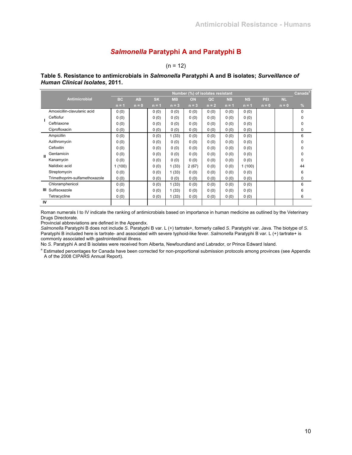## *Salmonella* **Paratyphi A and Paratyphi B**

 $(n = 12)$ 

#### **Table 5. Resistance to antimicrobials in** *Salmonella* **Paratyphi A and B isolates;** *Surveillance of Human Clinical Isolates***, 2011.**

|              |                               |           |           |           |           | Number (%) of isolates resistant |         |           |           |         |           | Canada <sup>a</sup> |
|--------------|-------------------------------|-----------|-----------|-----------|-----------|----------------------------------|---------|-----------|-----------|---------|-----------|---------------------|
|              | Antimicrobial                 | <b>BC</b> | <b>AB</b> | <b>SK</b> | <b>MB</b> | <b>ON</b>                        | QC      | <b>NB</b> | <b>NS</b> | PEI     | <b>NL</b> |                     |
|              |                               | $n = 1$   | $n = 0$   | $n = 1$   | $n = 3$   | $n = 3$                          | $n = 2$ | $n = 1$   | $n = 1$   | $n = 0$ | $n = 0$   | $\frac{9}{6}$       |
|              | Amoxicillin-clavulanic acid   | 0(0)      |           | 0(0)      | 0(0)      | 0(0)                             | 0(0)    | 0(0)      | 0(0)      |         |           | 0                   |
|              | Ceftiofur                     | 0(0)      |           | 0(0)      | 0(0)      | 0(0)                             | 0(0)    | 0(0)      | 0(0)      |         |           | 0                   |
|              | Ceftriaxone                   | 0(0)      |           | 0(0)      | 0(0)      | 0(0)                             | 0(0)    | 0(0)      | 0(0)      |         |           | 0                   |
|              | Ciprofloxacin                 | 0(0)      |           | 0(0)      | 0(0)      | 0(0)                             | 0(0)    | 0(0)      | 0(0)      |         |           | 0                   |
|              | Ampicillin                    | 0(0)      |           | 0(0)      | 1(33)     | 0(0)                             | 0(0)    | 0(0)      | 0(0)      |         |           | 6                   |
|              | Azithromycin                  | 0(0)      |           | 0(0)      | 0(0)      | 0(0)                             | 0(0)    | 0(0)      | 0(0)      |         |           | 0                   |
|              | Cefoxitin                     | 0(0)      |           | 0(0)      | 0(0)      | 0(0)                             | 0(0)    | 0(0)      | 0(0)      |         |           | 0                   |
| $\mathbf{u}$ | Gentamicin                    | 0(0)      |           | 0(0)      | 0(0)      | 0(0)                             | 0(0)    | 0(0)      | 0(0)      |         |           | 0                   |
|              | Kanamycin                     | 0(0)      |           | 0(0)      | 0(0)      | 0(0)                             | 0(0)    | 0(0)      | 0(0)      |         |           | 0                   |
|              | Nalidixic acid                | 1(100)    |           | 0(0)      | 1(33)     | 2(67)                            | 0(0)    | 0(0)      | 1(100)    |         |           | 44                  |
|              | Streptomycin                  | 0(0)      |           | 0(0)      | 1(33)     | 0(0)                             | 0(0)    | 0(0)      | 0(0)      |         |           | 6                   |
|              | Trimethoprim-sulfamethoxazole | 0(0)      |           | 0(0)      | 0(0)      | 0(0)                             | 0(0)    | 0(0)      | 0(0)      |         |           | 0                   |
|              | Chloramphenicol               | 0(0)      |           | 0(0)      | 1(33)     | 0(0)                             | 0(0)    | 0(0)      | 0(0)      |         |           | 6                   |
| Ш            | Sulfisoxazole                 | 0(0)      |           | 0(0)      | 1(33)     | 0(0)                             | 0(0)    | 0(0)      | 0(0)      |         |           | 6                   |
|              | Tetracycline                  | 0(0)      |           | 0(0)      | 1(33)     | 0(0)                             | 0(0)    | 0(0)      | 0(0)      |         |           | 6                   |
| <b>IV</b>    |                               |           |           |           |           |                                  |         |           |           |         |           |                     |

Roman numerals I to IV indicate the ranking of antimicrobials based on importance in human medicine as outlined by the Veterinary Drugs Directorate.

Provincial abbreviations are defined in the Appendix.

*Salmonella* Paratyphi B does not include *S*. Paratyphi B var. L (+) tartrate+, formerly called *S*. Paratyphi var. Java. The biotype of *S*. Paratyphi B included here is tartrate- and associated with severe typhoid-like fever. *Salmonella* Paratyphi B var. L (+) tartrate+ is commonly associated with gastrointestinal illness.

No *S*. Paratyphi A and B isolates were received from Alberta, Newfoundland and Labrador, or Prince Edward Island.

<sup>a</sup> Estimated percentages for Canada have been corrected for non-proportional submission protocols among provinces (see Appendix A of the 2008 CIPARS Annual Report).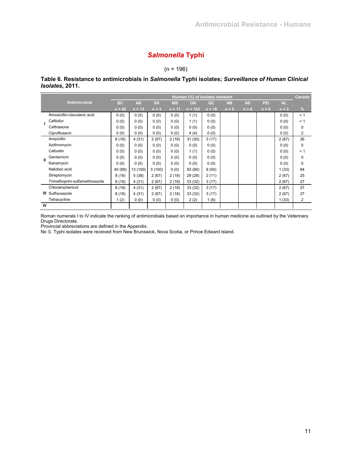## *Salmonella* **Typhi**

 $(n = 196)$ 

**Table 6. Resistance to antimicrobials in** *Salmonella* **Typhi isolates;** *Surveillance of Human Clinical Isolates***, 2011.** 

|              |                               |           |           |           |           | Number (%) of isolates resistant |          |           |           |         |         | Canada        |
|--------------|-------------------------------|-----------|-----------|-----------|-----------|----------------------------------|----------|-----------|-----------|---------|---------|---------------|
|              | Antimicrobial                 | <b>BC</b> | <b>AB</b> | <b>SK</b> | <b>MB</b> | ON                               | OC       | <b>NB</b> | <b>NS</b> | PEI     | NL.     |               |
|              |                               | $n = 45$  | $n = 13$  | $n = 3$   | $n = 11$  | $n = 103$                        | $n = 18$ | $n = 0$   | $n = 0$   | $n = 0$ | $n = 3$ | $\frac{9}{6}$ |
|              | Amoxicillin-clavulanic acid   | 0(0)      | 0(0)      | 0(0)      | 0(0)      | 1(1)                             | 0(0)     |           |           |         | 0(0)    | < 1           |
|              | Ceftiofur                     | 0(0)      | 0(0)      | 0(0)      | 0(0)      | 1(1)                             | 0(0)     |           |           |         | 0(0)    | $\leq 1$      |
|              | Ceftriaxone                   | 0(0)      | 0(0)      | 0(0)      | 0(0)      | 0(0)                             | 0(0)     |           |           |         | 0(0)    | 0             |
|              | Ciprofloxacin                 | 0(0)      | 0(0)      | 0(0)      | 0(0)      | 4(4)                             | 0(0)     |           |           |         | 0(0)    | 2             |
|              | Ampicillin                    | 8(18)     | 4(31)     | 2(67)     | 2(18)     | 31(30)                           | 3(17)    |           |           |         | 2(67)   | 26            |
|              | Azithromycin                  | 0(0)      | 0(0)      | 0(0)      | 0(0)      | 0(0)                             | 0(0)     |           |           |         | 0(0)    | 0             |
|              | Cefoxitin                     | 0(0)      | 0(0)      | 0(0)      | 0(0)      | 1(1)                             | 0(0)     |           |           |         | 0(0)    | < 1           |
| $\mathbf{H}$ | Gentamicin                    | 0(0)      | 0(0)      | 0(0)      | 0(0)      | 0(0)                             | 0(0)     |           |           |         | 0(0)    | 0             |
|              | Kanamycin                     | 0(0)      | 0(0)      | 0(0)      | 0(0)      | 0(0)                             | 0(0)     |           |           |         | 0(0)    | 0             |
|              | Nalidixic acid                | 40 (89)   | 13 (100)  | 3(100)    | 0(0)      | 93 (90)                          | 9(50)    |           |           |         | 1(33)   | 84            |
|              | Streptomycin                  | 8(18)     | 5(38)     | 2(67)     | 2(18)     | 29 (28)                          | 2(11)    |           |           |         | 2(67)   | 25            |
|              | Trimethoprim-sulfamethoxazole | 8(18)     | 4(31)     | 2(67)     | 2(18)     | 33(32)                           | 3(17)    |           |           |         | 2(67)   | 27            |
|              | Chloramphenicol               | 8(18)     | 4(31)     | 2(67)     | 2(18)     | 33 (32)                          | 3(17)    |           |           |         | 2(67)   | 27            |
| Ш            | Sulfisoxazole                 | 8(18)     | 4(31)     | 2(67)     | 2(18)     | 33(32)                           | 3(17)    |           |           |         | 2(67)   | 27            |
|              | Tetracycline                  | 1(2)      | 0(0)      | 0(0)      | 0(0)      | 2(2)                             | 1(6)     |           |           |         | 1(33)   | 2             |
| <b>IV</b>    |                               |           |           |           |           |                                  |          |           |           |         |         |               |

Roman numerals I to IV indicate the ranking of antimicrobials based on importance in human medicine as outlined by the Veterinary Drugs Directorate.

Provincial abbreviations are defined in the Appendix.

No *S*. Typhi isolates were received from New Brunswick, Nova Scotia, or Prince Edward Island.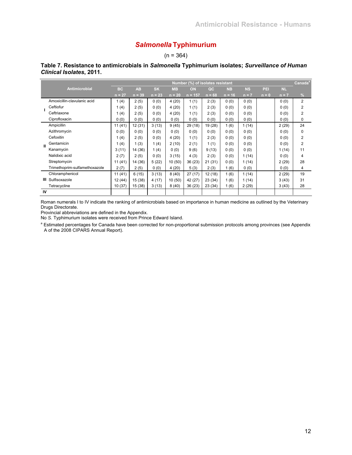# *Salmonella* **Typhimurium**

## $(n = 364)$

|              |                               |           |           |           |           | Number (%) of isolates resistant |          |           |           |         |           | Canada <sup>®</sup> |
|--------------|-------------------------------|-----------|-----------|-----------|-----------|----------------------------------|----------|-----------|-----------|---------|-----------|---------------------|
|              | <b>Antimicrobial</b>          | <b>BC</b> | <b>AB</b> | <b>SK</b> | <b>MB</b> | ON                               | QC       | <b>NB</b> | <b>NS</b> | PEI     | <b>NL</b> |                     |
|              |                               | $n = 27$  | $n = 39$  | $n = 23$  | $n = 20$  | $n = 157$                        | $n = 68$ | $n = 16$  | $n = 7$   | $n = 0$ | $n = 7$   | $\frac{9}{6}$       |
|              | Amoxicillin-clavulanic acid   | 1(4)      | 2(5)      | 0(0)      | 4(20)     | 1(1)                             | 2(3)     | 0(0)      | 0(0)      |         | 0(0)      | $\overline{2}$      |
|              | Ceftiofur                     | 1(4)      | 2(5)      | 0(0)      | 4(20)     | 1(1)                             | 2(3)     | 0(0)      | 0(0)      |         | 0(0)      | 2                   |
|              | Ceftriaxone                   | 1(4)      | 2(5)      | 0(0)      | 4(20)     | 1(1)                             | 2(3)     | 0(0)      | 0(0)      |         | 0(0)      | 2                   |
|              | Ciprofloxacin                 | 0(0)      | 0(0)      | 0(0)      | 0(0)      | 0(0)                             | 0(0)     | 0(0)      | 0(0)      |         | 0(0)      | 0                   |
|              | Ampicillin                    | 11(41)    | 12 (31)   | 3(13)     | 9(45)     | 29 (18)                          | 19 (28)  | 1(6)      | 1(14)     |         | 2(29)     | 24                  |
|              | Azithromycin                  | 0(0)      | 0(0)      | 0(0)      | 0(0)      | 0(0)                             | 0(0)     | 0(0)      | 0(0)      |         | 0(0)      | 0                   |
|              | Cefoxitin                     | 1(4)      | 2(5)      | 0(0)      | 4(20)     | 1(1)                             | 2(3)     | 0(0)      | 0(0)      |         | 0(0)      | 2                   |
| $\mathbf{u}$ | Gentamicin                    | 1(4)      | 1(3)      | 1(4)      | 2(10)     | 2(1)                             | 1(1)     | 0(0)      | 0(0)      |         | 0(0)      | 2                   |
|              | Kanamycin                     | 3(11)     | 14 (36)   | 1(4)      | 0(0)      | 9(6)                             | 9(13)    | 0(0)      | 0(0)      |         | 1(14)     | 11                  |
|              | Nalidixic acid                | 2(7)      | 2(5)      | 0(0)      | 3(15)     | 4(3)                             | 2(3)     | 0(0)      | 1(14)     |         | 0(0)      | 4                   |
|              | Streptomycin                  | 11(41)    | 14 (36)   | 5(22)     | 10(50)    | 36 (23)                          | 21(31)   | 0(0)      | 1(14)     |         | 2(29)     | 28                  |
|              | Trimethoprim-sulfamethoxazole | 2(7)      | 2(5)      | 0(0)      | 4(20)     | 5(3)                             | 2(3)     | 1(6)      | 0(0)      |         | 0(0)      | 4                   |
|              | Chloramphenicol               | 11(41)    | 6(15)     | 3(13)     | 8(40)     | 27(17)                           | 12 (18)  | 1(6)      | 1(14)     |         | 2(29)     | 19                  |
| ш            | Sulfisoxazole                 | 12 (44)   | 15 (38)   | 4(17)     | 10 (50)   | 42 (27)                          | 23(34)   | 1(6)      | 1(14)     |         | 3(43)     | 31                  |
|              | Tetracycline                  | 10(37)    | 15 (38)   | 3(13)     | 8(40)     | 36 (23)                          | 23(34)   | 1(6)      | 2(29)     |         | 3(43)     | 28                  |
| IV           |                               |           |           |           |           |                                  |          |           |           |         |           |                     |

### **Table 7. Resistance to antimicrobials in** *Salmonella* **Typhimurium isolates;** *Surveillance of Human Clinical Isolates***, 2011.**

Roman numerals I to IV indicate the ranking of antimicrobials based on importance in human medicine as outlined by the Veterinary Drugs Directorate.

Provincial abbreviations are defined in the Appendix.

No *S.* Typhimurium isolates were received from Prince Edward Island.

<sup>a</sup> Estimated percentages for Canada have been corrected for non-proportional submission protocols among provinces (see Appendix A of the 2008 CIPARS Annual Report).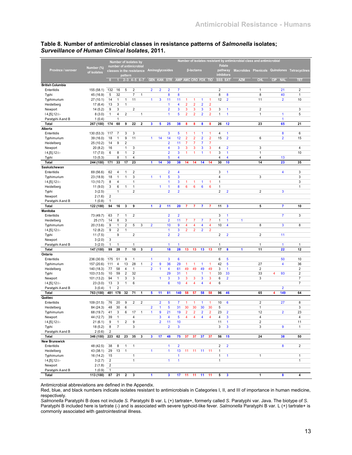|                         |             |                |                | Number of isolates by                |                         |                         |                         |                         |                         |                         |                         |                |                         |                |                         |                          | Number of isolates resistant by antimicrobial class and antimicrobial |                         |                                               |                         |
|-------------------------|-------------|----------------|----------------|--------------------------------------|-------------------------|-------------------------|-------------------------|-------------------------|-------------------------|-------------------------|-------------------------|----------------|-------------------------|----------------|-------------------------|--------------------------|-----------------------------------------------------------------------|-------------------------|-----------------------------------------------|-------------------------|
| Province / serovar      | Number (%)  |                |                | number of antimicrobial              |                         |                         |                         |                         | Aminoglycosides         |                         |                         | β-lactams      |                         |                |                         | <b>Folate</b><br>pathway |                                                                       |                         | Macrolides Phenicols Quinolones Tetracyclines |                         |
|                         | of isolates |                |                | classes in the resistance<br>pattern |                         |                         |                         |                         |                         |                         |                         |                |                         |                |                         | inhibitors               |                                                                       |                         |                                               |                         |
|                         |             | $\bullet$      |                | $2 - 3$ 4-5 6-7                      |                         |                         |                         |                         | <b>GEN KAN STR</b>      |                         | AMP AMC CRO FOX TIO     |                |                         |                | SSS SXT                 |                          | <b>AZM</b>                                                            | <b>CHI</b>              | <b>NAL</b><br>CIP                             | ΠE                      |
| <b>British Columbia</b> |             |                |                |                                      |                         |                         |                         |                         |                         |                         |                         |                |                         |                |                         |                          |                                                                       |                         |                                               |                         |
| Enteritidis             | 155 (58.1)  | 132            | 16             | 5                                    | $\boldsymbol{2}$        |                         | $\overline{2}$          | $\overline{2}$          | 2                       | $\overline{7}$          |                         |                |                         |                | $\sqrt{2}$              |                          |                                                                       | $\mathbf{1}$            | 21                                            | 2                       |
| Typhi                   | 45 (16.9)   | 5              | 32             |                                      | 7                       | $\mathbf{1}$            |                         |                         | 8                       | 8                       |                         |                |                         |                | 8                       | 8                        |                                                                       | 8                       | 40                                            | $\mathbf{1}$            |
| Typhimurium             | 27 (10.1)   | 14             | $\mathbf{1}$   | 1                                    | 11                      |                         | $\mathbf{1}$            | 3                       | 11                      | 11                      | 1                       | 1              | $\mathbf{1}$            | 1              | 12                      | $\overline{2}$           |                                                                       | 11                      | $\overline{2}$                                | 10                      |
| Heidelberg              | 17(6.4)     | 13             | 3              | 1                                    |                         |                         |                         |                         | 1                       | 4                       | $\overline{2}$          | $\overline{2}$ | $\overline{2}$          | $\overline{2}$ |                         |                          |                                                                       |                         |                                               |                         |
| Newport                 | 14(5.2)     | 9              | 3              |                                      | $\overline{2}$          |                         |                         |                         | $\overline{2}$          | 3                       | 3                       | 3              | 3                       | 3              | 3                       | 1                        |                                                                       | $\overline{2}$          |                                               | 3                       |
| $14, [5], 12$ :         | 8(3.0)      | 1              | 4              | $\overline{2}$                       |                         | $\mathbf{1}$            |                         |                         | 1                       | 5                       | $\overline{\mathbf{c}}$ | $\overline{2}$ | $\overline{\mathbf{2}}$ | $\overline{2}$ | 1                       | $\mathbf{1}$             |                                                                       | $\mathbf{1}$            | 1                                             | 5                       |
| Paratyphi A and B       | 1(0.4)      |                | 1              |                                      |                         |                         |                         |                         |                         |                         |                         |                |                         |                |                         |                          |                                                                       |                         | $\mathbf{1}$                                  |                         |
| Total<br>Alberta        | 267 (100)   | 174            | 60             | 9                                    | 22                      | $\overline{\mathbf{2}}$ | 3                       | 5                       | 25                      | 38                      | 8                       | 8              | 8                       | 8              | 26                      | 12                       |                                                                       | 23                      | 65                                            | 21                      |
| Enteritidis             | 130 (53.3)  | 117            | $\overline{7}$ | 3                                    | 3                       |                         |                         |                         | 3                       | 5                       | 1                       | 1              | 1                       | 1              | 4                       | 1                        |                                                                       |                         | 8                                             | 6                       |
| Typhimurium             | 39 (16.0)   | 18             | $\mathbf{1}$   | 9                                    | 11                      |                         | $\mathbf{1}$            | 14                      | 14                      | 12                      | $\overline{2}$          | $\overline{2}$ | $\overline{2}$          | $\overline{2}$ | 15                      | $\overline{2}$           |                                                                       | 6                       | $\overline{2}$                                | 15                      |
| Heidelberg              | 25 (10.2)   | 14             | 9              | $\overline{2}$                       |                         |                         |                         |                         | $\overline{2}$          | 11                      | 7                       | 7              | 7                       | $\overline{7}$ |                         |                          |                                                                       |                         |                                               |                         |
| Newport                 | 20(8.2)     | 16             |                | $\mathbf{1}$                         | 3                       |                         |                         |                         | 4                       | 3                       | 3                       | 3              | 3                       | 3              | 4                       | $\overline{2}$           |                                                                       | 3                       |                                               | 4                       |
| $14, [5], 12$ :         | 17(7.0)     | 6              | 8              | $\mathbf{1}$                         | $\overline{\mathbf{c}}$ |                         |                         |                         | $\overline{2}$          | 3                       | 1                       | 1              | $\mathbf{1}$            | 1              | 3                       | $\mathbf{1}$             |                                                                       | $\mathbf{1}$            |                                               | 10                      |
| Typhi                   | 13(5.3)     |                | 8              | $\mathbf{1}$                         | 4                       |                         |                         |                         | 5                       | $\overline{\mathbf{4}}$ |                         |                |                         |                | 4                       | 4                        |                                                                       | $\overline{4}$          | 13                                            |                         |
| Total                   | 244 (100)   | 171            | 33             | 17                                   | 23                      |                         | 1                       | 14                      | 30                      | 38                      | 14                      | 14             | 14                      | 14             | 30                      | 10                       |                                                                       | 14                      | 23                                            | 35                      |
| Saskatchewan            |             |                |                |                                      |                         |                         |                         |                         |                         |                         |                         |                |                         |                |                         |                          |                                                                       |                         |                                               |                         |
| Enteritidis             | 69 (56.6)   | 62             | 4              | $\mathbf{1}$                         | $\overline{\mathbf{c}}$ |                         |                         |                         | $\overline{2}$          | $\overline{\mathbf{4}}$ |                         |                |                         |                | 3                       | 1                        |                                                                       |                         | 4                                             | 3                       |
| Typhimurium             | 23 (18.9)   | 18             | $\mathbf{1}$   | $\mathbf{1}$                         | 3                       |                         | $\mathbf{1}$            | 1                       | 5                       | 3                       |                         |                |                         |                | 4                       |                          |                                                                       | 3                       |                                               | 3                       |
| $14, [5], 12$ :         | 13 (10.7)   | 8              | 4              |                                      | $\mathbf{1}$            |                         |                         |                         | 1                       | $\overline{3}$          | 1                       | 1              | 1                       | 1              | 1                       |                          |                                                                       |                         |                                               | 3                       |
| Heidelberg              | 11(9.0)     | 3              | 6              | $\mathbf{1}$                         | 1                       |                         |                         | 1                       | 1                       | 8                       | 6                       | 6              | $6\phantom{1}6$         | 6              | 1                       |                          |                                                                       |                         |                                               | 1                       |
| Typhi                   | 3(2.5)      |                | 1              |                                      | $\overline{\mathbf{c}}$ |                         |                         |                         | $\overline{\mathbf{c}}$ | $\overline{2}$          |                         |                |                         |                | $\overline{\mathbf{c}}$ | $\overline{2}$           |                                                                       | $\overline{\mathbf{c}}$ | 3                                             |                         |
| Newport                 | 2(1.6)      | $\overline{2}$ |                |                                      |                         |                         |                         |                         |                         |                         |                         |                |                         |                |                         |                          |                                                                       |                         |                                               |                         |
| Paratyphi A and B       | 1(0.8)      | 1              |                |                                      |                         |                         |                         |                         |                         |                         |                         |                |                         |                |                         |                          |                                                                       |                         |                                               |                         |
| Total                   | 122 (100)   | 94             | 16             | 3                                    | $\overline{9}$          |                         | $\blacktriangleleft$    | $\overline{\mathbf{2}}$ | 11                      | 20                      | $\overline{7}$          | 7              | $\overline{7}$          | 7              | 11                      | 3                        |                                                                       | 5                       | $\overline{7}$                                | 10                      |
| <b>Manitoba</b>         |             |                |                |                                      |                         |                         |                         |                         |                         |                         |                         |                |                         |                |                         |                          |                                                                       |                         |                                               |                         |
| Enteritidis             | 73 (49.7)   | 63             | 7              | 1                                    | $\overline{\mathbf{c}}$ |                         |                         |                         | $\overline{2}$          | $\overline{2}$          |                         |                |                         |                | 3                       | 1                        |                                                                       |                         | $\overline{7}$                                | 3                       |
| Heidelberg              | 25 (17)     | 14             | 8              | 3                                    |                         |                         |                         |                         | $\overline{2}$          | 11                      | 7                       | $\overline{7}$ | 7                       | $\overline{7}$ | 1                       | 1                        | $\mathbf{1}$                                                          |                         |                                               |                         |
| Typhimurium             | 20 (13.6)   | 9              | 1              | $\overline{\mathbf{c}}$              | 5                       | 3                       | $\overline{2}$          |                         | 10                      | 9                       | 4                       | 4              | 4                       | 4              | 10                      | 4                        |                                                                       | 8                       | 3                                             | 8                       |
| $14, [5], 12$ :         | 12(8.2)     | 9              | $\overline{c}$ | $\mathbf{1}$                         |                         |                         |                         |                         | 1                       | $\overline{3}$          | $\overline{2}$          | $\overline{2}$ | $\overline{2}$          | $\overline{2}$ |                         |                          |                                                                       |                         |                                               |                         |
| Typhi                   | 11(7.5)     |                | 9              |                                      | $\overline{\mathbf{c}}$ |                         |                         |                         | $\overline{2}$          | $\overline{2}$          |                         |                |                         |                | $\overline{\mathbf{c}}$ | $\overline{2}$           |                                                                       | $\overline{2}$          | 11                                            |                         |
| Newport                 | 3(2.0)      | 3              |                |                                      |                         |                         |                         |                         |                         |                         |                         |                |                         |                |                         |                          |                                                                       |                         |                                               |                         |
| Paratyphi A and B       | 3(2.0)      | 1              | $\mathbf{1}$   |                                      | 1                       |                         |                         |                         | 1                       | $\mathbf{1}$            |                         |                |                         |                | $\mathbf{1}$            |                          |                                                                       | $\mathbf{1}$            | $\mathbf{1}$                                  | 1                       |
| Total<br>Ontario        | 147 (100)   | 99             | 28             | $\overline{7}$                       | 10                      | 3                       | $\overline{\mathbf{2}}$ |                         | 18                      | 28                      | 13                      | 13             | 13                      | 13             | 17                      | 8                        | 1                                                                     | 11                      | 22                                            | 12                      |
| Enteritidis             | 236 (30.9)  | 175            | 51             | 9                                    | 1                       |                         | $\mathbf{1}$            |                         | 3                       | 6                       |                         |                |                         |                | 6                       | 5                        |                                                                       |                         | 50                                            | 10                      |
| Typhimurium             | 157 (20.6)  | 111            | 4              | 13                                   | 28                      | 1                       | $\overline{2}$          | 9                       | 36                      | 29                      | 1                       | 1              | $\mathbf{1}$            | 1              | 42                      | 5                        |                                                                       | 27                      | 4                                             | 36                      |
| Heidelberg              | 140 (18.3)  | 77             | 58             | 4                                    | 1                       |                         | $\overline{2}$          | 1                       | 4                       | 61                      | 49                      | 49             | 49                      | 49             | 3                       | $\mathbf{1}$             |                                                                       | $\overline{2}$          |                                               | $\overline{2}$          |
| Typhi                   | 103 (13.5)  | 10             | 59             | $\overline{2}$                       | 32                      |                         |                         |                         | 29                      | 31                      | $\mathbf{1}$            |                | $\mathbf{1}$            | 1              | 33                      | 33                       |                                                                       | 33                      | 4<br>93                                       | $\overline{\mathbf{c}}$ |
| Newport                 | 101 (13.2)  | 94             | $\mathbf{1}$   | 3                                    | 3                       |                         |                         | $\mathbf{1}$            | 3                       | 3                       | 3                       | 3              | 3                       | 3              | 6                       | $\overline{2}$           |                                                                       | 3                       |                                               | $\overline{7}$          |
| $14, [5], 12$ :         | 23(3.0)     | 13             | 3              | $\mathbf{1}$                         | 6                       |                         |                         |                         | 6                       | 10                      | 4                       | 4              | 4                       | 4              | 6                       |                          |                                                                       |                         |                                               | $\overline{7}$          |
| Paratyphi A and B       | 3(0.4)      | 1              | $\overline{2}$ |                                      |                         |                         |                         |                         |                         |                         |                         |                |                         |                |                         |                          |                                                                       |                         | $\overline{2}$                                |                         |
| <b>Total</b>            | 763 (100)   | 481            | 178            | 32                                   | 71                      | 1                       | 5                       | 11                      | 81                      | 140                     | 58                      | 57             | 58                      | 58             | 96                      | 46                       |                                                                       | 65                      | 149<br>4                                      | 64                      |
| Québec                  |             |                |                |                                      |                         |                         |                         |                         |                         |                         |                         |                |                         |                |                         |                          |                                                                       |                         |                                               |                         |
| Enteritidis             | 109 (31.5)  | 76             | 20             | 9                                    | $\overline{2}$          | $\overline{2}$          |                         | $\overline{2}$          | 5                       | $\overline{7}$          | -1                      | 1              | $\overline{1}$          | 1              | 10                      | 6                        |                                                                       | $\overline{2}$          | 27                                            | 8                       |
| Heidelberg              | 84 (24.3)   | 48             | 30             | 6                                    |                         |                         | $\overline{2}$          | 1                       | 5                       | 31                      | 30                      | 30             | 30                      | 30             | 5                       |                          |                                                                       | $\mathbf{1}$            |                                               | 3                       |
| Typhimurium             | 68 (19.7)   | 41             | 3              | 6                                    | 17                      | 1                       | 1                       | 9                       | 21                      | 19                      | $\overline{2}$          | 2              | $\overline{2}$          | $\overline{2}$ | 23                      | $\overline{2}$           |                                                                       | 12                      | $\overline{2}$                                | 23                      |
| Newport                 | 44 (12.7)   | 39             | 1              |                                      |                         |                         |                         | 3                       | 4                       | э                       |                         |                |                         |                | 4                       | 3                        |                                                                       | 4                       |                                               | 4                       |
| $14, [5], 12$ :i:-      | 21(6.1)     | 9              | $\mathbf{1}$   | 2                                    | 9                       |                         |                         | $\overline{2}$          | 11                      | 10                      |                         |                |                         |                | 11                      | $\mathbf{1}$             |                                                                       | $\boldsymbol{2}$        |                                               | 11                      |
| Typhi                   | 18(5.2)     | 8              | $\overline{7}$ |                                      | 3                       |                         |                         |                         | $\overline{2}$          | $\mathbf{3}$            |                         |                |                         |                | 3                       | $\mathbf{3}$             |                                                                       | 3                       | 9                                             | $\mathbf{1}$            |
| Paratyphi A and B       | 2(0.6)      | $\overline{2}$ |                |                                      |                         |                         |                         |                         |                         |                         |                         |                |                         |                |                         |                          |                                                                       |                         |                                               |                         |
| Total                   | 346 (100)   | 223            | 62             | 23                                   | 35                      | $\mathbf 3$             | $\mathbf{3}$            | 17                      | 48                      | 75                      | 37                      | 37             | 37                      | 37             | 56                      | 15                       |                                                                       | 24                      | 38                                            | 50                      |
| <b>New Brunswick</b>    |             |                |                |                                      |                         |                         |                         |                         |                         |                         |                         |                |                         |                |                         |                          |                                                                       |                         |                                               |                         |
| Enteritidis             | 48 (42.5)   | 38             | 8              | $\mathbf{1}$                         | $\mathbf{1}$            |                         |                         |                         | $\mathbf{1}$            | $\overline{2}$          |                         |                |                         |                | $\sqrt{2}$              | $\overline{2}$           |                                                                       |                         | 8                                             | $\overline{2}$          |
| Heidelberg              | 43 (38.1)   | 29             | 13             | $\mathbf{1}$                         |                         |                         | $\mathbf{1}$            |                         | $\mathbf{1}$            | 13                      | 11                      | 11             | 11                      | 11             | $\mathbf{1}$            |                          |                                                                       |                         |                                               |                         |
| Typhimurium             | 16 (14.2)   | 15             |                |                                      | $\mathbf{1}$            |                         |                         |                         |                         | $\mathbf{1}$            |                         |                |                         |                | $\mathbf{1}$            | $\mathbf{1}$             |                                                                       | $\mathbf{1}$            |                                               | $\mathbf{1}$            |
| $14, [5], 12:$ i:-      | 3(2.7)      | $\overline{2}$ |                |                                      | $\mathbf{1}$            |                         |                         |                         | $\mathbf{1}$            | $\mathbf{1}$            |                         |                |                         |                | 1                       |                          |                                                                       |                         |                                               | $\mathbf{1}$            |
| Newport                 | 2(1.8)      | $\overline{2}$ |                |                                      |                         |                         |                         |                         |                         |                         |                         |                |                         |                |                         |                          |                                                                       |                         |                                               |                         |
| Paratyphi A and B       | 1(0.9)      | $\mathbf{1}$   |                |                                      |                         |                         |                         |                         |                         |                         |                         |                |                         |                |                         |                          |                                                                       |                         |                                               |                         |
| Total                   | 113 (100)   | 87             | 21             | $\mathbf{2}$                         | $\mathbf{3}$            |                         | $\mathbf{1}$            |                         | $\mathbf{3}$            | 17                      | 11                      | 11             | 11                      | 11             | 5                       | $\overline{\mathbf{3}}$  |                                                                       | $\mathbf{1}$            | 8                                             | 4                       |

#### **Table 8. Number of antimicrobial classes in resistance patterns of** *Salmonella* **isolates;**  *Surveillance of Human Clinical Isolates***, 2011.**

Antimicrobial abbreviations are defined in the Appendix.

Red, blue, and black numbers indicate isolates resistant to antimicrobials in Categories I, II, and III of importance in human medicine, respectively.

*Salmonella* Paratyphi B does not include *S.* Paratyphi B var. L (+) tartrate+, formerly called *S*. Paratyphi var. Java. The biotype of *S*. Paratyphi B included here is tartrate (-) and is associated with severe typhoid-like fever. *Salmonella* Paratyphi B var. L (+) tartrate+ is commonly associated with gastrointestinal illness.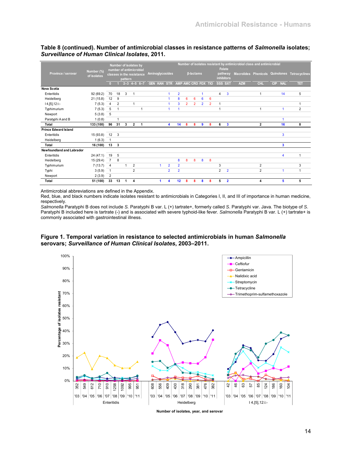**Table 8 (continued). Number of antimicrobial classes in resistance patterns of** *Salmonella* **isolates;**  *Surveillance of Human Clinical Isolates***, 2011.** 

|                                  |                           |                |                |         | Number of isolates by<br>number of antimicrobial |                         |                                 |                |                |                |                  |                |                |                | <b>Folate</b>           | Number of isolates resistant by antimicrobial class and antimicrobial |                                 |                   |                      |
|----------------------------------|---------------------------|----------------|----------------|---------|--------------------------------------------------|-------------------------|---------------------------------|----------------|----------------|----------------|------------------|----------------|----------------|----------------|-------------------------|-----------------------------------------------------------------------|---------------------------------|-------------------|----------------------|
| Province / serovar               | Number (%)<br>of isolates |                |                |         | classes in the resistance                        |                         | Aminoglycosides                 |                |                |                | <b>ß-lactams</b> |                |                |                | pathway                 |                                                                       | Macrolides Phenicols Quinolones |                   | <b>Tetracyclines</b> |
|                                  |                           |                |                | pattern |                                                  |                         |                                 |                |                |                |                  |                |                |                | inhibitors              |                                                                       |                                 |                   |                      |
|                                  |                           | n              |                |         | $2 - 3$ 4-5 6-7                                  |                         | GEN KAN STR AMP AMC CRO FOX TIO |                |                |                |                  |                |                |                | SSS SXT                 | <b>AZM</b>                                                            | CHL                             | CIP<br><b>NAL</b> | TET                  |
| Nova Scotia                      |                           |                |                |         |                                                  |                         |                                 |                |                |                |                  |                |                |                |                         |                                                                       |                                 |                   |                      |
| Enteritidis                      | 92 (69.2)                 | 70             | 18             | 3       | $\overline{1}$                                   |                         |                                 | 1              | $\overline{2}$ |                |                  | 1              |                | 4              | $\overline{3}$          |                                                                       | 1                               | 14                | 5                    |
| Heidelberg                       | 21(15.8)                  | 12             | 9              |         |                                                  |                         |                                 |                | 8              | 6              | 6                | 6              | 6              |                |                         |                                                                       |                                 |                   |                      |
| $14, [5], 12$ :i:-               | 7(5.3)                    | $\overline{4}$ | $\overline{2}$ |         | 1                                                |                         |                                 | 1              | 3              | $\overline{2}$ | $\overline{2}$   | $\overline{2}$ | $\overline{2}$ | 1              |                         |                                                                       |                                 |                   | 1                    |
| Typhimurium                      | 7(5.3)                    | 5              | 1              |         |                                                  |                         |                                 | 1              |                |                |                  |                |                | 1              |                         |                                                                       |                                 |                   | $\overline{2}$       |
| Newport                          | 5(3.8)                    | 5              |                |         |                                                  |                         |                                 |                |                |                |                  |                |                |                |                         |                                                                       |                                 |                   |                      |
| Paratyphi A and B                | 1(0.8)                    |                |                |         |                                                  |                         |                                 |                |                |                |                  |                |                |                |                         |                                                                       |                                 |                   |                      |
| <b>Total</b>                     | 133 (100)                 | 96             | 31             | 3       | $\overline{2}$                                   | $\overline{\mathbf{1}}$ |                                 | 4              | 14             | 8              | 8                | 9              | 8              | 6              | $\overline{\mathbf{3}}$ |                                                                       | $\overline{2}$                  | 16                | 8                    |
| <b>Prince Edward Island</b>      |                           |                |                |         |                                                  |                         |                                 |                |                |                |                  |                |                |                |                         |                                                                       |                                 |                   |                      |
| Enteritidis                      | 15(93.8)                  | 12             | 3              |         |                                                  |                         |                                 |                |                |                |                  |                |                |                |                         |                                                                       |                                 | 3                 |                      |
| Heidelberg                       | 1(6.3)                    | $\mathbf{1}$   |                |         |                                                  |                         |                                 |                |                |                |                  |                |                |                |                         |                                                                       |                                 |                   |                      |
| Total                            | 16 (100)                  | 13             | 3              |         |                                                  |                         |                                 |                |                |                |                  |                |                |                |                         |                                                                       |                                 | 3                 |                      |
| <b>Newfoundland and Labrador</b> |                           |                |                |         |                                                  |                         |                                 |                |                |                |                  |                |                |                |                         |                                                                       |                                 |                   |                      |
| Enteritidis                      | 24(47.1)                  | 19             | 5              |         |                                                  |                         |                                 |                |                |                |                  |                |                |                |                         |                                                                       |                                 | 4                 | 1                    |
| Heidelberg                       | 15(29.4)                  | $\overline{7}$ | 8              |         |                                                  |                         |                                 |                | 8              | 8              | 8                | 8              | 8              |                |                         |                                                                       |                                 |                   |                      |
| Typhimurium                      | 7(13.7)                   | $\overline{4}$ |                | 1       | $\overline{2}$                                   |                         |                                 | $\overline{2}$ | $\overline{2}$ |                |                  |                |                | 3              |                         |                                                                       | $\overline{2}$                  |                   | 3                    |
| Typhi                            | 3(5.9)                    | $\mathbf{1}$   |                |         | $\overline{2}$                                   |                         |                                 | $\overline{2}$ | $\overline{2}$ |                |                  |                |                | $\overline{2}$ | $\overline{2}$          |                                                                       | $\overline{2}$                  |                   | 1                    |
| Newport                          | 2(3.9)                    | $\overline{2}$ |                |         |                                                  |                         |                                 |                |                |                |                  |                |                |                |                         |                                                                       |                                 |                   |                      |
| Total                            | 51 (100)                  | 33             | 13             | 1       | 4                                                |                         |                                 | 4              | 12             | 8              | 8                | 8              | 8              | 5              | $\overline{2}$          |                                                                       | 4                               | 5                 | 5                    |

Antimicrobial abbreviations are defined in the Appendix.

Red, blue, and black numbers indicate isolates resistant to antimicrobials in Categories I, II, and III of importance in human medicine, respectively.

*Salmonella* Paratyphi B does not include *S.* Paratyphi B var. L (+) tartrate+, formerly called *S*. Paratyphi var. Java. The biotype of *S*. Paratyphi B included here is tartrate (-) and is associated with severe typhoid-like fever. Salmonella Paratyphi B var. L (+) tartrate+ is commonly associated with gastrointestinal illness.





**Number of isolates, year, and serovar**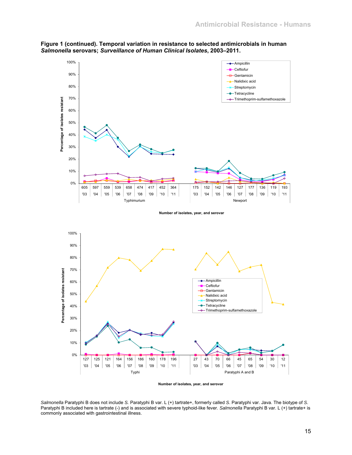

**Figure 1 (continued). Temporal variation in resistance to selected antimicrobials in human**  *Salmonella* **serovars;** *Surveillance of Human Clinical Isolates***, 2003–2011.** 

**Number of isolates, year, and serovar** 

*Salmonella* Paratyphi B does not include *S.* Paratyphi B var. L (+) tartrate+, formerly called *S*. Paratyphi var. Java. The biotype of *S*. Paratyphi B included here is tartrate (-) and is associated with severe typhoid-like fever. *Salmonella* Paratyphi B var. L (+) tartrate+ is commonly associated with gastrointestinal illness.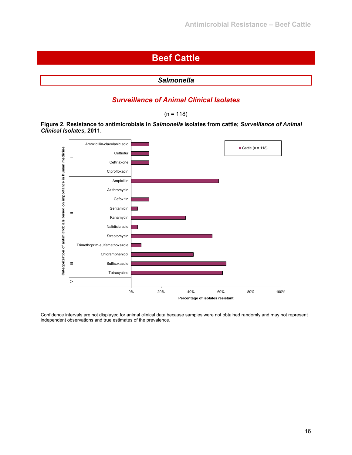# **Beef Cattle**

| <b>Salmonella</b> |
|-------------------|
|                   |

## *Surveillance of Animal Clinical Isolates*

 $(n = 118)$ 

**Figure 2. Resistance to antimicrobials in** *Salmonella* **isolates from cattle;** *Surveillance of Animal Clinical Isolates***, 2011.** 



Confidence intervals are not displayed for animal clinical data because samples were not obtained randomly and may not represent independent observations and true estimates of the prevalence.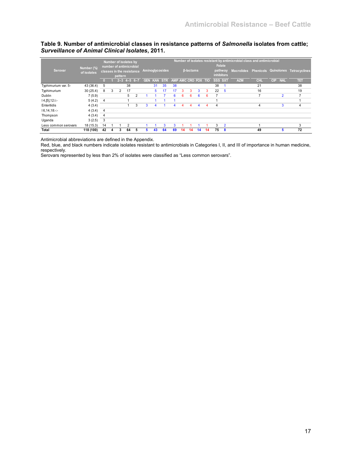## **Table 9. Number of antimicrobial classes in resistance patterns of** *Salmonella* **isolates from cattle;**  *Surveillance of Animal Clinical Isolates***, 2011.**

| Serovar              | Number (%)<br>of isolates |    |   | Number of isolates by<br>number of antimicrobial<br>classes in the resistance<br>pattern |                 |   |            |            | Aminoglycosides |                     |    | <b>B-lactams</b> |          |    | Folate<br><b>inhibitors</b> | pathway        | Number of isolates resistant by antimicrobial class and antimicrobial |                |                          | Macrolides Phenicols Quinolones Tetracyclines |
|----------------------|---------------------------|----|---|------------------------------------------------------------------------------------------|-----------------|---|------------|------------|-----------------|---------------------|----|------------------|----------|----|-----------------------------|----------------|-----------------------------------------------------------------------|----------------|--------------------------|-----------------------------------------------|
|                      |                           |    |   |                                                                                          | $2 - 3$ 4-5 6-7 |   | <b>GEN</b> | <b>KAN</b> | <b>STR</b>      | AMP AMC CRO FOX TIO |    |                  |          |    | SSS SXT                     |                | <b>AZM</b>                                                            | <b>CHL</b>     | <b>CIP</b><br><b>NAL</b> | TET                                           |
| Typhimurium var. 5-  | 43 (36.4)                 | 5  |   |                                                                                          | 38              |   |            | 31         | 35              | 38                  |    |                  |          |    | 38                          |                |                                                                       | 21             |                          | 38                                            |
| Typhimurium          | 30(25.4)                  | 8  | 3 | 2                                                                                        | 17              |   |            | 5          | 17              | 17                  | 3  | 3                | 3        | 3  | 22                          | - 5            |                                                                       | 16             |                          | 19                                            |
| Dublin               | 7(5.9)                    |    |   |                                                                                          | 5               | 2 |            |            |                 | 6.                  | 6  | 6                | <b>6</b> | 6  |                             |                |                                                                       | $\overline{ }$ | $\overline{2}$           | 7                                             |
| $14, [5], 12$ :i:-   | 5(4.2)                    | 4  |   |                                                                                          |                 |   |            |            |                 |                     |    |                  |          |    |                             |                |                                                                       |                |                          |                                               |
| Enteritidis          | 4(3.4)                    |    |   |                                                                                          |                 | 3 | 3          | 4          |                 | 4                   | 4  | 4                | 4        | 4  | 4                           |                |                                                                       | 4              | 3                        | 4                                             |
| 16,14,18             | 4(3.4)                    | 4  |   |                                                                                          |                 |   |            |            |                 |                     |    |                  |          |    |                             |                |                                                                       |                |                          |                                               |
| Thompson             | 4(3.4)                    | 4  |   |                                                                                          |                 |   |            |            |                 |                     |    |                  |          |    |                             |                |                                                                       |                |                          |                                               |
| Uganda               | 3(2.5)                    | 3  |   |                                                                                          |                 |   |            |            |                 |                     |    |                  |          |    |                             |                |                                                                       |                |                          |                                               |
| Less common serovars | 18(15.3)                  | 14 |   |                                                                                          | 2               |   |            |            | 3               |                     |    |                  |          |    | 3                           | $\overline{2}$ |                                                                       |                |                          | 3                                             |
| Total                | 118 (100)                 | 42 |   |                                                                                          | 64              | 5 |            | 43         | 64              | 69                  | 14 | 14               | 14       | 14 | 75                          | -8             |                                                                       | 49             | h                        | 72                                            |

Antimicrobial abbreviations are defined in the Appendix.

Red, blue, and black numbers indicate isolates resistant to antimicrobials in Categories I, II, and III of importance in human medicine, respectively.

Serovars represented by less than 2% of isolates were classified as "Less common serovars".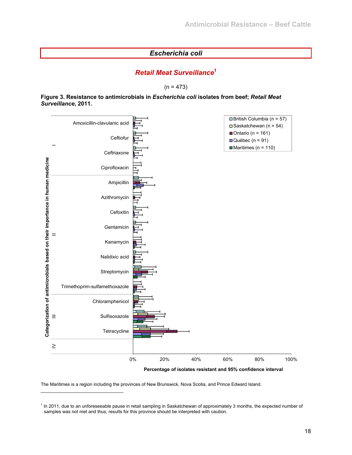## *Escherichia coli*

## *Retail Meat Surveillance***<sup>1</sup>**

 $(n = 473)$ 

#### **Figure 3. Resistance to antimicrobials in** *Escherichia coli* **isolates from beef;** *Retail Meat Surveillance***, 2011.**



**Percentage of isolates resistant and 95% confidence interval**

The Maritimes is a region including the provinces of New Brunswick, Nova Scotia, and Prince Edward Island.

l

<sup>&</sup>lt;sup>1</sup> In 2011, due to an unforeseeable pause in retail sampling in Saskatchewan of approximately 3 months, the expected number of samples was not met and thus, results for this province should be interpreted with caution.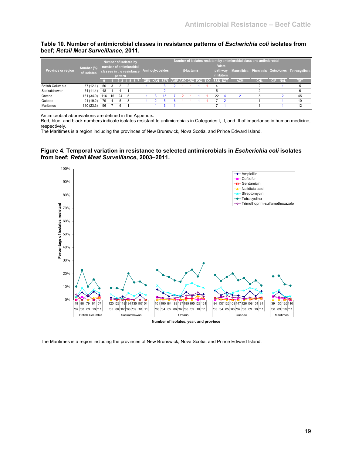#### **Table 10. Number of antimicrobial classes in resistance patterns of** *Escherichia coli* **isolates from beef;** *Retail Meat Surveillance***, 2011.**

| Province or region, | Number (%)<br>of isolates |     |    | Number of isolates by<br>number of antimicrobial<br>pattern | classes in the resistance |  | Aminoglycosides                 |  | <b>B-lactams</b> |  |                | <b>Folate</b><br>pathway<br><b>inhibitors</b> | Number of isolates resistant by antimicrobial class and antimicrobial |            |    |            | Macrolides Phenicols Quinolones Tetracyclines |
|---------------------|---------------------------|-----|----|-------------------------------------------------------------|---------------------------|--|---------------------------------|--|------------------|--|----------------|-----------------------------------------------|-----------------------------------------------------------------------|------------|----|------------|-----------------------------------------------|
|                     |                           |     |    |                                                             | $2 - 3$ 4-5 6-7           |  | GEN KAN STR AMP AMC CRO FOX TIO |  |                  |  | <b>SSS SXT</b> |                                               | <b>AZM</b>                                                            | <b>CHI</b> | CP | <b>NAL</b> | तम                                            |
| British Columbia    | 57(12.1)                  | 50  | 3  |                                                             |                           |  |                                 |  |                  |  |                |                                               |                                                                       |            |    |            |                                               |
| Saskatchewan        | 54 (11.4)                 | 48  |    |                                                             |                           |  |                                 |  |                  |  |                |                                               |                                                                       |            |    |            |                                               |
| Ontario             | 161 (34.0)                | 116 | 16 | 24                                                          |                           |  |                                 |  |                  |  | 22             | -4                                            |                                                                       |            |    |            | 45                                            |
| Québec              | 91 (19.2)                 | 79  |    | 5                                                           |                           |  |                                 |  |                  |  |                |                                               |                                                                       |            |    |            | 10                                            |
| Maritimes           | 110 (23.3)                | 96  |    |                                                             |                           |  |                                 |  |                  |  |                |                                               |                                                                       |            |    |            | 12                                            |

Antimicrobial abbreviations are defined in the Appendix.

Red, blue, and black numbers indicate isolates resistant to antimicrobials in Categories I, II, and III of importance in human medicine, respectively.

The Maritimes is a region including the provinces of New Brunswick, Nova Scotia, and Prince Edward Island.

#### **Figure 4. Temporal variation in resistance to selected antimicrobials in** *Escherichia coli* **isolates from beef;** *Retail Meat Surveillance***, 2003–2011.**



The Maritimes is a region including the provinces of New Brunswick, Nova Scotia, and Prince Edward Island.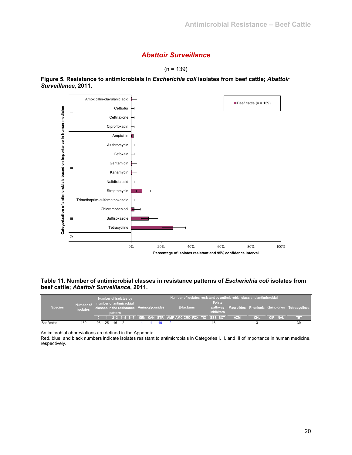## *Abattoir Surveillance*

 $(n = 139)$ 



**Figure 5. Resistance to antimicrobials in** *Escherichia coli* **isolates from beef cattle;** *Abattoir Surveillance***, 2011.** 

**Table 11. Number of antimicrobial classes in resistance patterns of** *Escherichia coli* **isolates from beef cattle;** *Abattoir Surveillance***, 2011.** 

| Species <sup>1</sup> | Number of<br><b>isolates</b> |    |     | pattern | Number of isolates by<br>number of antimicrobial | classes in the resistance Aminoglycosides |  | <b>B-lactams</b> |  | Folate<br><i>inhibitors</i>                           | Number of isolates resistant by antimicrobial class and antimicrobial |            |         | pathway Macrolides Phenicols Quinolones Tetracyclines |
|----------------------|------------------------------|----|-----|---------|--------------------------------------------------|-------------------------------------------|--|------------------|--|-------------------------------------------------------|-----------------------------------------------------------------------|------------|---------|-------------------------------------------------------|
|                      |                              |    |     |         |                                                  |                                           |  |                  |  | 1 2-3 4-5 6-7 GEN KAN STR AMP AMC CRO FOX TIO SSS SXT | <b>AZM</b>                                                            | <b>CHI</b> | CIP NAL | nar                                                   |
| Beef cattle          | 139                          | 96 | -25 | 16      |                                                  |                                           |  |                  |  | 16                                                    |                                                                       |            |         | 39                                                    |

Antimicrobial abbreviations are defined in the Appendix.

Red, blue, and black numbers indicate isolates resistant to antimicrobials in Categories I, II, and III of importance in human medicine, respectively.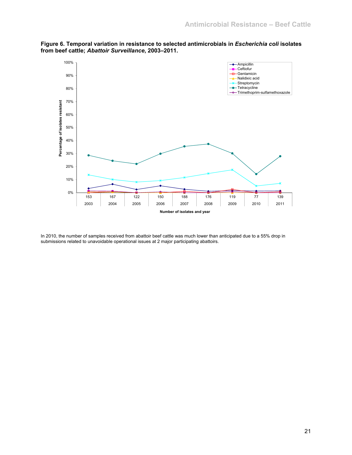

**Figure 6. Temporal variation in resistance to selected antimicrobials in** *Escherichia coli* **isolates from beef cattle;** *Abattoir Surveillance***, 2003–2011.** 

In 2010, the number of samples received from abattoir beef cattle was much lower than anticipated due to a 55% drop in submissions related to unavoidable operational issues at 2 major participating abattoirs.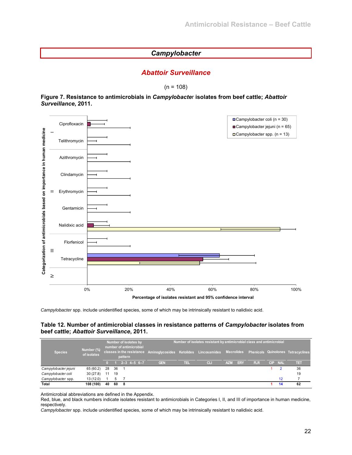## *Campylobacter*

## *Abattoir Surveillance*

 $(n = 108)$ 

#### **Figure 7. Resistance to antimicrobials in** *Campylobacte*r **isolates from beef cattle;** *Abattoir Surveillance***, 2011.**



*Campylobacter* spp. include unidentified species, some of which may be intrinsically resistant to nalidixic acid.

#### **Table 12. Number of antimicrobial classes in resistance patterns of** *Campylobacter* **isolates from beef cattle;** *Abattoir Surveillance***, 2011.**

| <b>Species</b>       | Number (%)<br>of isolates |    |    | pattern | Number of isolates by<br>number of antimicrobial | classes in the resistance Aminoglycosides Ketolides Lincosamides Macrolides Phenicols Quinolones Tetracyclines |      | Number of isolates resistant by antimicrobial class and antimicrobial |            |            |            |         |     |
|----------------------|---------------------------|----|----|---------|--------------------------------------------------|----------------------------------------------------------------------------------------------------------------|------|-----------------------------------------------------------------------|------------|------------|------------|---------|-----|
|                      |                           |    |    |         | $2 - 3$ 4-5 6-7                                  | <b>GEN</b>                                                                                                     | TEL. | CL                                                                    | <b>AZM</b> | <b>ERY</b> | <b>FLR</b> | CIP NAL | TET |
| Campylobacter jejuni | 65 (60.2)                 | 28 | 36 |         |                                                  |                                                                                                                |      |                                                                       |            |            |            |         | 36  |
| Campylobacter coli   | 30(27.8)                  | 11 | 19 |         |                                                  |                                                                                                                |      |                                                                       |            |            |            |         | 19  |
| Campylobacter spp.   | 13 (12.0)                 |    | -5 |         |                                                  |                                                                                                                |      |                                                                       |            |            |            | $12 \,$ |     |
| Total                | 108 (100)                 | 40 | 60 | 8       |                                                  |                                                                                                                |      |                                                                       |            |            |            | 14      | 62  |

Antimicrobial abbreviations are defined in the Appendix.

Red, blue, and black numbers indicate isolates resistant to antimicrobials in Categories I, II, and III of importance in human medicine, respectively.

*Campylobacter* spp. include unidentified species, some of which may be intrinsically resistant to nalidixic acid.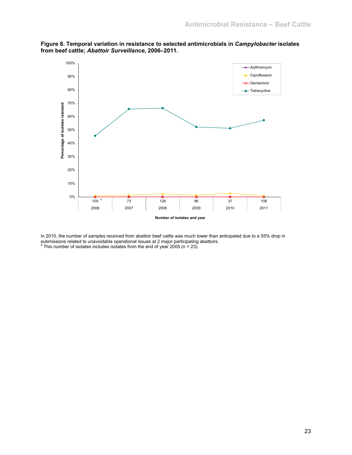

**Figure 8. Temporal variation in resistance to selected antimicrobials in** *Campylobacter* **isolates from beef cattle;** *Abattoir Surveillance***, 2006–2011.** 

In 2010, the number of samples received from abattoir beef cattle was much lower than anticipated due to a 55% drop in submissions related to unavoidable operational issues at 2 major participating abattoirs.<br>ª This number of isolates includes isolates from the end of year 2005 (n = 23).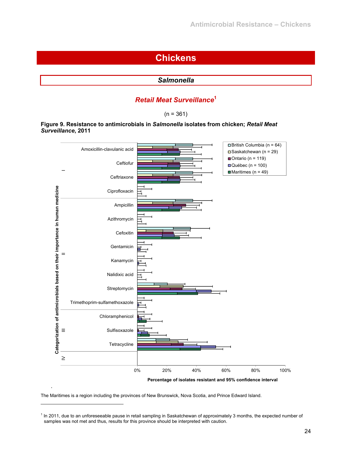## **Chickens**

## *Salmonella*

## *Retail Meat Surveillance***<sup>1</sup>**

 $(n = 361)$ 

#### **Figure 9. Resistance to antimicrobials in** *Salmonella* **isolates from chicken;** *Retail Meat Surveillance***, 2011**



The Maritimes is a region including the provinces of New Brunswick, Nova Scotia, and Prince Edward Island.

l

<sup>&</sup>lt;sup>1</sup> In 2011, due to an unforeseeable pause in retail sampling in Saskatchewan of approximately 3 months, the expected number of samples was not met and thus, results for this province should be interpreted with caution.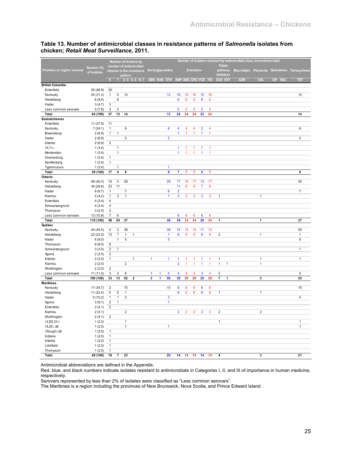|                              |                    |                         |                |                              | Number of isolates by     |                         |   |                                 |                         |                 |                                |                 |                 |                         |   | Number of isolates resistant by antimicrobial class and antimicrobial |              |         |                                               |
|------------------------------|--------------------|-------------------------|----------------|------------------------------|---------------------------|-------------------------|---|---------------------------------|-------------------------|-----------------|--------------------------------|-----------------|-----------------|-------------------------|---|-----------------------------------------------------------------------|--------------|---------|-----------------------------------------------|
|                              | Number (%)         |                         |                |                              | number of antimicrobial   |                         |   |                                 |                         |                 |                                |                 |                 | <b>Folate</b>           |   |                                                                       |              |         |                                               |
| Province or region / serovar | of isolates        |                         |                |                              | classes in the resistance |                         |   | Aminoglycosides                 |                         |                 | <b><i><u>B-lactams</u></i></b> |                 |                 | pathway                 |   |                                                                       |              |         | Macrolides Phenicols Quinolones Tetracyclines |
|                              |                    |                         |                | pattern                      |                           |                         |   |                                 |                         |                 |                                |                 |                 | inhibitors              |   |                                                                       |              |         |                                               |
|                              |                    | $\overline{0}$          |                |                              | $1 \t2-3 \t4-5 \t6-7$     |                         |   | GEN KAN STR AMP AMC CRO FOX TIO |                         |                 |                                |                 |                 | SSS SXT                 |   | <b>AZM</b>                                                            | <b>CHL</b>   | CIP NAL | TET                                           |
| <b>British Columbia</b>      |                    |                         |                |                              |                           |                         |   |                                 |                         |                 |                                |                 |                 |                         |   |                                                                       |              |         |                                               |
| Enteritidis                  | 30 (46.9)          | 30                      |                |                              |                           |                         |   |                                 |                         |                 |                                |                 |                 |                         |   |                                                                       |              |         |                                               |
| Kentucky                     | 20 (31.3)          | $\mathbf{1}$            | 5              | 14                           |                           |                         |   | 13                              | 16                      | 16              | 16                             | 15              | 16              |                         |   |                                                                       |              |         | 14                                            |
| Heidelberg                   | 6(9.4)             |                         | 6              |                              |                           |                         |   |                                 | $6\phantom{a}$          | $6\phantom{1}$  | $6\phantom{a}$                 | $6\phantom{a}$  | 6               |                         |   |                                                                       |              |         |                                               |
| Hadar                        | 3(4.7)             | 3                       |                |                              |                           |                         |   |                                 |                         |                 |                                |                 |                 |                         |   |                                                                       |              |         |                                               |
| Less common serovars         | 5(7.8)             | 3                       | $\sqrt{2}$     |                              |                           |                         |   |                                 | $\overline{2}$          | $\overline{2}$  | $\overline{2}$                 | $\overline{2}$  | $\overline{2}$  |                         |   |                                                                       |              |         |                                               |
| <b>Total</b>                 | 64 (100)           | 37                      | 13             | 14                           |                           |                         |   | 13                              | 24                      | 24              | 24                             | 23              | 24              |                         |   |                                                                       |              |         | 14                                            |
| Saskatchewan                 |                    |                         |                |                              |                           |                         |   |                                 |                         |                 |                                |                 |                 |                         |   |                                                                       |              |         |                                               |
| Enteritidis                  | 11 (37.9)          | 11                      |                |                              |                           |                         |   |                                 |                         |                 |                                |                 |                 |                         |   |                                                                       |              |         |                                               |
| Kentucky                     | 7(24.1)            | $\mathbf{1}$            |                | 6                            |                           |                         |   | 6                               | $\overline{\mathbf{4}}$ | 4               | $\overline{4}$                 | $\overline{2}$  | $\overline{4}$  |                         |   |                                                                       |              |         | 6                                             |
| Braenderup                   | 2(6.9)             | $\mathbf{1}$            | $\mathbf{1}$   |                              |                           |                         |   |                                 | 1                       | 1               | 1                              | 1               | 1               |                         |   |                                                                       |              |         |                                               |
| Hadar                        | 2(6.9)             |                         |                | $\overline{2}$               |                           |                         |   | $\overline{2}$                  |                         |                 |                                |                 |                 |                         |   |                                                                       |              |         | $\overline{2}$                                |
| Infantis                     | 2(6.9)             | $\sqrt{2}$              |                |                              |                           |                         |   |                                 |                         |                 |                                |                 |                 |                         |   |                                                                       |              |         |                                               |
| $16,7:$ r:-                  | 1(3.4)             |                         | $\mathbf{1}$   |                              |                           |                         |   |                                 | 1                       | 1               | 1                              | 1               | 1               |                         |   |                                                                       |              |         |                                               |
| Montevideo                   | 1(3.4)             |                         | $\mathbf{1}$   |                              |                           |                         |   |                                 | $\mathbf{1}$            | 1               | 1                              | $\mathbf{1}$    | $\mathbf{1}$    |                         |   |                                                                       |              |         |                                               |
| Oranienburg                  | 1(3.4)             | $\mathbf{1}$            |                |                              |                           |                         |   |                                 |                         |                 |                                |                 |                 |                         |   |                                                                       |              |         |                                               |
| Senftenberg                  | 1(3.4)             | $\mathbf{1}$            |                |                              |                           |                         |   |                                 |                         |                 |                                |                 |                 |                         |   |                                                                       |              |         |                                               |
| Typhimurium                  | 1(3.4)             |                         | 1              |                              |                           |                         |   | 1                               |                         |                 |                                |                 |                 |                         |   |                                                                       |              |         |                                               |
| <b>Total</b>                 | 29(100)            | 17                      | 4              | 8                            |                           |                         |   | $\pmb{9}$                       | 7                       | 7               | 7                              | 5               | 7               |                         |   |                                                                       |              |         | 8                                             |
| Ontario                      |                    |                         |                |                              |                           |                         |   |                                 |                         |                 |                                |                 |                 |                         |   |                                                                       |              |         |                                               |
| Kentucky                     | 48 (40.3)          | 15                      | 4              | 29                           |                           |                         |   | 29                              | 17                      | 16              | 17                             | 13              | 17              |                         |   |                                                                       |              |         | 30                                            |
| Heidelberg                   | 34 (28.6)          | 23                      | 11             |                              |                           |                         |   |                                 | 11                      | 8               | 8                              | $\overline{7}$  | 8               |                         |   |                                                                       |              |         |                                               |
| Hadar                        | 8(6.7)             | $\mathbf{1}$            |                | 7                            |                           |                         |   | 6                               | $\overline{2}$          |                 |                                |                 |                 |                         |   |                                                                       |              |         | 7                                             |
| Kiambu                       | 5(4.2)             | $\mathbf{1}$            | 3              | $\mathbf{1}$                 |                           |                         |   | $\mathbf{1}$                    | 3                       | 3               | 3                              | 3               | 3               | $\mathbf{1}$            |   |                                                                       | $\mathbf{1}$ |         |                                               |
| Enteritidis                  | 4(3.4)             | 4                       |                |                              |                           |                         |   |                                 |                         |                 |                                |                 |                 |                         |   |                                                                       |              |         |                                               |
| Schwarzengrund               | 4(3.4)             | $\sqrt{4}$              |                |                              |                           |                         |   |                                 |                         |                 |                                |                 |                 |                         |   |                                                                       |              |         |                                               |
| Thompson                     | 3(2.5)             | 3                       |                |                              |                           |                         |   |                                 |                         |                 |                                |                 |                 |                         |   |                                                                       |              |         |                                               |
| Less common serovars         | 13 (10.9)          | $\overline{7}$          | 6              |                              |                           |                         |   |                                 | 6                       | 6               | 6                              | $6\phantom{1}6$ | $6\phantom{1}6$ |                         |   |                                                                       |              |         |                                               |
| Total                        | 119 (100)          | 58                      | 24             | 37                           |                           |                         |   | 36                              | 39                      | 33              | 34                             | 29              | 34              | 1                       |   |                                                                       | $\mathbf{1}$ |         | 37                                            |
| Québec                       |                    |                         |                |                              |                           |                         |   |                                 |                         |                 |                                |                 |                 |                         |   |                                                                       |              |         |                                               |
| Kentucky                     | 44 (44.0)          | 4                       | $\overline{2}$ | 38                           |                           |                         |   | 38                              | 14                      | 14              | 14                             | 11              | 14              |                         |   |                                                                       |              |         | 39                                            |
| Heidelberg                   | 22 (22.0)          | 13                      | $\overline{7}$ | $\mathbf{1}$                 | $\mathbf{1}$              |                         |   | $\mathbf{1}$                    | 9                       | 9               | $\overline{9}$                 | 9               | $\overline{9}$  | $\overline{2}$          |   |                                                                       | $\mathbf{1}$ |         | $\mathbf{1}$                                  |
| Hadar                        | 6(6.0)             |                         | $\mathbf{1}$   | 5                            |                           |                         |   | $\overline{\mathbf{5}}$         |                         |                 |                                |                 |                 |                         |   |                                                                       |              |         | 6                                             |
| Thompson                     | 6(6.0)             | 6                       |                |                              |                           |                         |   |                                 |                         |                 |                                |                 |                 |                         |   |                                                                       |              |         |                                               |
| Schwarzengrund               | 3(3.0)             | $\overline{\mathbf{c}}$ | $\overline{1}$ |                              |                           |                         |   |                                 |                         |                 |                                |                 |                 |                         |   |                                                                       |              |         | $\mathbf{1}$                                  |
| Agona                        | 2(2.0)             | $\mathbf 2$             |                |                              |                           |                         |   |                                 |                         |                 |                                |                 |                 |                         |   |                                                                       |              |         |                                               |
| Infantis                     | 2(2.0)             | $\mathbf{1}$            |                |                              | $\mathbf{1}$              | $\mathbf{1}$            |   | $\mathbf{1}$                    | 1                       | 1               | 1                              | 1               | 1               | $\mathbf{1}$            |   |                                                                       | $\mathbf{1}$ |         | $\mathbf 1$                                   |
| Kiambu                       | 2(2.0)             |                         |                | $\overline{\mathbf{c}}$      |                           |                         |   |                                 | $\overline{2}$          | $\mathbf{1}$    | $\mathbf{1}$                   | $\mathbf{1}$    | $\mathbf{1}$    | $\mathbf{1}$            | 1 |                                                                       | $\mathbf{1}$ |         |                                               |
| Worthington                  | 2(2.0)             | $\overline{2}$          |                |                              |                           |                         |   |                                 |                         |                 |                                |                 |                 |                         |   |                                                                       |              |         |                                               |
| Less common serovars         | 11 (11.0)          | 3                       | $\overline{2}$ | 6                            |                           | 1                       | 1 | 5                               | 4                       | 4               | 4                              | 3               | $\overline{4}$  | 3                       |   |                                                                       |              |         | 5                                             |
| Total                        | 100 (100)          | 33                      | 13             | 52                           | $\overline{2}$            | $\overline{\mathbf{2}}$ | 1 | 50                              | 30                      | 29              | 29                             | 25              | 29              | $\overline{7}$          | 1 |                                                                       | 3            |         | 53                                            |
| <b>Maritimes</b>             |                    |                         |                |                              |                           |                         |   |                                 |                         |                 |                                |                 |                 |                         |   |                                                                       |              |         |                                               |
| Kentucky                     | 17 (34.7)          | $\overline{2}$          |                | 15                           |                           |                         |   | 15                              | $6\phantom{1}6$         | $6\phantom{1}6$ | 6                              | $6\phantom{1}6$ | $6\phantom{a}$  |                         |   |                                                                       |              |         | 15                                            |
| Heidelberg                   | 11 (22.4)          | $\,$ 5 $\,$             | $\,$ 5 $\,$    | $\mathbf{1}$                 |                           |                         |   |                                 | $6\phantom{1}6$         | $6\phantom{1}$  | 6                              | 6               | $6\phantom{a}$  | $\mathbf{1}$            |   |                                                                       | $\mathbf{1}$ |         |                                               |
| Hadar                        | 5(10.2)            | $\mathbf{1}$            | $\mathbf{1}$   | $\mathsf 3$                  |                           |                         |   | $\overline{\mathbf{3}}$         |                         |                 |                                |                 |                 |                         |   |                                                                       |              |         | $\overline{4}$                                |
| Agona                        | 3(6.1)             | $\overline{2}$          | $\mathbf{1}$   |                              |                           |                         |   | $\mathbf{1}$                    |                         |                 |                                |                 |                 |                         |   |                                                                       |              |         |                                               |
| Enteritidis                  | 2(4.1)             | $\overline{\mathbf{c}}$ |                |                              |                           |                         |   |                                 |                         |                 |                                |                 |                 |                         |   |                                                                       |              |         |                                               |
| Kiambu                       | 2(4.1)             |                         |                | $\overline{\mathbf{c}}$      |                           |                         |   |                                 | $\overline{2}$          | $\overline{2}$  | $\overline{2}$                 | $\overline{2}$  | $\overline{2}$  | $\overline{\mathbf{c}}$ |   |                                                                       | $\mathbf 2$  |         |                                               |
| Worthington                  | 2(4.1)             | $\mathbf 2$             |                |                              |                           |                         |   |                                 |                         |                 |                                |                 |                 |                         |   |                                                                       |              |         |                                               |
|                              |                    |                         |                |                              |                           |                         |   |                                 |                         |                 |                                |                 |                 | $\mathbf{1}$            |   |                                                                       |              |         |                                               |
| $14, [5], 12$ :i:-           | 1(2.0)             |                         |                | $\mathbf{1}$<br>$\mathbf{1}$ |                           |                         |   | $\mathbf{1}$                    |                         |                 |                                |                 |                 |                         |   |                                                                       |              |         | 1<br>$\mathbf{1}$                             |
| 18,20:-: z6                  | 1(2.0)             | $\mathbf{1}$            |                |                              |                           |                         |   |                                 |                         |                 |                                |                 |                 |                         |   |                                                                       |              |         |                                               |
| I Rough:i:z6                 | 1(2.0)             |                         |                |                              |                           |                         |   |                                 |                         |                 |                                |                 |                 |                         |   |                                                                       |              |         |                                               |
| Indiana                      | 1(2.0)             | $\mathbf{1}$            |                |                              |                           |                         |   |                                 |                         |                 |                                |                 |                 |                         |   |                                                                       |              |         |                                               |
| Infantis                     | 1(2.0)             | $\mathbf{1}$            |                |                              |                           |                         |   |                                 |                         |                 |                                |                 |                 |                         |   |                                                                       |              |         |                                               |
| Litchfield                   | 1(2.0)             | $\mathbf{1}$            |                |                              |                           |                         |   |                                 |                         |                 |                                |                 |                 |                         |   |                                                                       |              |         |                                               |
| Thompson                     | 1(2.0)<br>49 (100) | $\mathbf{1}$<br>19      |                |                              |                           |                         |   | 20                              |                         |                 |                                |                 |                 |                         |   |                                                                       |              |         | 21                                            |
| Total                        |                    |                         | 7              | 23                           |                           |                         |   |                                 | 14                      | 14              | 14                             | 14              | 14              | 4                       |   |                                                                       | 3            |         |                                               |

#### **Table 13. Number of antimicrobial classes in resistance patterns of** *Salmonella* **isolates from chicken;** *Retail Meat Surveillance***, 2011.**

Antimicrobial abbreviations are defined in the Appendix.

Red, blue, and black numbers indicate isolates resistant to antimicrobials in Categories I, II, and III of importance in human medicine, respectively.

Serovars represented by less than 2% of isolates were classified as "Less common serovars".

The Maritimes is a region including the provinces of New Brunswick, Nova Scotia, and Prince Edward Island.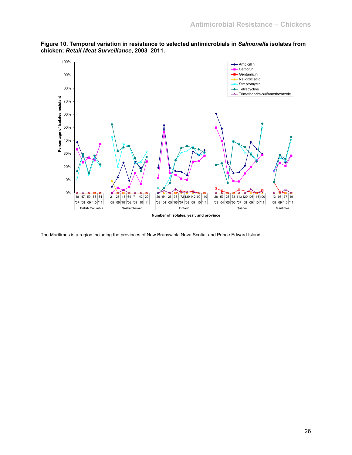

**Figure 10. Temporal variation in resistance to selected antimicrobials in** *Salmonella* **isolates from chicken;** *Retail Meat Surveillance***, 2003–2011.** 

The Maritimes is a region including the provinces of New Brunswick, Nova Scotia, and Prince Edward Island.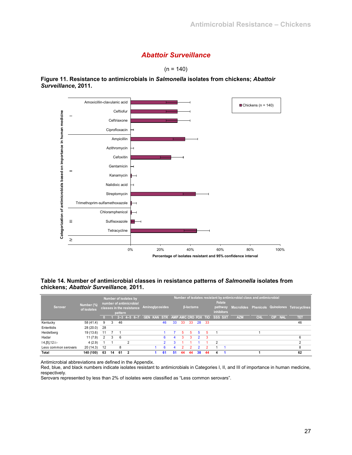## *Abattoir Surveillance*



**Figure 11. Resistance to antimicrobials in** *Salmonella* **isolates from chickens;** *Abattoir Surveillance***, 2011.** 



#### **Table 14. Number of antimicrobial classes in resistance patterns of** *Salmonella* **isolates from chickens;** *Abattoir Surveillance,* **2011.**

|                      | Number (%)  |                |    | Number of isolates by<br>number of antimicrobial |             |            |            |                 |    |    |                  |                     |      | <b>Folate</b>                | Number of isolates resistant by antimicrobial class and antimicrobial |            |                   |                                               |
|----------------------|-------------|----------------|----|--------------------------------------------------|-------------|------------|------------|-----------------|----|----|------------------|---------------------|------|------------------------------|-----------------------------------------------------------------------|------------|-------------------|-----------------------------------------------|
| Serovar              | of isolates |                |    | classes in the resistance<br>pattern             |             |            |            | Aminoglycosides |    |    | <b>B-lactams</b> |                     |      | pathway<br><b>inhibitors</b> |                                                                       |            |                   | Macrolides Phenicols Quinolones Tetracyclines |
|                      |             |                |    | $-2-3$                                           | $4 - 5$ 6-7 | <b>GEN</b> | <b>KAN</b> | <b>STR</b>      |    |    |                  | AMP AMC CRO FOX TIO |      | SSS SXT                      | <b>AZM</b>                                                            | <b>CHL</b> | CIP<br><b>NAL</b> | ਸਤ                                            |
| Kentucky             | 58 (41.4)   | 9              | 3  | 46                                               |             |            |            | 46              | 33 | 33 | -33              | 28                  | - 33 |                              |                                                                       |            |                   | 46                                            |
| Enteritidis          | 28(20.0)    | 28             |    |                                                  |             |            |            |                 |    |    |                  |                     |      |                              |                                                                       |            |                   |                                               |
| Heidelberg           | 19(13.6)    | 11             |    |                                                  |             |            |            |                 |    | 5  | 5.               | 5.                  | 5    |                              |                                                                       |            |                   |                                               |
| Hadar                | 11(7.9)     | $\overline{2}$ | 3  | 6                                                |             |            |            | 6               | 4  | 3  |                  |                     | 3    |                              |                                                                       |            |                   |                                               |
| $14, [5], 12$ :i:-   | 4(2.9)      |                |    |                                                  |             |            |            |                 |    |    |                  |                     |      |                              |                                                                       |            |                   |                                               |
| Less common serovars | 20(14.3)    | 12             |    | 8                                                |             |            |            | R               |    |    |                  |                     |      |                              |                                                                       |            |                   |                                               |
| Total                | 140 (100)   | 63             | 14 | -61                                              |             |            |            | 61              | 51 | 44 | 44               | 38                  | 44   |                              |                                                                       |            |                   | 62                                            |

Antimicrobial abbreviations are defined in the Appendix.

Red, blue, and black numbers indicate isolates resistant to antimicrobials in Categories I, II, and III of importance in human medicine, respectively.

Serovars represented by less than 2% of isolates were classified as "Less common serovars".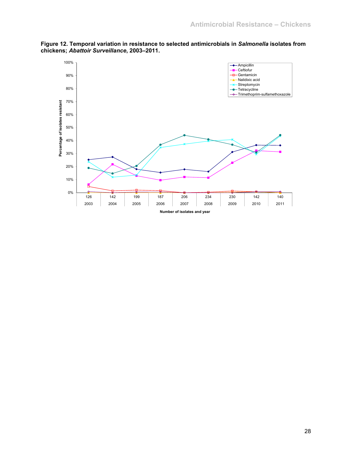

**Figure 12. Temporal variation in resistance to selected antimicrobials in** *Salmonella* **isolates from chickens;** *Abattoir Surveillance***, 2003–2011.**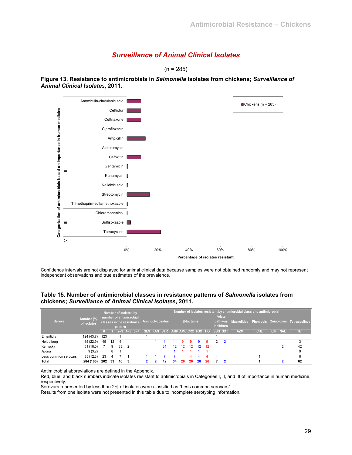## *Surveillance of Animal Clinical Isolates*

 $(n = 285)$ 

**Figure 13. Resistance to antimicrobials in** *Salmonella* **isolates from chickens;** *Surveillance of Animal Clinical Isolate*s**, 2011.** 



Confidence intervals are not displayed for animal clinical data because samples were not obtained randomly and may not represent independent observations and true estimates of the prevalence.

#### **Table 15. Number of antimicrobial classes in resistance patterns of** *Salmonella* **isolates from chickens;** *Surveillance of Animal Clinical Isolates***, 2011.**

|                      |                           |     |    | Number of isolates by<br>number of antimicrobial |                |                           |                                 |                 |                   |    |                         |         |     |                | Folate                       | Number of isolates resistant by antimicrobial class and antimicrobial |            |      |            |                                               |
|----------------------|---------------------------|-----|----|--------------------------------------------------|----------------|---------------------------|---------------------------------|-----------------|-------------------|----|-------------------------|---------|-----|----------------|------------------------------|-----------------------------------------------------------------------|------------|------|------------|-----------------------------------------------|
| Serovar              | Number (%)<br>of isolates |     |    | pattern                                          |                | classes in the resistance |                                 | Aminoglycosides |                   |    | <b><i>B-lactams</i></b> |         |     |                | pathway<br><b>inhibitors</b> |                                                                       |            |      |            | Macrolides Phenicols Quinolones Tetracyclines |
|                      |                           |     |    |                                                  |                | $2 - 3$ 4-5 6-7           | GEN KAN STR AMP AMC CRO FOX TIO |                 |                   |    |                         |         |     | <b>SSS SXT</b> |                              | <b>AZM</b>                                                            | <b>CHI</b> | CIP. | <b>NAL</b> | ПE                                            |
| Enteritidis          | 124 (43.7)                | 123 |    |                                                  |                |                           |                                 |                 |                   |    |                         |         |     |                |                              |                                                                       |            |      |            |                                               |
| Heidelberg           | 65 (22.9)                 | 49  | 12 |                                                  |                |                           |                                 |                 | 14                | 9  | g                       | 9       | 9   |                | $\overline{\phantom{0}}$     |                                                                       |            |      |            | ◠                                             |
| Kentucky             | 51(18.0)                  |     | 9  | 33                                               | $\overline{2}$ |                           |                                 | 34              | $12 \overline{ }$ | 12 | 12                      | $12 \,$ | -12 |                |                              |                                                                       |            |      |            | 42                                            |
| Agona                | 9(3.2)                    |     | 8  |                                                  |                |                           |                                 |                 |                   |    |                         |         |     |                |                              |                                                                       |            |      |            |                                               |
| Less common serovars | 35(12.3)                  | 23  |    |                                                  |                |                           |                                 |                 |                   |    |                         |         |     |                |                              |                                                                       |            |      |            | 8                                             |
| Total                | 284 (100)                 | 202 | 33 | 46                                               |                |                           |                                 | 42              | 34                | 26 | 26                      | 26      | 26  |                |                              |                                                                       |            |      |            | 62                                            |

Antimicrobial abbreviations are defined in the Appendix.

Red, blue, and black numbers indicate isolates resistant to antimicrobials in Categories I, II, and III of importance in human medicine, respectively.

Serovars represented by less than 2% of isolates were classified as "Less common serovars".

Results from one isolate were not presented in this table due to incomplete serotyping information.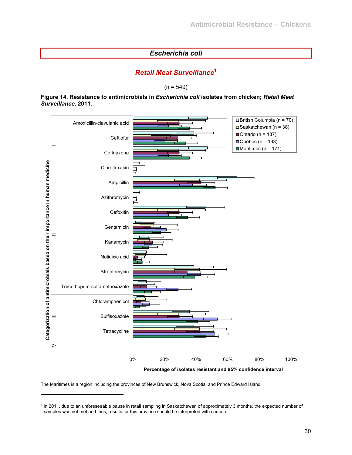## *Escherichia coli*

## *Retail Meat Surveillance***<sup>1</sup>**

 $(n = 549)$ 

#### **Figure 14. Resistance to antimicrobials in** *Escherichia coli* **isolates from chicken;** *Retail Meat Surveillance***, 2011.**



**Percentage of isolates resistant and 95% confidence interval**

The Maritimes is a region including the provinces of New Brunswick, Nova Scotia, and Prince Edward Island.

l

<sup>&</sup>lt;sup>1</sup> In 2011, due to an unforeseeable pause in retail sampling in Saskatchewan of approximately 3 months, the expected number of samples was not met and thus, results for this province should be interpreted with caution.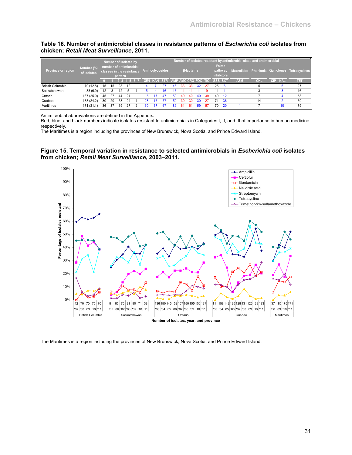#### **Table 16. Number of antimicrobial classes in resistance patterns of** *Escherichia coli* **isolates from chicken;** *Retail Meat Surveillance***, 2011.**

| <b>Province or region</b> | Number (%)<br>of isolates |    |    |                    | Number of isolates by<br>number of antimicrobial<br>classes in the resistance |     |    | Aminoglycosides                         |    |    | <b>B-lactams</b> |    |    |    | <b>Folate</b><br>pathway<br><b>inhibitors</b> | Number of isolates resistant by antimicrobial class and antimicrobial |            |                   | Macrolides Phenicols Quinolones Tetracyclines |
|---------------------------|---------------------------|----|----|--------------------|-------------------------------------------------------------------------------|-----|----|-----------------------------------------|----|----|------------------|----|----|----|-----------------------------------------------|-----------------------------------------------------------------------|------------|-------------------|-----------------------------------------------|
|                           |                           |    |    | pattern<br>$2 - 3$ | $4 - 5$ 6-7                                                                   |     |    | GEN KAN STR AMP AMC CRO FOX TIO SSS SXT |    |    |                  |    |    |    |                                               | <b>AZM</b>                                                            | <b>CHL</b> | <b>NAL</b><br>CIP | तम                                            |
| <b>British Columbia</b>   | 70 (12.8)                 | 15 | 15 | 28                 | 12                                                                            |     |    |                                         | 46 | 33 | 33               | 32 | 27 | 25 |                                               |                                                                       |            |                   | 27                                            |
| Saskatchewan              | 38(6.9)                   | 12 | 8  | 12                 |                                                                               |     |    | 16                                      | 16 |    |                  |    |    | 11 |                                               |                                                                       |            |                   | 16                                            |
| Ontario                   | 137 (25.0)                | 45 | 27 | 44                 | 21                                                                            | 15. |    | 47                                      | 59 | 40 | 40               | 40 | 39 | 40 | 12                                            |                                                                       |            |                   | 58                                            |
| Québec                    | 133 (24.2)                | 30 | 20 | 58                 | 24                                                                            | 28  | 16 | 57                                      | 50 | 30 | 30               | 30 |    | 71 | -38                                           |                                                                       | 14         |                   | 69                                            |
| Maritimes                 | 171 (31.1)                | 36 | 37 | 69                 | 27                                                                            |     |    |                                         |    | 61 | 61               | 59 | 57 | 70 | -20                                           |                                                                       |            | 10                | 79                                            |

Antimicrobial abbreviations are defined in the Appendix.

Red, blue, and black numbers indicate isolates resistant to antimicrobials in Categories I, II, and III of importance in human medicine, respectively.

The Maritimes is a region including the provinces of New Brunswick, Nova Scotia, and Prince Edward Island.

#### **Figure 15. Temporal variation in resistance to selected antimicrobials in** *Escherichia coli* **isolates from chicken;** *Retail Meat Surveillance***, 2003–2011.**



The Maritimes is a region including the provinces of New Brunswick, Nova Scotia, and Prince Edward Island.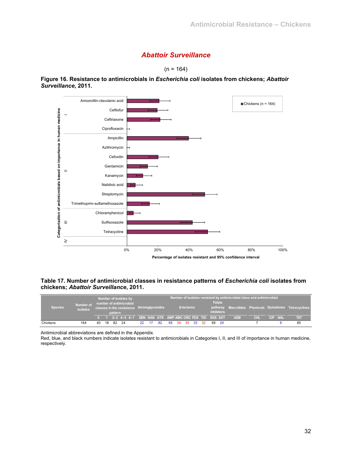## *Abattoir Surveillance*



**Figure 16. Resistance to antimicrobials in** *Escherichia coli* **isolates from chickens;** *Abattoir Surveillance***, 2011.** 



**Table 17. Number of antimicrobial classes in resistance patterns of** *Escherichia coli* **isolates from chickens;** *Abattoir Surveillance***, 2011.** 

|                |                              |    |    |         | Number of isolates by                                                |     |    |       |                  |       |                             | Number of isolates resistant by antimicrobial class and antimicrobial |     |         |                                                       |
|----------------|------------------------------|----|----|---------|----------------------------------------------------------------------|-----|----|-------|------------------|-------|-----------------------------|-----------------------------------------------------------------------|-----|---------|-------------------------------------------------------|
| <b>Species</b> | Number of<br><b>isolates</b> |    |    | pattern | number of antimicrobial<br>classes in the resistance Aminoglycosides |     |    |       | <b>B-lactams</b> |       | Folate<br><i>inhibitors</i> |                                                                       |     |         | pathway Macrolides Phenicols Quinolones Tetracyclines |
|                |                              |    |    |         | 2-3 4-5 6-7 GEN KAN STR AMP AMC CRO FOX TIO SSS SXT                  |     |    |       |                  |       |                             | <b>AZM</b>                                                            | CHI | CIP NAL | तम                                                    |
| Chickens       | 164                          | 40 | 18 | 82      | - 24                                                                 | 22. | 82 | 65 34 | -35              | 33 32 | 69 24                       |                                                                       |     |         | 85                                                    |

Antimicrobial abbreviations are defined in the Appendix.

Red, blue, and black numbers indicate isolates resistant to antimicrobials in Categories I, II, and III of importance in human medicine, respectively.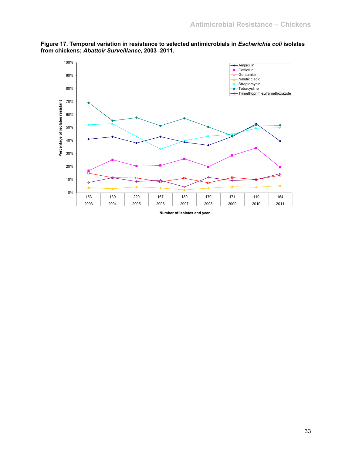

**Figure 17. Temporal variation in resistance to selected antimicrobials in** *Escherichia coli* **isolates from chickens;** *Abattoir Surveillance***, 2003–2011.** 

33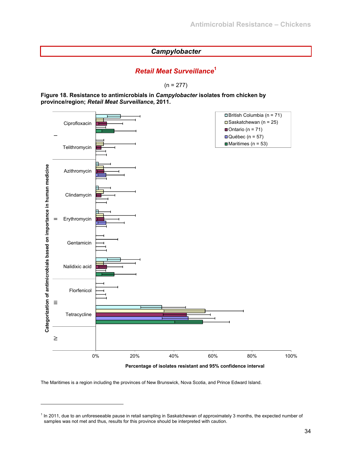## *Campylobacter*

## *Retail Meat Surveillance***<sup>1</sup>**

 $(n = 277)$ 

**Figure 18. Resistance to antimicrobials in** *Campylobacter* **isolates from chicken by province/region;** *Retail Meat Surveillance***, 2011.** 



**Percentage of isolates resistant and 95% confidence interval** 

The Maritimes is a region including the provinces of New Brunswick, Nova Scotia, and Prince Edward Island.

l

<sup>&</sup>lt;sup>1</sup> In 2011, due to an unforeseeable pause in retail sampling in Saskatchewan of approximately 3 months, the expected number of samples was not met and thus, results for this province should be interpreted with caution.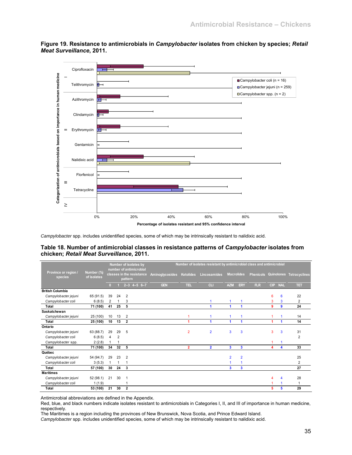**Figure 19. Resistance to antimicrobials in** *Campylobacter* **isolates from chicken by species;** *Retail Meat Surveillance***, 2011.** 



*Campylobacter* spp. includes unidentified species, some of which may be intrinsically resistant to nalidixic acid.

#### **Table 18. Number of antimicrobial classes in resistance patterns of** *Campylobacter* **isolates from chicken;** *Retail Meat Surveillance***, 2011.**

|                                 |                           |                |    | Number of isolates by                                           |                 |                  | Number of isolates resistant by antimicrobial class and antimicrobial |                      |                |                  |            |            |                          |
|---------------------------------|---------------------------|----------------|----|-----------------------------------------------------------------|-----------------|------------------|-----------------------------------------------------------------------|----------------------|----------------|------------------|------------|------------|--------------------------|
| Province or region /<br>species | Number (%)<br>of isolates |                |    | number of antimicrobial<br>classes in the resistance<br>pattern | Aminoglycosides | <b>Ketolides</b> | Lincosamides                                                          | <b>Macrolides</b>    |                | <b>Phenicols</b> |            |            | Quinolones Tetracyclines |
|                                 |                           | n              |    | $2 - 3$ 4-5 6-7                                                 | <b>GEN</b>      | TEL.             | CLI                                                                   | <b>AZM</b>           | <b>ERY</b>     | <b>FLR</b>       | <b>CIP</b> | <b>NAL</b> | TET                      |
| <b>British Columbia</b>         |                           |                |    |                                                                 |                 |                  |                                                                       |                      |                |                  |            |            |                          |
| Campylobacter jejuni            | 65 (91.5)                 | 39             | 24 | $\overline{2}$                                                  |                 |                  |                                                                       |                      |                |                  | 6          | 6          | 22                       |
| Campylobacter coli              | 6(8.5)                    | $\overline{2}$ |    | 3                                                               |                 |                  |                                                                       | 1                    |                |                  | 3          | 3          | $\overline{2}$           |
| Total                           | 71 (100)                  | 41             | 25 | 5                                                               |                 |                  |                                                                       | 1                    | 1              |                  | 9          | 9          | 24                       |
| Saskatchewan                    |                           |                |    |                                                                 |                 |                  |                                                                       |                      |                |                  |            |            |                          |
| Campylobacter jejuni            | 25 (100)                  | 10             | 13 | 2                                                               |                 |                  |                                                                       | 1                    |                |                  |            |            | 14                       |
| Total                           | 25 (100)                  | 10             | 13 | $\mathbf{2}$                                                    |                 |                  | 1                                                                     | $\blacktriangleleft$ | 1              |                  | 4          | 4          | 14                       |
| Ontario                         |                           |                |    |                                                                 |                 |                  |                                                                       |                      |                |                  |            |            |                          |
| Campylobacter jejuni            | 63 (88.7)                 | 29             | 29 | 5                                                               |                 | 2                | $\overline{2}$                                                        | 3                    | 3              |                  | 3          | 3          | 31                       |
| Campylobacter coli              | 6(8.5)                    | $\overline{4}$ | 2  |                                                                 |                 |                  |                                                                       |                      |                |                  |            |            | 2                        |
| Campylobacter spp.              | 2(2.8)                    |                |    |                                                                 |                 |                  |                                                                       |                      |                |                  |            |            |                          |
| Total                           | 71 (100)                  | 34             | 32 | 5                                                               |                 | $\overline{2}$   | $\overline{2}$                                                        | 3                    | 3              |                  | 4          | 4          | 33                       |
| Québec                          |                           |                |    |                                                                 |                 |                  |                                                                       |                      |                |                  |            |            |                          |
| Campylobacter jejuni            | 54 (94.7)                 | 29             | 23 | $\overline{2}$                                                  |                 |                  |                                                                       | $\overline{2}$       | $\overline{2}$ |                  |            |            | 25                       |
| Campylobacter coli              | 3(5.3)                    | -1             | 1  |                                                                 |                 |                  |                                                                       |                      |                |                  |            |            | $\overline{2}$           |
| Total                           | 57 (100)                  | 30             | 24 | 3                                                               |                 |                  |                                                                       | 3                    | 3              |                  |            |            | 27                       |
| <b>Maritimes</b>                |                           |                |    |                                                                 |                 |                  |                                                                       |                      |                |                  |            |            |                          |
| Campylobacter jejuni            | 52 (98.1)                 | 21             | 30 |                                                                 |                 |                  |                                                                       |                      |                |                  | 4          | 4          | 28                       |
| Campylobacter coli              | 1(1.9)                    |                |    |                                                                 |                 |                  |                                                                       |                      |                |                  |            |            | 1                        |
| Total                           | 53 (100)                  | 21             | 30 | $\overline{2}$                                                  |                 |                  |                                                                       |                      |                |                  | 5          | 5          | 29                       |

Antimicrobial abbreviations are defined in the Appendix.

Red, blue, and black numbers indicate isolates resistant to antimicrobials in Categories I, II, and III of importance in human medicine, respectively.

The Maritimes is a region including the provinces of New Brunswick, Nova Scotia, and Prince Edward Island.

*Campylobacter* spp. includes unidentified species, some of which may be intrinsically resistant to nalidixic acid.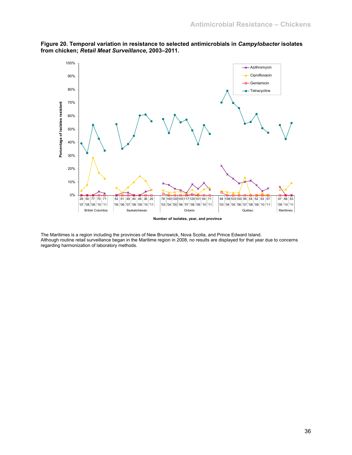

**Figure 20. Temporal variation in resistance to selected antimicrobials in** *Campylobacter* **isolates from chicken;** *Retail Meat Surveillance***, 2003–2011.** 

The Maritimes is a region including the provinces of New Brunswick, Nova Scotia, and Prince Edward Island. Although routine retail surveillance began in the Maritime region in 2008, no results are displayed for that year due to concerns regarding harmonization of laboratory methods.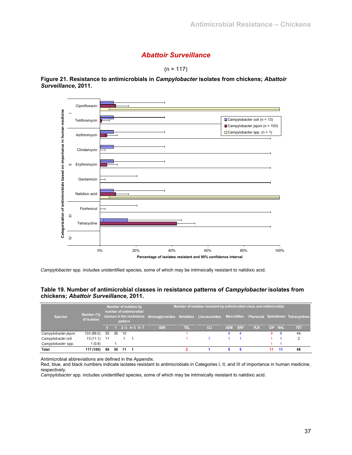## *Abattoir Surveillance*



**Figure 21. Resistance to antimicrobials in** *Campylobacter* **isolates from chickens;** *Abattoir Surveillance***, 2011.** 



*Campylobacter* spp. includes unidentified species, some of which may be intrinsically resistant to nalidixic acid.

## **Table 19. Number of antimicrobial classes in resistance patterns of** *Campylobacter* **isolates from chickens;** *Abattoir Surveillance***, 2011.**

| <b>Species</b>       | Number (%)<br>of isolates |      |    | pattern | Number of isolates by<br>number of antimicrobial | classes in the resistance Aminoglycosides Ketolides Lincosamides Macrolides Phenicols Quinolones Tetracyclines |     | Number of isolates resistant by antimicrobial class and antimicrobial |            |            |            |         |    |    |
|----------------------|---------------------------|------|----|---------|--------------------------------------------------|----------------------------------------------------------------------------------------------------------------|-----|-----------------------------------------------------------------------|------------|------------|------------|---------|----|----|
|                      |                           |      |    |         | $2 - 3$ 4-5 6-7                                  | <b>GEN</b>                                                                                                     | TEL | CL                                                                    | <b>AZM</b> | <b>ERY</b> | <b>FLR</b> | CIP NAL |    | तम |
| Campylobacter jejuni | 103 (88.0)                | 55   | 38 | 10      |                                                  |                                                                                                                |     |                                                                       |            |            |            | 9       | 9  | 44 |
| Campylobacter coli   | 13(11.1)                  | - 11 |    |         |                                                  |                                                                                                                |     |                                                                       |            |            |            |         |    |    |
| Campylobacter spp.   | 1(0.9)                    |      |    |         |                                                  |                                                                                                                |     |                                                                       |            |            |            |         |    |    |
| Total                | 117 (100)                 | 66   | 39 | 11      |                                                  |                                                                                                                |     |                                                                       |            |            |            | 11      | 11 | 46 |

Antimicrobial abbreviations are defined in the Appendix.

Red, blue, and black numbers indicate isolates resistant to antimicrobials in Categories I, II, and III of importance in human medicine, respectively.

*Campylobacter* spp. includes unidentified species, some of which may be intrinsically resistant to nalidixic acid.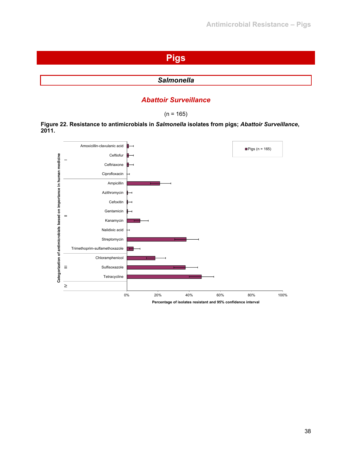# **Pigs**

## *Salmonella*

## *Abattoir Surveillance*

 $(n = 165)$ 

**Figure 22. Resistance to antimicrobials in** *Salmonella* **isolates from pigs;** *Abattoir Surveillance***, 2011.** 

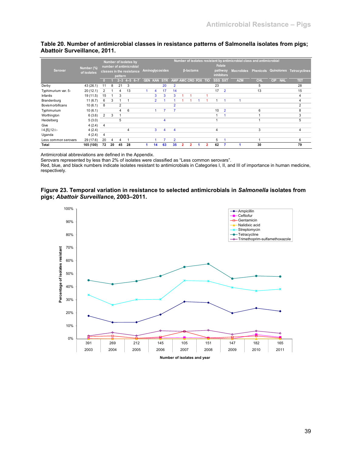|                         |             |                |    |         | Number of isolates by     |            |                |                 |                |   |                     |   |    |                   | Number of isolates resistant by antimicrobial class and antimicrobial |            |                          |               |
|-------------------------|-------------|----------------|----|---------|---------------------------|------------|----------------|-----------------|----------------|---|---------------------|---|----|-------------------|-----------------------------------------------------------------------|------------|--------------------------|---------------|
|                         | Number (%)  |                |    |         | number of antimicrobial   |            |                |                 |                |   |                     |   |    | <b>Folate</b>     |                                                                       |            |                          |               |
| Serovar                 | of isolates |                |    |         | classes in the resistance |            |                | Aminoglycosides |                |   | <b>ß-lactams</b>    |   |    | pathway           | Macrolides Phenicols Quinolones                                       |            |                          | Tetracyclines |
|                         |             |                |    | pattern |                           |            |                |                 |                |   |                     |   |    | <b>inhibitors</b> |                                                                       |            |                          |               |
|                         |             |                |    | $2 - 3$ | $4 - 56 - 7$              | <b>GEN</b> | <b>KAN</b>     | <b>STR</b>      |                |   | AMP AMC CRO FOX TIO |   |    | SSS SXT           | <b>AZM</b>                                                            | <b>CHL</b> | <b>CIP</b><br><b>NAL</b> | TET           |
| Derby                   | 43 (26.1)   | 11             | 8  | 21      | 3                         |            |                | 20              | $\overline{2}$ |   |                     |   | 23 |                   |                                                                       | 5          |                          | 28            |
| Typhimurium var. 5-     | 20(12.1)    | $\overline{2}$ |    | 4       | 13                        |            |                | 17              | 14             |   |                     |   | 17 | $\overline{2}$    |                                                                       | 13         |                          | 15            |
| Infantis                | 19 (11.5)   | 15             |    | 3       |                           |            | 3              | 3               | 3              |   |                     |   |    |                   |                                                                       |            |                          | 4             |
| Brandenburg             | 11(6.7)     | 6              | 3  |         |                           |            | $\overline{2}$ |                 |                |   |                     |   |    |                   |                                                                       |            |                          | 4             |
| <b>Bovismorbificans</b> | 10(6.1)     | 8              |    | 2       |                           |            |                |                 |                |   |                     |   |    |                   |                                                                       |            |                          | 2             |
| Typhimurium             | 10(6.1)     |                |    | 4       | 6                         |            |                |                 |                |   |                     |   | 10 | $\overline{2}$    |                                                                       | 6          |                          | 8             |
| Worthington             | 6(3.6)      | $\overline{2}$ | 3  |         |                           |            |                |                 |                |   |                     |   |    |                   |                                                                       |            |                          | 3             |
| Heidelberg              | 5(3.0)      |                |    | 5       |                           |            |                | 4               |                |   |                     |   |    |                   |                                                                       |            |                          | 5             |
| Give                    | 4(2.4)      | $\overline{4}$ |    |         |                           |            |                |                 |                |   |                     |   |    |                   |                                                                       |            |                          |               |
| $14, [5], 12$ :i:-      | 4(2.4)      |                |    |         | 4                         |            | 3              | 4               | 4              |   |                     |   | 4  |                   |                                                                       | 3          |                          | 4             |
| Uganda                  | 4(2.4)      | $\overline{4}$ |    |         |                           |            |                |                 |                |   |                     |   |    |                   |                                                                       |            |                          |               |
| Less common serovars    | 29 (17.6)   | 20             | 4  | 4       |                           |            |                |                 | $\overline{2}$ |   |                     |   | 5  |                   |                                                                       |            |                          | 6             |
| Total                   | 165 (100)   | 72             | 20 | 45      | 28                        |            | 14             | 63              | 35             | 2 | $\overline{2}$      | 2 | 62 |                   |                                                                       | 30         |                          | 79            |

### **Table 20. Number of antimicrobial classes in resistance patterns of Salmonella isolates from pigs; Abattoir Surveillance, 2011.**

Antimicrobial abbreviations are defined in the Appendix.

Serovars represented by less than 2% of isolates were classified as "Less common serovars".

Red, blue, and black numbers indicate isolates resistant to antimicrobials in Categories I, II, and III of importance in human medicine, respectively.

#### **Figure 23. Temporal variation in resistance to selected antimicrobials in** *Salmonella* **isolates from pigs;** *Abattoir Surveillance***, 2003–2011.**

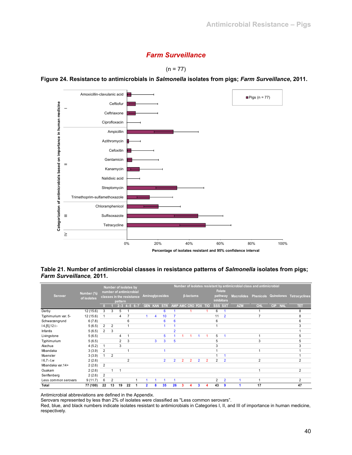## *Farm Surveillance*





**Figure 24. Resistance to antimicrobials in** *Salmonella* **isolates from pigs;** *Farm Surveillance***, 2011.** 

**Table 21. Number of antimicrobial classes in resistance patterns of** *Salmonella* **isolates from pigs;**  *Farm Surveillance,* **2011.** 

|                      |                           |                |                |                | Number of isolates by<br>number of antimicrobial |                |            |                 |                |                     |                  |                         |                |         | <b>Folate</b>                | Number of isolates resistant by antimicrobial class and antimicrobial |                |                          |                                               |
|----------------------|---------------------------|----------------|----------------|----------------|--------------------------------------------------|----------------|------------|-----------------|----------------|---------------------|------------------|-------------------------|----------------|---------|------------------------------|-----------------------------------------------------------------------|----------------|--------------------------|-----------------------------------------------|
| Serovar              | Number (%)<br>of isolates |                |                | pattern        | classes in the resistance                        |                |            | Aminoglycosides |                |                     | <b>ß-lactams</b> |                         |                |         | pathway<br><b>inhibitors</b> |                                                                       |                |                          | Macrolides Phenicols Quinolones Tetracyclines |
|                      |                           |                |                | $2 - 3$        | $6 - 7$<br>$4 - 5$                               | <b>GEN</b>     | <b>KAN</b> | <b>STR</b>      |                | AMP AMC CRO FOX TIO |                  |                         |                | SSS SXT |                              | <b>AZM</b>                                                            | <b>CHL</b>     | <b>CIP</b><br><b>NAL</b> | TET                                           |
| Derby                | 12(15.6)                  | 3              | 3              | 5              |                                                  |                |            | 6               |                |                     |                  |                         |                | 6       |                              |                                                                       |                |                          | 8                                             |
| Typhimurium var. 5-  | 12(15.6)                  | $\mathbf{1}$   |                | 4              |                                                  |                | 4          | 10              |                |                     |                  |                         |                | 11      | $\overline{2}$               |                                                                       | $\overline{7}$ |                          | 8                                             |
| Schwarzengrund       | 6(7.8)                    |                |                |                | 6                                                |                |            | 6               | 6              |                     |                  |                         |                | 6       |                              |                                                                       |                |                          | 6                                             |
| $14, [5], 12$ :i:-   | 5(6.5)                    | $\overline{2}$ | $\overline{2}$ |                | 4                                                |                |            |                 |                |                     |                  |                         |                |         |                              |                                                                       |                |                          | 3                                             |
| Infantis             | 5(6.5)                    | $\overline{2}$ | 3              |                |                                                  |                |            |                 | $\overline{2}$ |                     |                  |                         |                |         |                              |                                                                       |                |                          |                                               |
| Livingstone          | 5(6.5)                    |                |                | 4              |                                                  |                |            | 5               |                |                     |                  |                         |                | 5       |                              |                                                                       |                |                          | 5                                             |
| Typhimurium          | 5(6.5)                    |                |                | $\overline{2}$ | 3                                                |                | 3          | 3               | 5              |                     |                  |                         |                | 5       |                              |                                                                       | 3              |                          | 5                                             |
| Alachua              | 4(5.2)                    |                |                | 3              |                                                  |                |            |                 |                |                     |                  |                         |                | 3       |                              |                                                                       |                |                          | 3                                             |
| Mbandaka             | 3(3.9)                    | $\overline{2}$ |                |                |                                                  |                |            |                 |                |                     |                  |                         |                |         |                              |                                                                       |                |                          |                                               |
| Muenster             | 3(3.9)                    | 1              | $\overline{2}$ |                |                                                  |                |            |                 |                |                     |                  |                         |                |         |                              |                                                                       |                |                          |                                               |
| $16,7:-1,w$          | 2(2.6)                    |                |                |                | $\overline{2}$                                   |                |            | $\overline{2}$  | $\overline{2}$ | $\overline{2}$      | $\overline{2}$   | $\overline{2}$          | $\overline{2}$ | 2       | $\overline{2}$               |                                                                       | $\overline{2}$ |                          | $\overline{2}$                                |
| Mbandaka var.14+     | 2(2.6)                    | $\overline{2}$ |                |                |                                                  |                |            |                 |                |                     |                  |                         |                |         |                              |                                                                       |                |                          |                                               |
| Ouakam               | 2(2.6)                    |                | 1              | 1              |                                                  |                |            |                 |                |                     |                  |                         |                |         |                              |                                                                       |                |                          | $\overline{2}$                                |
| Senftenberg          | 2(2.6)                    | $\overline{2}$ |                |                |                                                  |                |            |                 |                |                     |                  |                         |                |         |                              |                                                                       |                |                          |                                               |
| Less common serovars | 9(11.7)                   | 6              | $\overline{2}$ |                | ٠                                                |                |            | 1               | и              |                     |                  |                         |                | 2       | $\overline{2}$               |                                                                       |                |                          | $\overline{2}$                                |
| Total                | 77 (100)                  | 22             | 13             | 19             | 22                                               | $\overline{2}$ | 8          | 35              | 26             | 3                   | Δ                | $\overline{\mathbf{3}}$ | 4              | 43      | 9                            |                                                                       | 17             |                          | 47                                            |

Antimicrobial abbreviations are defined in the Appendix.

Serovars represented by less than 2% of isolates were classified as ''Less common serovars".

Red, blue, and black numbers indicate isolates resistant to antimicrobials in Categories I, II, and III of importance in human medicine, respectively.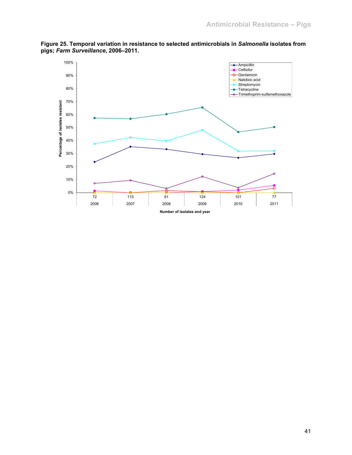

**Figure 25. Temporal variation in resistance to selected antimicrobials in** *Salmonella* **isolates from pigs;** *Farm Surveillance***, 2006–2011.**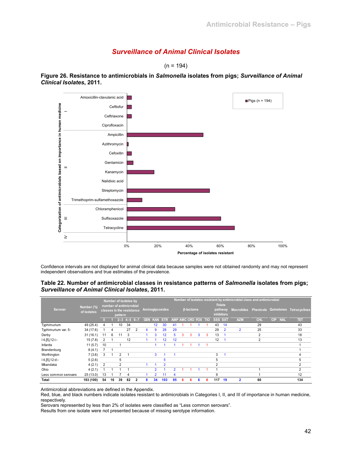## *Surveillance of Animal Clinical Isolates*

 $(n = 194)$ 



**Figure 26. Resistance to antimicrobials in** *Salmonella* **isolates from pigs;** *Surveillance of Animal Clinical Isolates***, 2011.** 

Confidence intervals are not displayed for animal clinical data because samples were not obtained randomly and may not represent independent observations and true estimates of the prevalence.

#### **Table 22. Number of antimicrobial classes in resistance patterns of** *Salmonella* **isolates from pigs;**  *Surveillance of Animal Clinical Isolates***, 2011.**

|                      |             |                |    | Number of isolates by     |                     |   |            |                |                 |                     |   |                  |   |   |                |                   | Number of isolates resistant by antimicrobial class and antimicrobial |                |                          |                                               |
|----------------------|-------------|----------------|----|---------------------------|---------------------|---|------------|----------------|-----------------|---------------------|---|------------------|---|---|----------------|-------------------|-----------------------------------------------------------------------|----------------|--------------------------|-----------------------------------------------|
|                      | Number (%)  |                |    | number of antimicrobial   |                     |   |            |                |                 |                     |   |                  |   |   |                | <b>Folate</b>     |                                                                       |                |                          |                                               |
| Serovar              | of isolates |                |    | classes in the resistance |                     |   |            |                | Aminoglycosides |                     |   | <b>B-lactams</b> |   |   |                | pathway           |                                                                       |                |                          | Macrolides Phenicols Quinolones Tetracyclines |
|                      |             |                |    | pattern                   |                     |   |            |                |                 |                     |   |                  |   |   |                | <i>inhibitors</i> |                                                                       |                |                          |                                               |
|                      |             |                |    |                           | $2 - 3$ 4 - 5 6 - 7 |   | <b>GEN</b> | <b>KAN</b>     | <b>STR</b>      | AMP AMC CRO FOX TIO |   |                  |   |   | SSS SXT        |                   | <b>AZM</b>                                                            | <b>CHL</b>     | <b>CIP</b><br><b>NAL</b> | TET                                           |
| Typhimurium          | 49 (25.4)   | 4              |    | 10                        | 34                  |   |            | 12             | 30              | 41                  |   |                  |   |   | 43             | 14                |                                                                       | 29             |                          | 43                                            |
| Typhimurium var. 5-  | 34 (17.6)   |                | 4  |                           | 27                  | 2 | 4          | 9              | 28              | 29                  |   |                  |   |   | 29             | $\overline{2}$    | $\overline{2}$                                                        | 25             |                          | 33                                            |
| Derby                | 31(16.1)    | 11             | 6  | 11                        | 3                   |   |            | 3              | 12              | 5                   | 3 | 3                | 3 | 3 | 13             |                   |                                                                       | $\overline{2}$ |                          | 18                                            |
| $14, [5], 12$ :i:-   | 15(7.8)     | 2              |    |                           | 12                  |   |            |                | 12              | 12                  |   |                  |   |   | 12             |                   |                                                                       | $\overline{2}$ |                          | 13                                            |
| Infantis             | 11(5.7)     | 10             |    |                           |                     |   |            |                |                 |                     |   |                  |   |   |                |                   |                                                                       |                |                          |                                               |
| Brandenburg          | 8(4.1)      |                |    |                           |                     |   |            |                |                 |                     |   |                  |   |   |                |                   |                                                                       |                |                          |                                               |
| Worthington          | 7(3.6)      | 3              |    | 2                         |                     |   |            | 3              |                 |                     |   |                  |   |   | 3              |                   |                                                                       |                |                          |                                               |
| $14, [5], 12:d$ :-   | 5(2.6)      |                |    | 5                         |                     |   |            |                | 5               |                     |   |                  |   |   | 5              |                   |                                                                       |                |                          | 5                                             |
| Mbandaka             | 4(2.1)      | $\overline{2}$ |    | $\overline{2}$            |                     |   |            |                | $\overline{2}$  |                     |   |                  |   |   | $\overline{2}$ |                   |                                                                       |                |                          |                                               |
| Ohio                 | 4(2.1)      |                |    |                           |                     |   |            | $\overline{2}$ |                 | 2                   |   |                  |   |   |                |                   |                                                                       |                |                          | $\overline{2}$                                |
| Less common serovars | 25(13.0)    | 13             |    |                           | 4                   |   |            | $\overline{2}$ | 11              | 4                   |   |                  |   |   | 9              |                   |                                                                       |                |                          | 12                                            |
| Total                | 193 (100)   | 54             | 16 | 39                        | 82                  | 2 | 8          | 34             | 103             | 95                  | к | 6                | 6 | 6 | 117            | 19                | 2                                                                     | 60             |                          | 134                                           |

Antimicrobial abbreviations are defined in the Appendix.

Red, blue, and black numbers indicate isolates resistant to antimicrobials in Categories I, II, and III of importance in human medicine, respectively.

Serovars represented by less than 2% of isolates were classified as "Less common serovars".

Results from one isolate were not presented because of missing serotype information.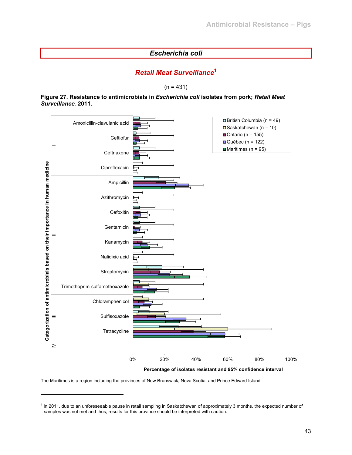## *Escherichia coli*

## *Retail Meat Surveillance***<sup>1</sup>**

 $(n = 431)$ 

#### **Figure 27. Resistance to antimicrobials in** *Escherichia coli* **isolates from pork;** *Retail Meat Surveillance,* **2011.**



**Percentage of isolates resistant and 95% confidence interval**

The Maritimes is a region including the provinces of New Brunswick, Nova Scotia, and Prince Edward Island.

l

<sup>&</sup>lt;sup>1</sup> In 2011, due to an unforeseeable pause in retail sampling in Saskatchewan of approximately 3 months, the expected number of samples was not met and thus, results for this province should be interpreted with caution.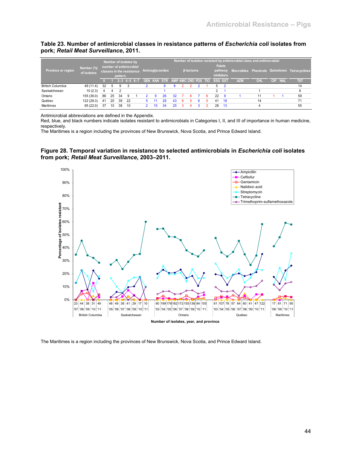#### **Table 23. Number of antimicrobial classes in resistance patterns of** *Escherichia coli* **isolates from pork;** *Retail Meat Surveillance***, 2011.**

|                         | Number (%)  |    |              | Number of isolates by<br>number of antimicrobial |    |                                 |    |                 |    |   |                  |  |                | <b>Folate</b>                | Number of isolates resistant by antimicrobial class and antimicrobial |            |     |            |                                               |
|-------------------------|-------------|----|--------------|--------------------------------------------------|----|---------------------------------|----|-----------------|----|---|------------------|--|----------------|------------------------------|-----------------------------------------------------------------------|------------|-----|------------|-----------------------------------------------|
| Province or region,     | of isolates |    |              | classes in the resistance<br>pattern             |    |                                 |    | Aminoglycosides |    |   | <b>B-lactams</b> |  |                | pathway<br><b>inhibitors</b> |                                                                       |            |     |            | Macrolides Phenicols Quinolones Tetracyclines |
|                         |             |    |              | $2-3$ 4-5 6-7                                    |    | GEN KAN STR AMP AMC CRO FOX TIO |    |                 |    |   |                  |  | <b>SSS SXT</b> |                              | <b>AZM</b>                                                            | <b>CHL</b> | CIP | <b>NAL</b> | TET                                           |
| <b>British Columbia</b> | 49 (11.4)   | 32 | $\mathbf{b}$ | 9                                                |    |                                 |    |                 | 8  |   |                  |  |                |                              |                                                                       |            |     |            | 14                                            |
| Saskatchewan            | 10(2.3)     |    |              |                                                  |    |                                 |    |                 |    |   |                  |  | 2              |                              |                                                                       |            |     |            | 6                                             |
| Ontario                 | 155 (36.0)  | 86 | 25           | 34                                               | 9  |                                 | -9 | 26              | 32 |   |                  |  | 22             | - 9                          |                                                                       | 11         |     |            | 59                                            |
| Québec                  | 122 (28.3)  | 41 | 20           | 39                                               | 22 |                                 |    | 28              | 43 | 6 |                  |  | 41             | 18                           |                                                                       | 14         |     |            | 71                                            |
| Maritimes               | 95(22.0)    | 37 | 10           | 38                                               | 10 |                                 |    |                 |    |   |                  |  | 28             | 13                           |                                                                       |            |     |            | 55                                            |

Antimicrobial abbreviations are defined in the Appendix.

Red, blue, and black numbers indicate isolates resistant to antimicrobials in Categories I, II, and III of importance in human medicine, respectively.

The Maritimes is a region including the provinces of New Brunswick, Nova Scotia, and Prince Edward Island.

#### **Figure 28. Temporal variation in resistance to selected antimicrobials in** *Escherichia coli* **isolates from pork;** *Retail Meat Surveillance***, 2003–2011.**



The Maritimes is a region including the provinces of New Brunswick, Nova Scotia, and Prince Edward Island.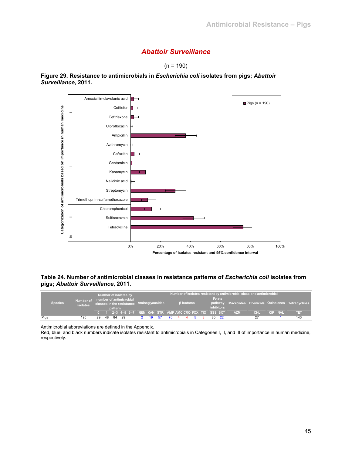## *Abattoir Surveillance*

 $(n = 190)$ 



**Figure 29. Resistance to antimicrobials in** *Escherichia coli* **isolates from pigs;** *Abattoir Surveillance***, 2011.** 

#### **Table 24. Number of antimicrobial classes in resistance patterns of** *Escherichia coli* **isolates from pigs;** *Abattoir Surveillance***, 2011.**

|                |                       |                                                                                 |    | Number of isolates by |    |                                                     |    |     |                  |  |                             |    |      | Number of isolates resistant by antimicrobial class and antimicrobial |            |                                                       |     |
|----------------|-----------------------|---------------------------------------------------------------------------------|----|-----------------------|----|-----------------------------------------------------|----|-----|------------------|--|-----------------------------|----|------|-----------------------------------------------------------------------|------------|-------------------------------------------------------|-----|
| <b>Species</b> | Number of<br>isolates | number of antimicrobial<br>classes in the resistance Aminoglycosides<br>pattern |    |                       |    |                                                     |    |     | <b>B-lactams</b> |  | Folate<br><b>inhibitors</b> |    |      |                                                                       |            | pathway Macrolides Phenicols Quinolones Tetracyclines |     |
|                |                       |                                                                                 |    |                       |    | 2-3 4-5 6-7 GEN KAN STR AMP AMC CRO FOX TIO SSS SXT |    |     |                  |  |                             |    |      | <b>AZM</b>                                                            | <b>CHI</b> | CIP NAL                                               | तम  |
| Pigs           | 190                   | 29                                                                              | 48 | 84                    | 29 |                                                     | 19 | -57 |                  |  |                             | 80 | - 22 |                                                                       | 27         |                                                       | 143 |

Antimicrobial abbreviations are defined in the Appendix.

Red, blue, and black numbers indicate isolates resistant to antimicrobials in Categories I, II, and III of importance in human medicine, respectively.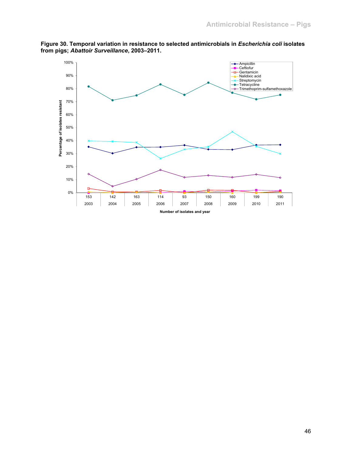

**Figure 30. Temporal variation in resistance to selected antimicrobials in** *Escherichia coli* **isolates from pigs;** *Abattoir Surveillance***, 2003–2011.**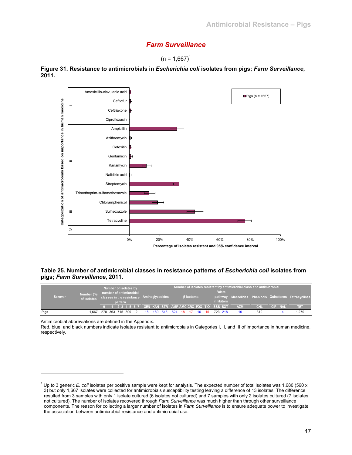## *Farm Surveillance*





**Figure 31. Resistance to antimicrobials in** *Escherichia coli* **isolates from pigs;** *Farm Surveillance***, 2011.** 

## **Table 25. Number of antimicrobial classes in resistance patterns of** *Escherichia coli* **isolates from pigs;** *Farm Surveillance***, 2011.**

|      | <b>Serovar</b> | Number (%)<br>of isolates |  | pattern | Number of isolates by<br>number of antimicrobial |   | classes in the resistance Aminoglycosides |  |                         | $\beta$ -lactams |  | <b>Folate</b><br><i>inhibitors</i>                      | Number of isolates resistant by antimicrobial class and antimicrobial |            |                | pathway Macrolides Phenicols Quinolones Tetracyclines |
|------|----------------|---------------------------|--|---------|--------------------------------------------------|---|-------------------------------------------|--|-------------------------|------------------|--|---------------------------------------------------------|-----------------------------------------------------------------------|------------|----------------|-------------------------------------------------------|
|      |                |                           |  |         |                                                  |   |                                           |  |                         |                  |  | 0 1 2-3 4-5 6-7 GEN KAN STR AMP AMC CRO FOX TIO SSS SXT | <b>AZM</b>                                                            | <b>CHL</b> | <b>CIP NAL</b> | ।। ना                                                 |
| Pigs |                | 1.667                     |  |         | 278 363 715 309                                  | 2 | 18                                        |  | 189 548 524 18 17 16 15 |                  |  | 723 218                                                 |                                                                       | 310        |                | 1,279                                                 |

Antimicrobial abbreviations are defined in the Appendix.

l

Red, blue, and black numbers indicate isolates resistant to antimicrobials in Categories I, II, and III of importance in human medicine, respectively.

<sup>&</sup>lt;sup>1</sup> Up to 3 generic *E. coli* isolates per positive sample were kept for analysis. The expected number of total isolates was 1,680 (560 x 3) but only 1,667 isolates were collected for antimicrobials susceptibility testing leaving a difference of 13 isolates. The difference resulted from 3 samples with only 1 isolate cultured (6 isolates not cultured) and 7 samples with only 2 isolates cultured (7 isolates not cultured). The number of isolates recovered through *Farm Surveillance* was much higher than through other surveillance components. The reason for collecting a larger number of isolates in *Farm Surveillance* is to ensure adequate power to investigate the association between antimicrobial resistance and antimicrobial use.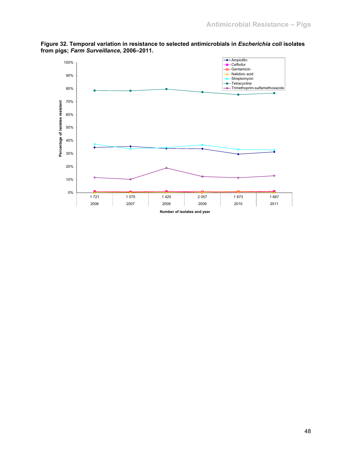

**Figure 32. Temporal variation in resistance to selected antimicrobials in** *Escherichia coli* **isolates from pigs;** *Farm Surveillance***, 2006–2011.**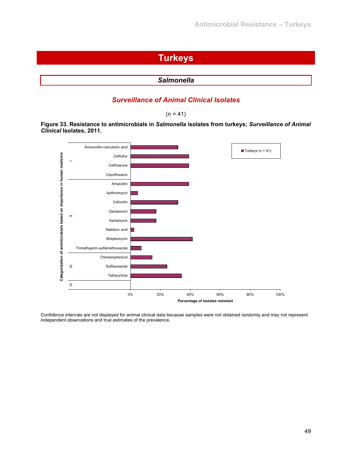# **Turkeys**

```
Salmonella
```
## *Surveillance of Animal Clinical Isolates*

 $(n = 41)$ 

**Figure 33. Resistance to antimicrobials in** *Salmonella* **isolates from turkeys;** *Surveillance of Animal Clinical* **Isolates, 2011.** 



Confidence intervals are not displayed for animal clinical data because samples were not obtained randomly and may not represent independent observations and true estimates of the prevalence.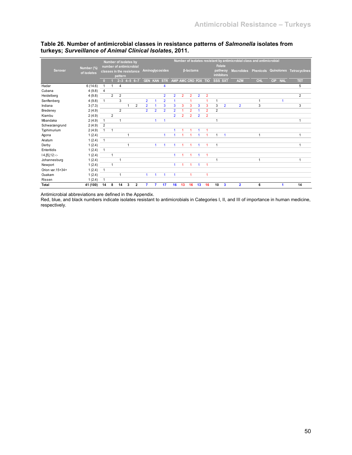|                   |             |              |                | Number of isolates by     |                     |                         |                |                |                      |                     |                |                  |                |                |                   |                | Number of isolates resistant by antimicrobial class and antimicrobial |            |     |            |                                               |
|-------------------|-------------|--------------|----------------|---------------------------|---------------------|-------------------------|----------------|----------------|----------------------|---------------------|----------------|------------------|----------------|----------------|-------------------|----------------|-----------------------------------------------------------------------|------------|-----|------------|-----------------------------------------------|
|                   | Number (%)  |              |                | number of antimicrobial   |                     |                         |                |                |                      |                     |                |                  |                |                |                   | <b>Folate</b>  |                                                                       |            |     |            |                                               |
| Serovar           | of isolates |              |                | classes in the resistance |                     |                         |                |                | Aminoglycosides      |                     |                | <b>ß-lactams</b> |                |                | <b>inhibitors</b> | pathway        |                                                                       |            |     |            | Macrolides Phenicols Quinolones Tetracyclines |
|                   |             |              |                | pattern                   |                     |                         |                |                |                      |                     |                |                  |                |                |                   |                |                                                                       |            |     |            |                                               |
|                   |             | $\Box$       |                |                           | $2 - 3$ 4 - 5 6 - 7 |                         |                |                | <b>GEN KAN STR</b>   | AMP AMC CRO FOX TIO |                |                  |                |                | SSS SXT           |                | <b>AZM</b>                                                            | <b>CHL</b> | CIP | <b>NAL</b> | TET                                           |
| Hadar             | 6(14.6)     |              | $\mathbf{1}$   | 4                         |                     |                         |                |                | 4                    |                     |                |                  |                |                |                   |                |                                                                       |            |     |            | 5                                             |
| Cubana            | 4(9.8)      | 4            |                |                           |                     |                         |                |                |                      |                     |                |                  |                |                |                   |                |                                                                       |            |     |            |                                               |
| Heidelberg        | 4(9.8)      |              | $\overline{2}$ | $\overline{2}$            |                     |                         |                |                | $\overline{2}$       | $\overline{2}$      | $\overline{2}$ | $\overline{2}$   | $\overline{2}$ | $\overline{2}$ |                   |                |                                                                       |            |     |            | $\overline{2}$                                |
| Senftenberg       | 4(9.8)      | $\mathbf{1}$ |                | 3                         |                     |                         | $\overline{2}$ |                | $\overline{2}$       |                     |                |                  |                |                | f                 |                |                                                                       | 1          |     |            |                                               |
| Indiana           | 3(7.3)      |              |                |                           | 1                   | $\overline{2}$          | $\overline{2}$ |                | 3                    | 3                   | 3              | 3                | 3              | 3              | 3                 | $\overline{2}$ | $\overline{2}$                                                        | 3          |     |            | 3                                             |
| Bredeney          | 2(4.9)      |              |                | $\overline{2}$            |                     |                         | $\overline{2}$ | $\overline{2}$ | $\overline{2}$       | $\overline{2}$      |                | $\overline{2}$   |                | $\overline{2}$ | $\overline{2}$    |                |                                                                       |            |     |            |                                               |
| Kiambu            | 2(4.9)      |              | $\overline{2}$ |                           |                     |                         |                |                |                      | $\overline{2}$      | $\overline{2}$ | $\overline{2}$   | $\overline{2}$ | $\overline{2}$ |                   |                |                                                                       |            |     |            |                                               |
| Mbandaka          | 2(4.9)      | $\mathbf{1}$ |                |                           |                     |                         |                |                | -1                   |                     |                |                  |                |                | 1                 |                |                                                                       |            |     |            | 1                                             |
| Schwarzengrund    | 2(4.9)      | 2            |                |                           |                     |                         |                |                |                      |                     |                |                  |                |                |                   |                |                                                                       |            |     |            |                                               |
| Typhimurium       | 2(4.9)      |              | $\overline{1}$ |                           |                     |                         |                |                |                      |                     |                |                  |                |                |                   |                |                                                                       |            |     |            |                                               |
| Agona             | 1(2.4)      |              |                |                           | 1                   |                         |                |                | 4                    |                     |                |                  |                |                | 1                 | H              |                                                                       | 1          |     |            |                                               |
| Anatum            | 1(2.4)      | $\mathbf{1}$ |                |                           |                     |                         |                |                |                      |                     |                |                  |                |                |                   |                |                                                                       |            |     |            |                                               |
| Derby             | 1(2.4)      |              |                |                           | $\mathbf{1}$        |                         |                | 1              | $\blacktriangleleft$ | 1                   |                |                  | 1              | 1              | $\overline{1}$    |                |                                                                       |            |     |            |                                               |
| Enteritidis       | 1(2.4)      | $\mathbf{1}$ |                |                           |                     |                         |                |                |                      |                     |                |                  |                |                |                   |                |                                                                       |            |     |            |                                               |
| $14, [5], 12:-$   | 1(2.4)      |              | $\overline{1}$ |                           |                     |                         |                |                |                      | $\mathbf{1}$        |                |                  | 1              | -1             |                   |                |                                                                       |            |     |            |                                               |
| Johannesburg      | 1(2.4)      |              |                | 1                         |                     |                         |                |                |                      |                     |                |                  |                |                | ٠                 |                |                                                                       | 1          |     |            | 1                                             |
| Newport           | 1(2.4)      |              | $\mathbf{1}$   |                           |                     |                         |                |                |                      | $\mathbf{1}$        |                |                  | 1              | 1              |                   |                |                                                                       |            |     |            |                                               |
| Orion var. 15+34+ | 1(2.4)      | $\mathbf{1}$ |                |                           |                     |                         |                |                |                      |                     |                |                  |                |                |                   |                |                                                                       |            |     |            |                                               |
| Ouakam            | 1(2.4)      |              |                |                           |                     |                         | 1              |                | 1                    | $\mathbf{1}$        |                | -1               |                | 1              |                   |                |                                                                       |            |     |            |                                               |
| Rissen            | 1(2.4)      |              |                |                           |                     |                         |                |                |                      |                     |                |                  |                |                |                   |                |                                                                       |            |     |            |                                               |
| Total             | 41 (100)    | 14           | 8              | 14                        | 3                   | $\overline{\mathbf{2}}$ |                |                | 17                   | 16                  | 13             | 16               | 13             | 16             | 10                | $\mathbf{3}$   | $\overline{2}$                                                        | 6          |     |            | 14                                            |

## **Table 26. Number of antimicrobial classes in resistance patterns of** *Salmonella* **isolates from turkeys;** *Surveillance of Animal Clinical Isolates***, 2011.**

Antimicrobial abbreviations are defined in the Appendix.

Red, blue, and black numbers indicate isolates resistant to antimicrobials in Categories I, II, and III of importance in human medicine, respectively.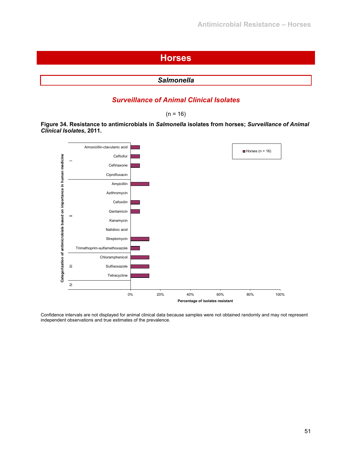## **Horses**

| <b>Salmonella</b> |
|-------------------|
|                   |

## *Surveillance of Animal Clinical Isolates*

 $(n = 16)$ 

**Figure 34. Resistance to antimicrobials in** *Salmonella* **isolates from horses;** *Surveillance of Animal Clinical Isolates***, 2011.** 



Confidence intervals are not displayed for animal clinical data because samples were not obtained randomly and may not represent independent observations and true estimates of the prevalence.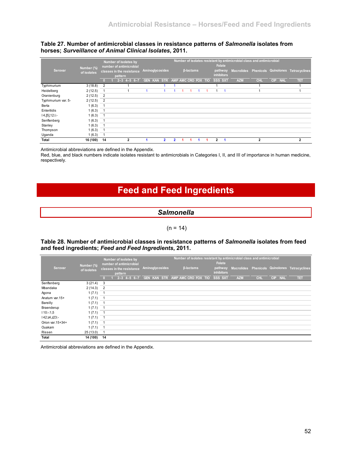#### **Table 27. Number of antimicrobial classes in resistance patterns of** *Salmonella* **isolates from horses;** *Surveillance of Animal Clinical Isolates***, 2011.**

|                     | Number (%)  |                | Number of isolates by<br>number of antimicrobial |              |                    |                     |                  |  |   | Folate                       | Number of isolates resistant by antimicrobial class and antimicrobial |                |            |            |                                               |
|---------------------|-------------|----------------|--------------------------------------------------|--------------|--------------------|---------------------|------------------|--|---|------------------------------|-----------------------------------------------------------------------|----------------|------------|------------|-----------------------------------------------|
| Serovar             | of isolates |                | classes in the resistance<br>pattern             |              | Aminoglycosides    |                     | <b>B-lactams</b> |  |   | pathway<br><b>inhibitors</b> |                                                                       |                |            |            | Macrolides Phenicols Quinolones Tetracyclines |
|                     |             |                | $2 - 3$                                          | $4 - 56 - 7$ | <b>GEN KAN STR</b> | AMP AMC CRO FOX TIO |                  |  |   | SSS SXT                      | <b>AZM</b>                                                            | <b>CHL</b>     | <b>CIP</b> | <b>NAL</b> | तवा                                           |
| Typhimurium         | 3(18.8)     | $\overline{2}$ |                                                  |              |                    |                     |                  |  |   |                              |                                                                       |                |            |            |                                               |
| Heidelberg          | 2(12.5)     |                |                                                  |              |                    |                     |                  |  |   |                              |                                                                       |                |            |            |                                               |
| Oranienburg         | 2(12.5)     | $\overline{2}$ |                                                  |              |                    |                     |                  |  |   |                              |                                                                       |                |            |            |                                               |
| Typhimurium var. 5- | 2(12.5)     | $\overline{2}$ |                                                  |              |                    |                     |                  |  |   |                              |                                                                       |                |            |            |                                               |
| Berta               | 1(6.3)      |                |                                                  |              |                    |                     |                  |  |   |                              |                                                                       |                |            |            |                                               |
| Enteritidis         | 1(6.3)      |                |                                                  |              |                    |                     |                  |  |   |                              |                                                                       |                |            |            |                                               |
| $14, [5], 12$ :i:-  | 1(6.3)      |                |                                                  |              |                    |                     |                  |  |   |                              |                                                                       |                |            |            |                                               |
| Senftenberg         | 1(6.3)      |                |                                                  |              |                    |                     |                  |  |   |                              |                                                                       |                |            |            |                                               |
| Stanley             | 1(6.3)      |                |                                                  |              |                    |                     |                  |  |   |                              |                                                                       |                |            |            |                                               |
| Thompson            | 1(6.3)      |                |                                                  |              |                    |                     |                  |  |   |                              |                                                                       |                |            |            |                                               |
| Uganda              | 1(6.3)      |                |                                                  |              |                    |                     |                  |  |   |                              |                                                                       |                |            |            |                                               |
| Total               | 16 (100)    | 14             | 2                                                |              |                    |                     |                  |  | 2 |                              |                                                                       | $\overline{2}$ |            |            | $\overline{2}$                                |

Antimicrobial abbreviations are defined in the Appendix.

Red, blue, and black numbers indicate isolates resistant to antimicrobials in Categories I, II, and III of importance in human medicine, respectively.

# **Feed and Feed Ingredients**

## *Salmonella*

#### $(n = 14)$

## **Table 28. Number of antimicrobial classes in resistance patterns of** *Salmonella* **isolates from feed and feed ingredients;** *Feed and Feed Ingredients***, 2011.**

|                   |                           |                            |         | Number of isolates by<br>number of antimicrobial |                    |                     |                  | Folate                       | Number of isolates resistant by antimicrobial class and antimicrobial |            |            |            |                                               |
|-------------------|---------------------------|----------------------------|---------|--------------------------------------------------|--------------------|---------------------|------------------|------------------------------|-----------------------------------------------------------------------|------------|------------|------------|-----------------------------------------------|
| Serovar           | Number (%)<br>of isolates |                            | pattern | classes in the resistance                        | Aminoglycosides    |                     | $\beta$ -lactams | pathway<br><i>inhibitors</i> |                                                                       |            |            |            | Macrolides Phenicols Quinolones Tetracyclines |
|                   |                           |                            |         | $2 - 3$ 4-5 6-7                                  | <b>GEN KAN STR</b> | AMP AMC CRO FOX TIO |                  | SSS SXT                      | <b>AZM</b>                                                            | <b>CHL</b> | <b>CIP</b> | <b>NAL</b> | TET                                           |
| Senftenberg       | 3(21.4)                   | -3                         |         |                                                  |                    |                     |                  |                              |                                                                       |            |            |            |                                               |
| Mbandaka          | 2(14.3)                   | $\overline{2}$             |         |                                                  |                    |                     |                  |                              |                                                                       |            |            |            |                                               |
| Agona             | 1(7.1)                    |                            |         |                                                  |                    |                     |                  |                              |                                                                       |            |            |            |                                               |
| Anatum var.15+    | 1(7.1)                    |                            |         |                                                  |                    |                     |                  |                              |                                                                       |            |            |            |                                               |
| Bareilly          | 1(7.1)                    |                            |         |                                                  |                    |                     |                  |                              |                                                                       |            |            |            |                                               |
| Braenderup        | 1(7.1)                    | - 1                        |         |                                                  |                    |                     |                  |                              |                                                                       |            |            |            |                                               |
| $110:-:1,5$       | 1(7.1)                    | $\overline{\phantom{0}}$ 1 |         |                                                  |                    |                     |                  |                              |                                                                       |            |            |            |                                               |
| l 42:z4,z23:-     | 1(7.1)                    |                            |         |                                                  |                    |                     |                  |                              |                                                                       |            |            |            |                                               |
| Orion var. 15+34+ | 1(7.1)                    |                            |         |                                                  |                    |                     |                  |                              |                                                                       |            |            |            |                                               |
| Ouakam            | 1(7.1)                    |                            |         |                                                  |                    |                     |                  |                              |                                                                       |            |            |            |                                               |
| Rissen            | 25(13.0)                  |                            |         |                                                  |                    |                     |                  |                              |                                                                       |            |            |            |                                               |
| Total             | 14 (100)                  | 14                         |         |                                                  |                    |                     |                  |                              |                                                                       |            |            |            |                                               |

Antimicrobial abbreviations are defined in the Appendix.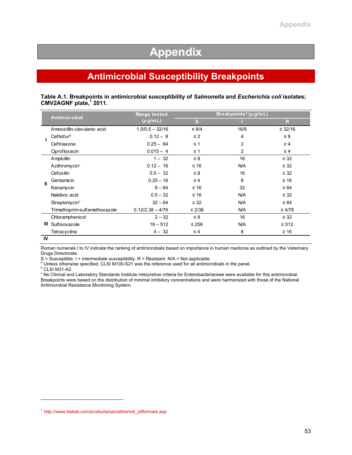# **Appendix**

# **Antimicrobial Susceptibility Breakpoints**

#### **Table A.1. Breakpoints in antimicrobial susceptibility of** *Salmonella* **and** *Escherichia coli* **isolates; CMV2AGNF plate,1 2011.**

|    |                               | Range tested       | Breakpoints <sup>a</sup> ( $\mu$ g/m L) |                |              |  |  |
|----|-------------------------------|--------------------|-----------------------------------------|----------------|--------------|--|--|
|    | <b>Antimicrobial</b>          | $(\mu$ g/m L)      | <sub>S</sub>                            |                | $\mathsf{R}$ |  |  |
|    | Amoxicillin-clavulanic acid   | $1.0/0.5 - 32/16$  | $\leq 8/4$                              | 16/8           | $\geq$ 32/16 |  |  |
|    | Ceftiofurb                    | $0.12 - 8$         | $\leq 2$                                | 4              | $\geq 8$     |  |  |
|    | Ceftriaxone                   | $0.25 - 64$        | $\leq 1$                                | 2              | $\geq 4$     |  |  |
|    | Ciprofloxacin                 | $0.015 - 4$        | $\leq 1$                                | $\overline{c}$ | $\geq 4$     |  |  |
|    | Ampicillin                    | $1 - 32$           | $\leq 8$                                | 16             | $\geq$ 32    |  |  |
|    | Azithromycin <sup>c</sup>     | $0.12 - 16$        | $≤ 16$                                  | <b>N/A</b>     | $\geq$ 32    |  |  |
|    | Cefoxitin                     | $0.5 - 32$         | $\leq 8$                                | 16             | $\geq$ 32    |  |  |
| Ш  | Gentamicin                    | $0.25 - 16$        | $\leq 4$                                | 8              | $\geq 16$    |  |  |
|    | Kanamycin                     | $8 - 64$           | $≤ 16$                                  | 32             | $\geq 64$    |  |  |
|    | Nalidixic acid                | $0.5 - 32$         | $≤ 16$                                  | <b>N/A</b>     | $\geq$ 32    |  |  |
|    | Streptomycin <sup>c</sup>     | $32 - 64$          | $\leq 32$                               | <b>N/A</b>     | $\geq 64$    |  |  |
|    | Trimethoprim-sulfamethoxazole | $0.12/2.38 - 4/76$ | $\leq$ 2/38                             | <b>N/A</b>     | $\geq 4/76$  |  |  |
|    | Chloramphenicol               | $2 - 32$           | $\leq 8$                                | 16             | $\geq$ 32    |  |  |
| Ш  | Sulfisoxazole                 | $16 - 512$         | $\leq 256$                              | <b>N/A</b>     | $\geq 512$   |  |  |
|    | Tetracycline                  | $4 - 32$           | $\leq 4$                                | 8              | $\geq 16$    |  |  |
| IV |                               |                    |                                         |                |              |  |  |

Roman numerals I to IV indicate the ranking of antimicrobials based on importance in human medicine as outlined by the Veterinary Drugs Directorate.

 $S =$  Susceptible. I = Intermediate susceptibility. R = Resistant. N/A = Not applicable.

<sup>a</sup> Unless otherwise specified, CLSI M100-S21 was the reference used for all antimicrobials in the panel.

DIRESS Calls b<br>CLSI M31-A2.

l

<sup>c</sup> No Clinical and Laboratory Standards Institute interpretive criteria for Enterobacteriaceae were available for this antimicrobial. Breakpoints were based on the distribution of minimal inhibitory concentrations and were harmonized with those of the National Antimicrobial Resistance Monitoring System.

<sup>1</sup> http://www.trekds.com/products/sensititre/vet\_pltformats.asp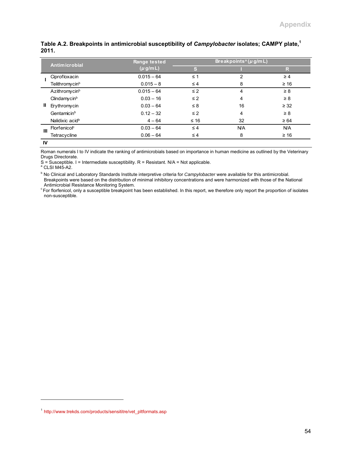|              | <b>Antimicrobial</b>        | Range tested | Breakpoints <sup>a</sup> ( $\mu$ g/m L) |            |            |  |  |  |
|--------------|-----------------------------|--------------|-----------------------------------------|------------|------------|--|--|--|
|              |                             | $(\mu g/mL)$ | S                                       |            | R          |  |  |  |
|              | Ciprofloxacin               | $0.015 - 64$ | $\leq 1$                                | 2          | $\geq 4$   |  |  |  |
|              | Telithromycin <sup>b</sup>  | $0.015 - 8$  | $\leq 4$                                | 8          | $\geq 16$  |  |  |  |
|              | Azithromycin <sup>b</sup>   | $0.015 - 64$ | $\leq$ 2                                | 4          | $\geq 8$   |  |  |  |
|              | Clindamycin <sup>b</sup>    | $0.03 - 16$  | $\leq$ 2                                | 4          | $\geq 8$   |  |  |  |
| Ш            | Erythromycin                | $0.03 - 64$  | $\leq 8$                                | 16         | $\geq$ 32  |  |  |  |
|              | Gentamicin <sup>b</sup>     | $0.12 - 32$  | $\leq$ 2                                | 4          | $\geq 8$   |  |  |  |
|              | Nalidixic acid <sup>b</sup> | $4 - 64$     | $≤ 16$                                  | 32         | $\geq 64$  |  |  |  |
| $\mathbf{m}$ | Florfenicol <sup>c</sup>    | $0.03 - 64$  | $\leq 4$                                | <b>N/A</b> | <b>N/A</b> |  |  |  |
|              | Tetracycline                | $0.06 - 64$  | $\leq 4$                                | 8          | $\geq 16$  |  |  |  |
| $\cdots$     |                             |              |                                         |            |            |  |  |  |

## Table A.2. Breakpoints in antimicrobial susceptibility of *Campylobacter* isolates; CAMPY plate,<sup>1</sup> **2011.**

**IV**

l

Roman numerals I to IV indicate the ranking of antimicrobials based on importance in human medicine as outlined by the Veterinary Drugs Directorate.

 $S =$  Susceptible. I = Intermediate susceptibility. R = Resistant. N/A = Not applicable.

<sup>a</sup> CLSI M45-A2.

<sup>b</sup> No Clinical and Laboratory Standards Institute interpretive criteria for *Campylobacter* were available for this antimicrobial. Breakpoints were based on the distribution of minimal inhibitory concentrations and were harmonized with those of the National

Antimicrobial Resistance Monitoring System.<br>
For florfenicol, only a susceptible breakpoint has been established. In this report, we therefore only report the proportion of isolates non-susceptible.

<sup>1</sup> http://www.trekds.com/products/sensititre/vet\_pltformats.asp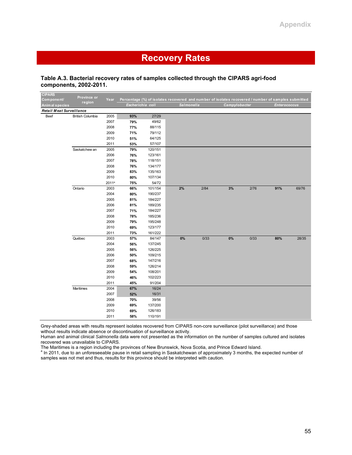# **Recovery Rates**

#### **Table A.3. Bacterial recovery rates of samples collected through the CIPARS agri-food components, 2002-2011.**

| <b>CIPARS</b><br>Component/ | Province or             | Year              |                  |         | Percentage (%) of isolates recovered and number of isolates recovered / number of samples submitted |      |               |      |                     |       |
|-----------------------------|-------------------------|-------------------|------------------|---------|-----------------------------------------------------------------------------------------------------|------|---------------|------|---------------------|-------|
| Animal species              | region                  |                   | Escherichia coli |         | Salmonella                                                                                          |      | Campylobacter |      | <b>Enterococcus</b> |       |
| Retail Meat Surveillance    |                         |                   |                  |         |                                                                                                     |      |               |      |                     |       |
| Beef                        | <b>British Columbia</b> | 2005              | 93%              | 27/29   |                                                                                                     |      |               |      |                     |       |
|                             |                         | 2007              | 79%              | 49/62   |                                                                                                     |      |               |      |                     |       |
|                             |                         | 2008              | 77%              | 88/115  |                                                                                                     |      |               |      |                     |       |
|                             |                         | 2009              | 71%              | 79/112  |                                                                                                     |      |               |      |                     |       |
|                             |                         | 2010              | 51%              | 64/125  |                                                                                                     |      |               |      |                     |       |
|                             |                         | 2011              | 53%              | 57/107  |                                                                                                     |      |               |      |                     |       |
|                             | Saskatchew an           | 2005              | 79%              | 120/151 |                                                                                                     |      |               |      |                     |       |
|                             |                         | 2006              | 76%              | 123/161 |                                                                                                     |      |               |      |                     |       |
|                             |                         | 2007              | 78%              | 118/151 |                                                                                                     |      |               |      |                     |       |
|                             |                         | 2008              | 76%              | 134/177 |                                                                                                     |      |               |      |                     |       |
|                             |                         | 2009              | 83%              | 135/163 |                                                                                                     |      |               |      |                     |       |
|                             |                         | 2010              | 80%              | 107/134 |                                                                                                     |      |               |      |                     |       |
|                             |                         | 2011 <sup>a</sup> | 75%              | 54/72   |                                                                                                     |      |               |      |                     |       |
|                             | Ontario                 | 2003              | 66%              | 101/154 | 2%                                                                                                  | 2/84 | 3%            | 2/76 | 91%                 | 69/76 |
|                             |                         | 2004              | 80%              | 190/237 |                                                                                                     |      |               |      |                     |       |
|                             |                         | 2005              | 81%              | 184/227 |                                                                                                     |      |               |      |                     |       |
|                             |                         | 2006              | 81%              | 189/235 |                                                                                                     |      |               |      |                     |       |
|                             |                         | 2007              | 71%              | 184/227 |                                                                                                     |      |               |      |                     |       |
|                             |                         | 2008              | 78%              | 185/236 |                                                                                                     |      |               |      |                     |       |
|                             |                         | 2009              | 79%              | 195/248 |                                                                                                     |      |               |      |                     |       |
|                             |                         | 2010              | 69%              | 123/177 |                                                                                                     |      |               |      |                     |       |
|                             |                         | 2011              | 73%              | 161/222 |                                                                                                     |      |               |      |                     |       |
|                             | Québec                  | 2003              | 57%              | 84/147  | $0\%$                                                                                               | 0/33 | 0%            | 0/33 | 80%                 | 28/35 |
|                             |                         | 2004              | 56%              | 137/245 |                                                                                                     |      |               |      |                     |       |
|                             |                         | 2005              | 56%              | 126/225 |                                                                                                     |      |               |      |                     |       |
|                             |                         | 2006              | 50%              | 109/215 |                                                                                                     |      |               |      |                     |       |
|                             |                         | 2007              | 68%              | 147/216 |                                                                                                     |      |               |      |                     |       |
|                             |                         | 2008              | 59%              | 126/214 |                                                                                                     |      |               |      |                     |       |
|                             |                         | 2009              | 54%              | 108/201 |                                                                                                     |      |               |      |                     |       |
|                             |                         | 2010              | 46%              | 102/223 |                                                                                                     |      |               |      |                     |       |
|                             |                         | 2011              | 45%              | 91/204  |                                                                                                     |      |               |      |                     |       |
|                             | Maritimes               | 2004              | 67%              | 16/24   |                                                                                                     |      |               |      |                     |       |
|                             |                         | 2007              | 52%              | 16/31   |                                                                                                     |      |               |      |                     |       |
|                             |                         | 2008              | 70%              | 39/56   |                                                                                                     |      |               |      |                     |       |
|                             |                         | 2009              | 69%              | 137/200 |                                                                                                     |      |               |      |                     |       |
|                             |                         | 2010              | 69%              | 126/183 |                                                                                                     |      |               |      |                     |       |
|                             |                         | 2011              | 58%              | 110/191 |                                                                                                     |      |               |      |                     |       |

Grey-shaded areas with results represent isolates recovered from CIPARS non-core surveillance (pilot surveillance) and those without results indicate absence or discontinuation of surveillance activity.

Human and animal clinical *Salmonella* data were not presented as the information on the number of samples cultured and isolates recovered was unavailable to CIPARS.

The Maritimes is a region including the provinces of New Brunswick, Nova Scotia, and Prince Edward Island.

<sup>a</sup> In 2011, due to an unforeseeable pause in retail sampling in Saskatchewan of approximately 3 months, the expected number of samples was not met and thus, results for this province should be interpreted with caution.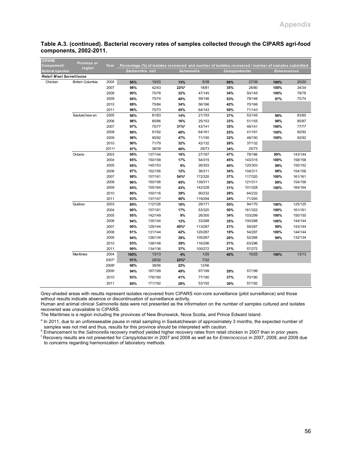| <b>CIPARS</b><br>Component/     | Province or             | Year              |                                                                                                                         |         |                   |         |               |         |                     |         |
|---------------------------------|-------------------------|-------------------|-------------------------------------------------------------------------------------------------------------------------|---------|-------------------|---------|---------------|---------|---------------------|---------|
| Animal species                  | region                  |                   | Percentage (%) of isolates recovered and number of isolates recovered / number of samples submitted<br>Escherichia coli |         | <b>Salmonella</b> |         | Campylobacter |         | <b>Enterococcus</b> |         |
| <b>Retail Meat Surveillance</b> |                         |                   |                                                                                                                         |         |                   |         |               |         |                     |         |
| Chicken                         | <b>British Columbia</b> | 2005              | 95%                                                                                                                     | 19/20   | 13%               | 5/39    | 69%           | 27/39   | 100%                | 20/20   |
|                                 |                         | 2007              | 98%                                                                                                                     | 42/43   | 22%b              | 18/81   | 35%           | 28/80   | 100%                | 34/34   |
|                                 |                         | 2008              | 90%                                                                                                                     | 70/78   | 32%               | 47/145  | 34%           | 50/145  | 100%                | 78/78   |
|                                 |                         | 2009              | 95%                                                                                                                     | 70/74   | 40%               | 59/146  | 53%           | 78/146  | 97%                 | 72/74   |
|                                 |                         | 2010              | 89%                                                                                                                     | 75/84   | 34%               | 56/166  | 42%           | 70/166  |                     |         |
|                                 |                         | 2011              | 96%                                                                                                                     | 70/73   | 45%               | 64/143  | 50%           | 71/143  |                     |         |
|                                 | Saskatchew an           | 2005              | 98%                                                                                                                     | 81/83   | 14%               | 21/153  | 37%           | 53/145  | 98%                 | 83/85   |
|                                 |                         | 2006              | 98%                                                                                                                     | 85/86   | 16%               | 25/153  | 33%           | 51/155  | 98%                 | 85/87   |
|                                 |                         | 2007              | 97%                                                                                                                     | 75/77   | $31%^{b}$         | 43/141  | 35%           | 49/141  | 100%                | 77/77   |
|                                 |                         | 2008              | 99%                                                                                                                     | 91/92   | 40%               | 64/161  | 25%           | 41/161  | 100%                | 92/92   |
|                                 |                         | 2009              | 98%                                                                                                                     | 90/92   | 47%               | 71/150  | 32%           | 48/150  | 100%                | 92/92   |
|                                 |                         | 2010              | 90%                                                                                                                     | 71/79   | 32%               | 42/132  | 28%           | 37/132  |                     |         |
|                                 |                         | $2011^a$          | 97%                                                                                                                     | 38/39   | 40%               | 29/73   | 34%           | 25/73   |                     |         |
|                                 | Ontario                 | 2003              | 95%                                                                                                                     | 137/144 | 16%               | 27/167  | 47%           | 78/166  | 99%                 | 143/144 |
|                                 |                         | 2004              | 95%                                                                                                                     | 150/158 | 17%               | 54/315  | 45%           | 143/315 | 100%                | 158/158 |
|                                 |                         | 2005              | 95%                                                                                                                     | 145/153 | 9%                | 26/303  | 40%           | 120/303 | 99%                 | 150/152 |
|                                 |                         | 2006              | 97%                                                                                                                     | 152/156 | 12%               | 36/311  | 34%           | 104/311 | 98%                 | 154/156 |
|                                 |                         | 2007              | 98%                                                                                                                     | 157/161 | 54%b              | 172/320 | 37%           | 117/320 | 100%                | 161/161 |
|                                 |                         | 2008              | 96%                                                                                                                     | 150/156 | 45%               | 139/311 | 39%           | 121/311 | 99%                 | 154/156 |
|                                 |                         | 2009              | 95%                                                                                                                     | 155/164 | 43%               | 142/328 | 31%           | 101/328 | 100%                | 164/164 |
|                                 |                         | 2010              | 86%                                                                                                                     | 100/116 | 39%               | 90/232  | 28%           | 64/232  |                     |         |
|                                 |                         | 2011              | 93%                                                                                                                     | 137/147 | 40%               | 119/294 | 24%           | 71/293  |                     |         |
|                                 | Québec                  | 2003              | 89%                                                                                                                     | 112/126 | 16%               | 29/171  | 55%           | 94/170  | 100%                | 125/125 |
|                                 |                         | 2004              | 96%                                                                                                                     | 157/161 | 17%               | 53/320  | 50%           | 161/322 | 100%                | 161/161 |
|                                 |                         | 2005              | 95%                                                                                                                     | 142/149 | 9%                | 26/300  | 34%           | 103/299 | 100%                | 150/150 |
|                                 |                         | 2006              | 94%                                                                                                                     | 135/144 | 12%               | 33/288  | 35%           | 100/288 | 100%                | 144/144 |
|                                 |                         | 2007              | 90%                                                                                                                     | 129/144 | 40%b              | 113/287 | 21%           | 59/287  | 99%                 | 143/144 |
|                                 |                         | 2008              | 91%                                                                                                                     | 131/144 | 42%               | 120/287 | 19%           | 54/287  | 100%                | 144/144 |
|                                 |                         | 2009              | 94%                                                                                                                     | 126/134 | 39%               | 105/267 | 20%           | 52/266  | 99%                 | 132/134 |
|                                 |                         | 2010              | 93%                                                                                                                     | 138/148 | 39%               | 116/296 | 21%           | 63/296  |                     |         |
|                                 |                         | 2011              | 99%                                                                                                                     | 134/136 | 37%               | 100/272 | 21%           | 57/272  |                     |         |
|                                 | Maritimes               | 2004              | 100%                                                                                                                    | 13/13   | 4%                | 1/25    | 40%           | 10/25   | 100%                | 13/13   |
|                                 |                         | 2007 <sup>c</sup> | 91%                                                                                                                     | 29/32   | 22%b              | $7/32$  |               |         |                     |         |
|                                 |                         | 2008 <sup>c</sup> | 68%                                                                                                                     | 38/56   | 22%               | 12/56   |               |         |                     |         |
|                                 |                         | 2009c             | 94%                                                                                                                     | 187/199 | 49%               | 97/199  | 29%           | 57/199  |                     |         |
|                                 |                         | 2010              | 93%                                                                                                                     | 176/190 | 41%               | 77/190  | 37%           | 70/190  |                     |         |
|                                 |                         | 2011              | 89%                                                                                                                     | 171/192 | 28%               | 53/192  | 30%           | 57/192  |                     |         |

#### **Table A.3. (continued). Bacterial recovery rates of samples collected through the CIPARS agri-food components, 2002-2011.**

Grey-shaded areas with results represent isolates recovered from CIPARS non-core surveillance (pilot surveillance) and those without results indicate absence or discontinuation of surveillance activity.

Human and animal clinical *Salmonella* data were not presented as the information on the number of samples cultured and isolates recovered was unavailable to CIPARS.

The Maritimes is a region including the provinces of New Brunswick, Nova Scotia, and Prince Edward Island.

<sup>a</sup> In 2011, due to an unforeseeable pause in retail sampling in Saskatchewan of approximately 3 months, the expected number of samples was not met and thus, results for this province should be interpreted with caution.<br>
<sup>b</sup> Enhancement to the Salmonella recovery method yielded higher recovery rates from retail chicken in 2007 than in prior years.

<sup>c</sup> Recovery results are not presented for Campylobacter in 2007 and 2008 as well as for Enterococcus in 2007, 2008, and 2009 due to concerns regarding harmonization of laboratory methods.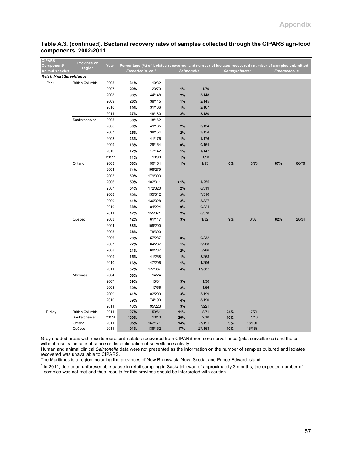| <b>CIPARS</b><br>Component/     | Province or                              | Year              | Percentage (%) of isolates recovered and number of isolates recovered / number of samples submitted |                |            |              |               |                 |                     |       |
|---------------------------------|------------------------------------------|-------------------|-----------------------------------------------------------------------------------------------------|----------------|------------|--------------|---------------|-----------------|---------------------|-------|
| Animal species                  | region                                   |                   | Escherichia coli                                                                                    |                |            | Salmonella   | Campylobacter |                 | <b>Enterococcus</b> |       |
| <b>Retail Meat Surveillance</b> |                                          |                   |                                                                                                     |                |            |              |               |                 |                     |       |
| Pork                            | <b>British Columbia</b>                  | 2005              | 31%                                                                                                 | 10/32          |            |              |               |                 |                     |       |
|                                 |                                          | 2007              | 29%                                                                                                 | 23/79          | 1%         | 1/79         |               |                 |                     |       |
|                                 |                                          | 2008              | 30%                                                                                                 | 44/148         | 2%         | 3/148        |               |                 |                     |       |
|                                 |                                          | 2009              | 26%                                                                                                 | 38/145         | 1%         | 2/145        |               |                 |                     |       |
|                                 |                                          | 2010              | 19%                                                                                                 | 31/166         | 1%         | 2/167        |               |                 |                     |       |
|                                 |                                          | 2011              | 27%                                                                                                 | 49/180         | 2%         | 3/180        |               |                 |                     |       |
|                                 | Saskatchew an                            | 2005              | 30%                                                                                                 | 48/162         |            |              |               |                 |                     |       |
|                                 |                                          | 2006              | 30%                                                                                                 | 49/165         | 2%         | 3/134        |               |                 |                     |       |
|                                 |                                          | 2007              | 25%                                                                                                 | 38/154         | 2%         | 3/154        |               |                 |                     |       |
|                                 |                                          | 2008              | 23%                                                                                                 | 41/176         | 1%         | 1/176        |               |                 |                     |       |
|                                 |                                          | 2009              | 18%                                                                                                 | 29/164         | 0%         | 0/164        |               |                 |                     |       |
|                                 |                                          | 2010              | 12%                                                                                                 | 17/142         | 1%         | 1/142        |               |                 |                     |       |
|                                 |                                          | 2011 <sup>a</sup> | 11%                                                                                                 | 10/90          | 1%         | 1/90         |               |                 |                     |       |
|                                 | Ontario                                  | 2003              | 58%                                                                                                 | 90/154         | 1%         | 1/93         | $0\%$         | 0/76            | 87%                 | 66/76 |
|                                 |                                          | 2004              | 71%                                                                                                 | 198/279        |            |              |               |                 |                     |       |
|                                 |                                          | 2005              | 59%                                                                                                 | 179/303        |            |              |               |                 |                     |       |
|                                 |                                          | 2006              | 59%                                                                                                 | 182/311        | $< 1\%$    | 1/255        |               |                 |                     |       |
|                                 |                                          | 2007              | 54%                                                                                                 | 172/320        | 2%         | 6/319        |               |                 |                     |       |
|                                 |                                          | 2008              | 50%                                                                                                 | 155/312        | 2%         | 7/310        |               |                 |                     |       |
|                                 |                                          | 2009              | 41%                                                                                                 | 136/328        | 2%         | 8/327        |               |                 |                     |       |
|                                 |                                          | 2010              | 38%                                                                                                 | 84/224         | 0%         | 0/224        |               |                 |                     |       |
|                                 |                                          | 2011              | 42%                                                                                                 | 155/371        | 2%         | 6/370        |               |                 |                     |       |
|                                 | Québec                                   | 2003              | 42%                                                                                                 | 61/147         | 3%         | $1/32$       | 9%            | 3/32            | 82%                 | 28/34 |
|                                 |                                          | 2004              | 38%                                                                                                 | 109/290        |            |              |               |                 |                     |       |
|                                 |                                          | 2005              | 26%                                                                                                 | 79/300         |            |              |               |                 |                     |       |
|                                 |                                          | 2006              | 20%                                                                                                 | 57/287         | 0%         | 0/232        |               |                 |                     |       |
|                                 |                                          | 2007              | 22%                                                                                                 | 64/287         | 1%         | 3/288        |               |                 |                     |       |
|                                 |                                          | 2008              | 21%                                                                                                 | 60/287         | 2%         | 5/286        |               |                 |                     |       |
|                                 |                                          | 2009              | 15%                                                                                                 | 41/268         | 1%         | 3/268        |               |                 |                     |       |
|                                 |                                          | 2010              | 16%                                                                                                 | 47/296         | 1%         | 4/296        |               |                 |                     |       |
|                                 |                                          | 2011              | 32%                                                                                                 | 122/387        | 4%         | 17/387       |               |                 |                     |       |
|                                 | Maritimes                                | 2004              | 58%                                                                                                 | 14/24          |            |              |               |                 |                     |       |
|                                 |                                          | 2007              | 39%                                                                                                 | 13/31          | 3%         | 1/30         |               |                 |                     |       |
|                                 |                                          | 2008              | 30%                                                                                                 | 17/56          | 2%         | 1/56         |               |                 |                     |       |
|                                 |                                          | 2009              | 41%                                                                                                 | 82/200         | 3%         | 5/199        |               |                 |                     |       |
|                                 |                                          | 2010              | 39%                                                                                                 | 74/190         | 4%         | 8/190        |               |                 |                     |       |
|                                 |                                          | 2011              | 43%                                                                                                 | 95/223         | 3%         | 7/221        |               |                 |                     |       |
| Turkey                          | <b>British Columbia</b><br>Saskatchew an | 2011<br>$2011^a$  | 97%<br>100%                                                                                         | 59/61<br>10/10 | 11%<br>20% | 8/71<br>2/10 | 24%<br>10%    | 17/71<br>$1/10$ |                     |       |
|                                 | Ontario                                  | 2011              | 95%                                                                                                 | 162/171        | 14%        | 27/191       | 9%            | 18/191          |                     |       |
|                                 | Québec                                   | 2011              | 91%                                                                                                 | 138/152        | 17%        | 27/163       | 10%           | 16/163          |                     |       |
|                                 |                                          |                   |                                                                                                     |                |            |              |               |                 |                     |       |

## **Table A.3. (continued). Bacterial recovery rates of samples collected through the CIPARS agri-food components, 2002-2011.**

Grey-shaded areas with results represent isolates recovered from CIPARS non-core surveillance (pilot surveillance) and those without results indicate absence or discontinuation of surveillance activity.

Human and animal clinical *Salmonella* data were not presented as the information on the number of samples cultured and isolates recovered was unavailable to CIPARS.

The Maritimes is a region including the provinces of New Brunswick, Nova Scotia, and Prince Edward Island.

<sup>a</sup> In 2011, due to an unforeseeable pause in retail sampling in Saskatchewan of approximately 3 months, the expected number of samples was not met and thus, results for this province should be interpreted with caution.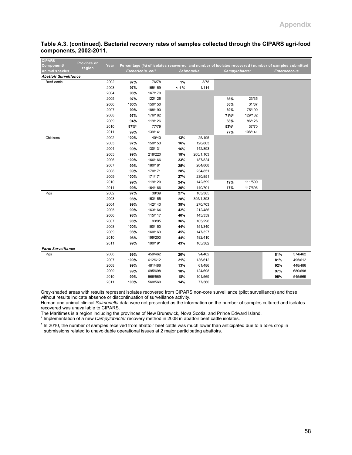| <b>CIPARS</b><br>Province or<br>Component/ | Year |                  | Percentage (%) of isolates recovered and number of isolates recovered / number of samples submitted |            |           |                  |         |                     |         |
|--------------------------------------------|------|------------------|-----------------------------------------------------------------------------------------------------|------------|-----------|------------------|---------|---------------------|---------|
| region<br>Animal species                   |      | Escherichia coli |                                                                                                     | Salmonella |           | Campylobacter    |         | <b>Enterococcus</b> |         |
| <b>Abattoir Surveillance</b>               |      |                  |                                                                                                     |            |           |                  |         |                     |         |
| Beef cattle                                | 2002 | 97%              | 76/78                                                                                               | 1%         | 3/78      |                  |         |                     |         |
|                                            | 2003 | 97%              | 155/159                                                                                             | $< 1 \%$   | 1/114     |                  |         |                     |         |
|                                            | 2004 | 98%              | 167/170                                                                                             |            |           |                  |         |                     |         |
|                                            | 2005 | 97%              | 122/126                                                                                             |            |           | 66%              | 23/35   |                     |         |
|                                            | 2006 | 100%             | 150/150                                                                                             |            |           | 36%              | 31/87   |                     |         |
|                                            | 2007 | 99%              | 188/190                                                                                             |            |           | 39%              | 75/190  |                     |         |
|                                            | 2008 | 97%              | 176/182                                                                                             |            |           | 71% <sup>d</sup> | 129/182 |                     |         |
|                                            | 2009 | 94%              | 119/126                                                                                             |            |           | 68%              | 86/126  |                     |         |
|                                            | 2010 | 97%              | 77/79                                                                                               |            |           | 53% <sup>e</sup> | 37/70   |                     |         |
|                                            | 2011 | 99%              | 139/141                                                                                             |            |           | 77%              | 108/141 |                     |         |
| Chickens                                   | 2002 | 100%             | 40/40                                                                                               | 13%        | 25/195    |                  |         |                     |         |
|                                            | 2003 | 97%              | 150/153                                                                                             | 16%        | 126/803   |                  |         |                     |         |
|                                            | 2004 | 99%              | 130/131                                                                                             | 16%        | 142/893   |                  |         |                     |         |
|                                            | 2005 | 99%              | 218/220                                                                                             | 18%        | 200/1,103 |                  |         |                     |         |
|                                            | 2006 | 100%             | 166/166                                                                                             | 23%        | 187/824   |                  |         |                     |         |
|                                            | 2007 | 99%              | 180/181                                                                                             | 25%        | 204/808   |                  |         |                     |         |
|                                            | 2008 | 99%              | 170/171                                                                                             | 28%        | 234/851   |                  |         |                     |         |
|                                            | 2009 | 100%             | 171/171                                                                                             | 27%        | 230/851   |                  |         |                     |         |
|                                            | 2010 | 99%              | 119/120                                                                                             | 24%        | 142/599   | 19%              | 111/599 |                     |         |
|                                            | 2011 | 99%              | 164/166                                                                                             | 20%        | 140/701   | 17%              | 117/696 |                     |         |
| Pigs                                       | 2002 | 97%              | 38/39                                                                                               | 27%        | 103/385   |                  |         |                     |         |
|                                            | 2003 | 98%              | 153/155                                                                                             | 28%        | 395/1,393 |                  |         |                     |         |
|                                            | 2004 | 99%              | 142/143                                                                                             | 38%        | 270/703   |                  |         |                     |         |
|                                            | 2005 | 99%              | 163/164                                                                                             | 42%        | 212/486   |                  |         |                     |         |
|                                            | 2006 | 98%              | 115/117                                                                                             | 40%        | 145/359   |                  |         |                     |         |
|                                            | 2007 | 98%              | 93/95                                                                                               | 36%        | 105/296   |                  |         |                     |         |
|                                            | 2008 | 100%             | 150/150                                                                                             | 44%        | 151/340   |                  |         |                     |         |
|                                            | 2009 | 98%              | 160/163                                                                                             | 45%        | 147/327   |                  |         |                     |         |
|                                            | 2010 | 98%              | 199/203                                                                                             | 44%        | 182/410   |                  |         |                     |         |
| 2011                                       |      | 99%              | 190/191                                                                                             | 43%        | 165/382   |                  |         |                     |         |
| <b>Farm Surveillance</b>                   |      |                  |                                                                                                     |            |           |                  |         |                     |         |
| Pigs                                       | 2006 | 99%              | 459/462                                                                                             | 20%        | 94/462    |                  |         | 81%                 | 374/462 |
|                                            | 2007 | 100%             | 612/612                                                                                             | 21%        | 136/612   |                  |         | 81%                 | 495/612 |
|                                            | 2008 | 99%              | 481/486                                                                                             | 13%        | 61/486    |                  |         | 92%                 | 448/486 |
|                                            | 2009 | 99%              | 695/698                                                                                             | 18%        | 124/698   |                  |         | 97%                 | 680/698 |
|                                            | 2010 | 99%              | 566/569                                                                                             | 18%        | 101/569   |                  |         | 96%                 | 545/569 |
|                                            | 2011 | 100%             | 560/560                                                                                             | 14%        | 77/560    |                  |         |                     |         |

#### **Table A.3. (continued). Bacterial recovery rates of samples collected through the CIPARS agri-food components, 2002-2011.**

Grey-shaded areas with results represent isolates recovered from CIPARS non-core surveillance (pilot surveillance) and those without results indicate absence or discontinuation of surveillance activity.

Human and animal clinical *Salmonella* data were not presented as the information on the number of samples cultured and isolates recovered was unavailable to CIPARS.

The Maritimes is a region including the provinces of New Brunswick, Nova Scotia, and Prince Edward Island.<br><sup>d</sup> Implementation of a new *Campylobacter* recovery method in 2008 in abattoir beef cattle isolates.

<sup>e</sup> In 2010, the number of samples received from abattoir beef cattle was much lower than anticipated due to a 55% drop in submissions related to unavoidable operational issues at 2 major participating abattoirs.